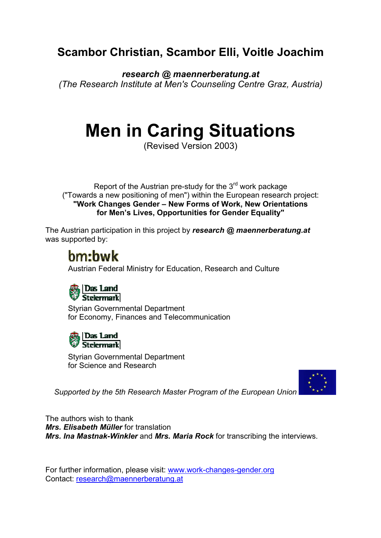## **Scambor Christian, Scambor Elli, Voitle Joachim**

*research @ maennerberatung.at (The Research Institute at Men's Counseling Centre Graz, Austria)* 

# **Men in Caring Situations**

(Revised Version 2003)

Report of the Austrian pre-study for the 3<sup>rd</sup> work package ("Towards a new positioning of men") within the European research project: **"Work Changes Gender – New Forms of Work, New Orientations for Men's Lives, Opportunities for Gender Equality"** 

The Austrian participation in this project by *research @ maennerberatung.at* was supported by:

## hm:hwk

Austrian Federal Ministry for Education, Research and Culture



Styrian Governmental Department for Economy, Finances and Telecommunication



Styrian Governmental Department for Science and Research



*Supported by the 5th Research Master Program of the European Union*

The authors wish to thank *Mrs. Elisabeth Müller* for translation *Mrs. Ina Mastnak-Winkler* and *Mrs. Maria Rock* for transcribing the interviews.

For further information, please visit: www.work-changes-gender.org Contact: research@maennerberatung.at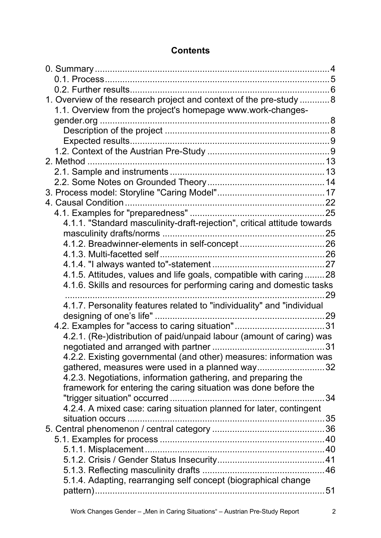## **Contents**

| 1. Overview of the research project and context of the pre-study  8      |    |
|--------------------------------------------------------------------------|----|
| 1.1. Overview from the project's homepage www.work-changes-              |    |
|                                                                          |    |
|                                                                          |    |
|                                                                          |    |
|                                                                          |    |
|                                                                          |    |
|                                                                          |    |
|                                                                          |    |
|                                                                          |    |
|                                                                          |    |
|                                                                          |    |
| 4.1.1. "Standard masculinity-draft-rejection", critical attitude towards |    |
|                                                                          |    |
|                                                                          |    |
|                                                                          |    |
|                                                                          |    |
| 4.1.5. Attitudes, values and life goals, compatible with caring  28      |    |
| 4.1.6. Skills and resources for performing caring and domestic tasks     |    |
|                                                                          | 29 |
| 4.1.7. Personality features related to "individuality" and "individual   |    |
|                                                                          |    |
|                                                                          |    |
| 4.2.1. (Re-)distribution of paid/unpaid labour (amount of caring) was    |    |
| negotiated and arranged with partner.                                    |    |
| 4.2.2. Existing governmental (and other) measures: information was       |    |
| gathered, measures were used in a planned way32                          |    |
| 4.2.3. Negotiations, information gathering, and preparing the            |    |
| framework for entering the caring situation was done before the          |    |
|                                                                          | 34 |
| 4.2.4. A mixed case: caring situation planned for later, contingent      |    |
|                                                                          |    |
|                                                                          |    |
|                                                                          |    |
|                                                                          |    |
|                                                                          |    |
|                                                                          |    |
| 5.1.4. Adapting, rearranging self concept (biographical change           |    |
|                                                                          |    |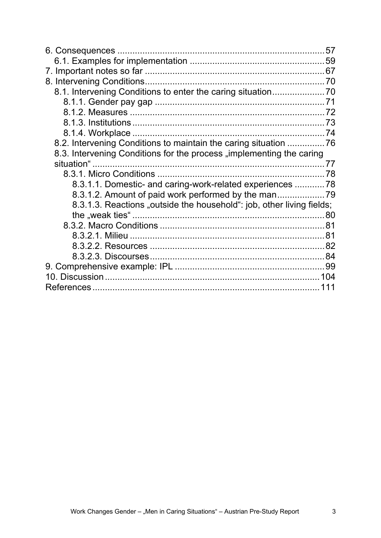|                                                                       | 57 |
|-----------------------------------------------------------------------|----|
|                                                                       |    |
|                                                                       |    |
|                                                                       |    |
|                                                                       |    |
|                                                                       |    |
|                                                                       |    |
|                                                                       |    |
|                                                                       |    |
| 8.2. Intervening Conditions to maintain the caring situation 76       |    |
| 8.3. Intervening Conditions for the process "implementing the caring  |    |
|                                                                       |    |
|                                                                       |    |
| 8.3.1.1. Domestic- and caring-work-related experiences  78            |    |
| 8.3.1.2. Amount of paid work performed by the man                     |    |
| 8.3.1.3. Reactions "outside the household": job, other living fields; |    |
|                                                                       |    |
|                                                                       |    |
|                                                                       |    |
|                                                                       |    |
|                                                                       |    |
|                                                                       |    |
|                                                                       |    |
|                                                                       |    |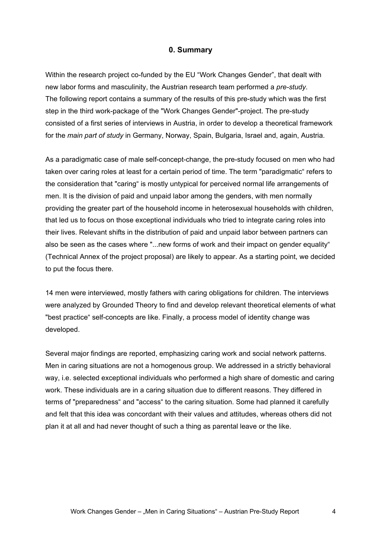#### **0. Summary**

Within the research project co-funded by the EU "Work Changes Gender", that dealt with new labor forms and masculinity, the Austrian research team performed a *pre-study*. The following report contains a summary of the results of this pre-study which was the first step in the third work-package of the "Work Changes Gender"-project. The pre-study consisted of a first series of interviews in Austria, in order to develop a theoretical framework for the *main part of study* in Germany, Norway, Spain, Bulgaria, Israel and, again, Austria.

As a paradigmatic case of male self-concept-change, the pre-study focused on men who had taken over caring roles at least for a certain period of time. The term "paradigmatic" refers to the consideration that "caring" is mostly untypical for perceived normal life arrangements of men. It is the division of paid and unpaid labor among the genders, with men normally providing the greater part of the household income in heterosexual households with children, that led us to focus on those exceptional individuals who tried to integrate caring roles into their lives. Relevant shifts in the distribution of paid and unpaid labor between partners can also be seen as the cases where "...new forms of work and their impact on gender equality" (Technical Annex of the project proposal) are likely to appear. As a starting point, we decided to put the focus there.

14 men were interviewed, mostly fathers with caring obligations for children. The interviews were analyzed by Grounded Theory to find and develop relevant theoretical elements of what "best practice" self-concepts are like. Finally, a process model of identity change was developed.

Several major findings are reported, emphasizing caring work and social network patterns. Men in caring situations are not a homogenous group. We addressed in a strictly behavioral way, i.e. selected exceptional individuals who performed a high share of domestic and caring work. These individuals are in a caring situation due to different reasons. They differed in terms of "preparedness" and "access" to the caring situation. Some had planned it carefully and felt that this idea was concordant with their values and attitudes, whereas others did not plan it at all and had never thought of such a thing as parental leave or the like.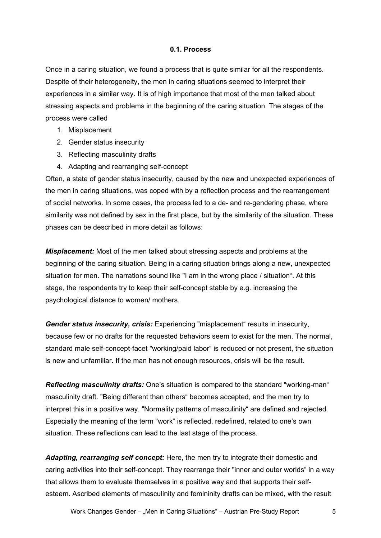#### **0.1. Process**

Once in a caring situation, we found a process that is quite similar for all the respondents. Despite of their heterogeneity, the men in caring situations seemed to interpret their experiences in a similar way. It is of high importance that most of the men talked about stressing aspects and problems in the beginning of the caring situation. The stages of the process were called

- 1. Misplacement
- 2. Gender status insecurity
- 3. Reflecting masculinity drafts
- 4. Adapting and rearranging self-concept

Often, a state of gender status insecurity, caused by the new and unexpected experiences of the men in caring situations, was coped with by a reflection process and the rearrangement of social networks. In some cases, the process led to a de- and re-gendering phase, where similarity was not defined by sex in the first place, but by the similarity of the situation. These phases can be described in more detail as follows:

*Misplacement:* Most of the men talked about stressing aspects and problems at the beginning of the caring situation. Being in a caring situation brings along a new, unexpected situation for men. The narrations sound like "I am in the wrong place / situation". At this stage, the respondents try to keep their self-concept stable by e.g. increasing the psychological distance to women/ mothers.

*Gender status insecurity, crisis:* Experiencing "misplacement" results in insecurity, because few or no drafts for the requested behaviors seem to exist for the men. The normal, standard male self-concept-facet "working/paid labor" is reduced or not present, the situation is new and unfamiliar. If the man has not enough resources, crisis will be the result.

*Reflecting masculinity drafts:* One's situation is compared to the standard "working-man" masculinity draft. "Being different than others" becomes accepted, and the men try to interpret this in a positive way. "Normality patterns of masculinity" are defined and rejected. Especially the meaning of the term "work" is reflected, redefined, related to one's own situation. These reflections can lead to the last stage of the process.

*Adapting, rearranging self concept:* Here, the men try to integrate their domestic and caring activities into their self-concept. They rearrange their "inner and outer worlds" in a way that allows them to evaluate themselves in a positive way and that supports their selfesteem. Ascribed elements of masculinity and femininity drafts can be mixed, with the result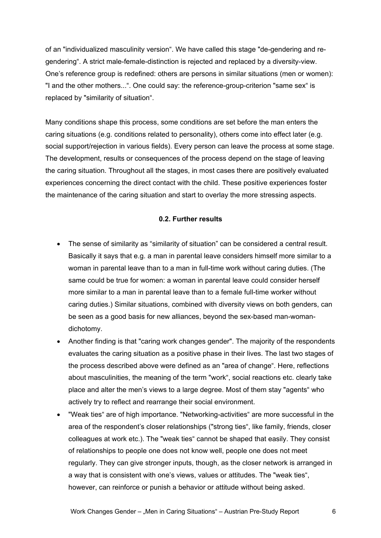of an "individualized masculinity version". We have called this stage "de-gendering and regendering". A strict male-female-distinction is rejected and replaced by a diversity-view. One's reference group is redefined: others are persons in similar situations (men or women): "I and the other mothers...". One could say: the reference-group-criterion "same sex" is replaced by "similarity of situation".

Many conditions shape this process, some conditions are set before the man enters the caring situations (e.g. conditions related to personality), others come into effect later (e.g. social support/rejection in various fields). Every person can leave the process at some stage. The development, results or consequences of the process depend on the stage of leaving the caring situation. Throughout all the stages, in most cases there are positively evaluated experiences concerning the direct contact with the child. These positive experiences foster the maintenance of the caring situation and start to overlay the more stressing aspects.

#### **0.2. Further results**

- The sense of similarity as "similarity of situation" can be considered a central result. Basically it says that e.g. a man in parental leave considers himself more similar to a woman in parental leave than to a man in full-time work without caring duties. (The same could be true for women: a woman in parental leave could consider herself more similar to a man in parental leave than to a female full-time worker without caring duties.) Similar situations, combined with diversity views on both genders, can be seen as a good basis for new alliances, beyond the sex-based man-womandichotomy.
- Another finding is that "caring work changes gender". The majority of the respondents evaluates the caring situation as a positive phase in their lives. The last two stages of the process described above were defined as an "area of change". Here, reflections about masculinities, the meaning of the term "work", social reactions etc. clearly take place and alter the men's views to a large degree. Most of them stay "agents" who actively try to reflect and rearrange their social environment.
- "Weak ties" are of high importance. "Networking-activities" are more successful in the area of the respondent's closer relationships ("strong ties", like family, friends, closer colleagues at work etc.). The "weak ties" cannot be shaped that easily. They consist of relationships to people one does not know well, people one does not meet regularly. They can give stronger inputs, though, as the closer network is arranged in a way that is consistent with one's views, values or attitudes. The "weak ties", however, can reinforce or punish a behavior or attitude without being asked.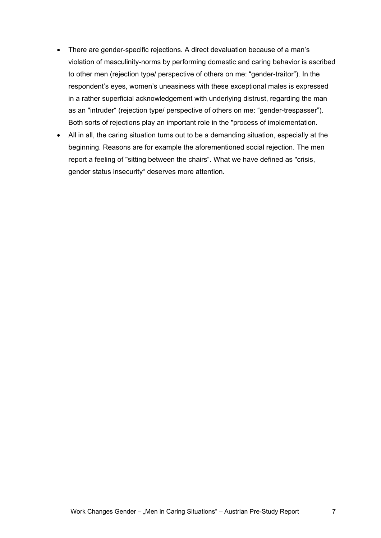- There are gender-specific rejections. A direct devaluation because of a man's violation of masculinity-norms by performing domestic and caring behavior is ascribed to other men (rejection type/ perspective of others on me: "gender-traitor"). In the respondent's eyes, women's uneasiness with these exceptional males is expressed in a rather superficial acknowledgement with underlying distrust, regarding the man as an "intruder" (rejection type/ perspective of others on me: "gender-trespasser"). Both sorts of rejections play an important role in the "process of implementation.
- All in all, the caring situation turns out to be a demanding situation, especially at the beginning. Reasons are for example the aforementioned social rejection. The men report a feeling of "sitting between the chairs". What we have defined as "crisis, gender status insecurity" deserves more attention.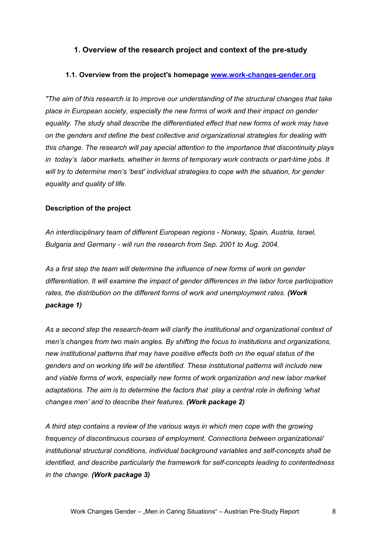## **1. Overview of the research project and context of the pre-study**

#### **1.1. Overview from the project's homepage www.work-changes-gender.org**

*"The aim of this research is to improve our understanding of the structural changes that take place in European society, especially the new forms of work and their impact on gender equality. The study shall describe the differentiated effect that new forms of work may have on the genders and define the best collective and organizational strategies for dealing with this change. The research will pay special attention to the importance that discontinuity plays in today's labor markets, whether in terms of temporary work contracts or part-time jobs. It will try to determine men's 'best' individual strategies to cope with the situation, for gender equality and quality of life.* 

#### **Description of the project**

*An interdisciplinary team of different European regions - Norway, Spain, Austria, Israel, Bulgaria and Germany - will run the research from Sep. 2001 to Aug. 2004.* 

*As a first step the team will determine the influence of new forms of work on gender differentiation. It will examine the impact of gender differences in the labor force participation rates, the distribution on the different forms of work and unemployment rates. (Work package 1)* 

*As a second step the research-team will clarify the institutional and organizational context of men's changes from two main angles. By shifting the focus to institutions and organizations, new institutional patterns that may have positive effects both on the equal status of the genders and on working life will be identified. These institutional patterns will include new and viable forms of work, especially new forms of work organization and new labor market adaptations. The aim is to determine the factors that play a central role in defining 'what changes men' and to describe their features. (Work package 2)* 

*A third step contains a review of the various ways in which men cope with the growing frequency of discontinuous courses of employment. Connections between organizational/ institutional structural conditions, individual background variables and self-concepts shall be identified, and describe particularly the framework for self-concepts leading to contentedness in the change. (Work package 3)*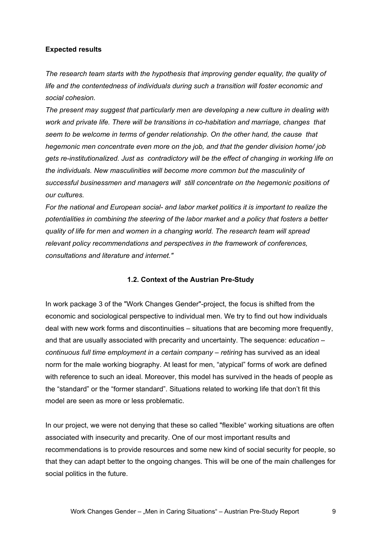#### **Expected results**

*The research team starts with the hypothesis that improving gender equality, the quality of life and the contentedness of individuals during such a transition will foster economic and social cohesion.* 

*The present may suggest that particularly men are developing a new culture in dealing with work and private life. There will be transitions in co-habitation and marriage, changes that seem to be welcome in terms of gender relationship. On the other hand, the cause that hegemonic men concentrate even more on the job, and that the gender division home/ job gets re-institutionalized. Just as contradictory will be the effect of changing in working life on the individuals. New masculinities will become more common but the masculinity of successful businessmen and managers will still concentrate on the hegemonic positions of our cultures.* 

*For the national and European social- and labor market politics it is important to realize the potentialities in combining the steering of the labor market and a policy that fosters a better quality of life for men and women in a changing world. The research team will spread relevant policy recommendations and perspectives in the framework of conferences, consultations and literature and internet."* 

## **1.2. Context of the Austrian Pre-Study**

In work package 3 of the "Work Changes Gender"-project, the focus is shifted from the economic and sociological perspective to individual men. We try to find out how individuals deal with new work forms and discontinuities – situations that are becoming more frequently, and that are usually associated with precarity and uncertainty. The sequence: *education – continuous full time employment in a certain company – retiring has survived as an ideal* norm for the male working biography. At least for men, "atypical" forms of work are defined with reference to such an ideal. Moreover, this model has survived in the heads of people as the "standard" or the "former standard". Situations related to working life that don't fit this model are seen as more or less problematic.

In our project, we were not denying that these so called "flexible" working situations are often associated with insecurity and precarity. One of our most important results and recommendations is to provide resources and some new kind of social security for people, so that they can adapt better to the ongoing changes. This will be one of the main challenges for social politics in the future.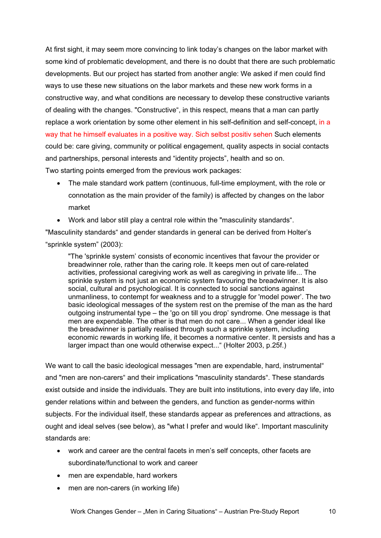At first sight, it may seem more convincing to link today's changes on the labor market with some kind of problematic development, and there is no doubt that there are such problematic developments. But our project has started from another angle: We asked if men could find ways to use these new situations on the labor markets and these new work forms in a constructive way, and what conditions are necessary to develop these constructive variants of dealing with the changes. "Constructive", in this respect, means that a man can partly replace a work orientation by some other element in his self-definition and self-concept, in a way that he himself evaluates in a positive way. Sich selbst positiv sehen Such elements could be: care giving, community or political engagement, quality aspects in social contacts and partnerships, personal interests and "identity projects", health and so on. Two starting points emerged from the previous work packages:

- The male standard work pattern (continuous, full-time employment, with the role or connotation as the main provider of the family) is affected by changes on the labor market
- Work and labor still play a central role within the "masculinity standards".

"Masculinity standards" and gender standards in general can be derived from Holter's "sprinkle system" (2003):

"The 'sprinkle system' consists of economic incentives that favour the provider or breadwinner role, rather than the caring role. It keeps men out of care-related activities, professional caregiving work as well as caregiving in private life... The sprinkle system is not just an economic system favouring the breadwinner. It is also social, cultural and psychological. It is connected to social sanctions against unmanliness, to contempt for weakness and to a struggle for 'model power'. The two basic ideological messages of the system rest on the premise of the man as the hard outgoing instrumental type – the 'go on till you drop' syndrome. One message is that men are expendable. The other is that men do not care... When a gender ideal like the breadwinner is partially realised through such a sprinkle system, including economic rewards in working life, it becomes a normative center. It persists and has a larger impact than one would otherwise expect..." (Holter 2003, p.25f.)

We want to call the basic ideological messages "men are expendable, hard, instrumental" and "men are non-carers" and their implications "masculinity standards". These standards exist outside and inside the individuals. They are built into institutions, into every day life, into gender relations within and between the genders, and function as gender-norms within subjects. For the individual itself, these standards appear as preferences and attractions, as ought and ideal selves (see below), as "what I prefer and would like". Important masculinity standards are:

- work and career are the central facets in men's self concepts, other facets are subordinate/functional to work and career
- men are expendable, hard workers
- men are non-carers (in working life)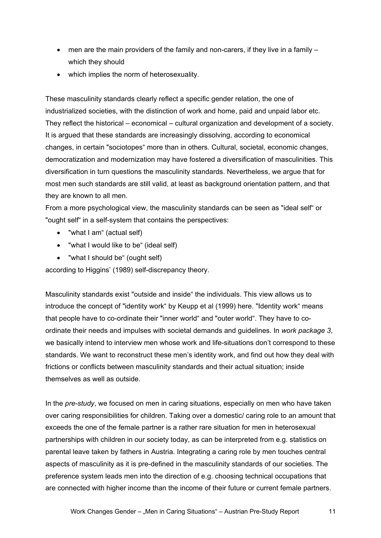- men are the main providers of the family and non-carers, if they live in a family  $$ which they should
- which implies the norm of heterosexuality.

These masculinity standards clearly reflect a specific gender relation, the one of industrialized societies, with the distinction of work and home, paid and unpaid labor etc. They reflect the historical – economical – cultural organization and development of a society. It is argued that these standards are increasingly dissolving, according to economical changes, in certain "sociotopes" more than in others. Cultural, societal, economic changes, democratization and modernization may have fostered a diversification of masculinities. This diversification in turn questions the masculinity standards. Nevertheless, we argue that for most men such standards are still valid, at least as background orientation pattern, and that they are known to all men.

From a more psychological view, the masculinity standards can be seen as "ideal self" or "ought self" in a self-system that contains the perspectives:

- "what I am" (actual self)
- "what I would like to be" (ideal self)
- "what I should be" (ought self)

according to Higgins' (1989) self-discrepancy theory.

Masculinity standards exist "outside and inside" the individuals. This view allows us to introduce the concept of "identity work" by Keupp et al (1999) here. "Identity work" means that people have to co-ordinate their "inner world" and "outer world". They have to coordinate their needs and impulses with societal demands and guidelines. In *work package 3*, we basically intend to interview men whose work and life-situations don't correspond to these standards. We want to reconstruct these men's identity work, and find out how they deal with frictions or conflicts between masculinity standards and their actual situation; inside themselves as well as outside.

In the *pre-study*, we focused on men in caring situations, especially on men who have taken over caring responsibilities for children. Taking over a domestic/ caring role to an amount that exceeds the one of the female partner is a rather rare situation for men in heterosexual partnerships with children in our society today, as can be interpreted from e.g. statistics on parental leave taken by fathers in Austria. Integrating a caring role by men touches central aspects of masculinity as it is pre-defined in the masculinity standards of our societies. The preference system leads men into the direction of e.g. choosing technical occupations that are connected with higher income than the income of their future or current female partners.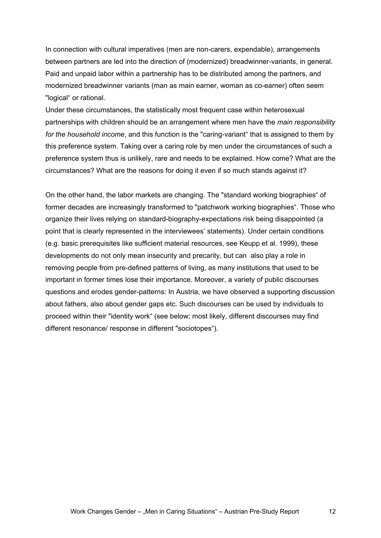In connection with cultural imperatives (men are non-carers, expendable), arrangements between partners are led into the direction of (modernized) breadwinner-variants, in general. Paid and unpaid labor within a partnership has to be distributed among the partners, and modernized breadwinner variants (man as main earner, woman as co-earner) often seem "logical" or rational.

Under these circumstances, the statistically most frequent case within heterosexual partnerships with children should be an arrangement where men have the *main responsibility for the household income*, and this function is the "caring-variant" that is assigned to them by this preference system. Taking over a caring role by men under the circumstances of such a preference system thus is unlikely, rare and needs to be explained. How come? What are the circumstances? What are the reasons for doing it even if so much stands against it?

On the other hand, the labor markets are changing. The "standard working biographies" of former decades are increasingly transformed to "patchwork working biographies". Those who organize their lives relying on standard-biography-expectations risk being disappointed (a point that is clearly represented in the interviewees' statements). Under certain conditions (e.g. basic prerequisites like sufficient material resources, see Keupp et al. 1999), these developments do not only mean insecurity and precarity, but can also play a role in removing people from pre-defined patterns of living, as many institutions that used to be important in former times lose their importance. Moreover, a variety of public discourses questions and erodes gender-patterns: In Austria, we have observed a supporting discussion about fathers, also about gender gaps etc. Such discourses can be used by individuals to proceed within their "identity work" (see below; most likely, different discourses may find different resonance/ response in different "sociotopes").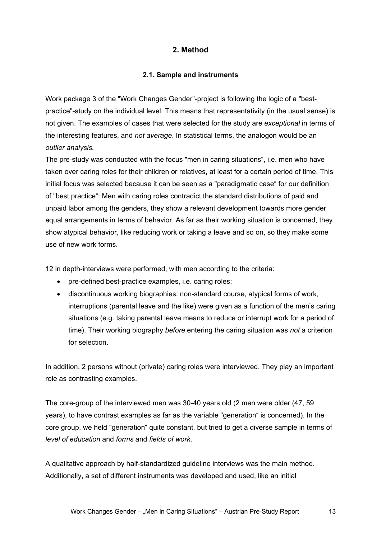## **2. Method**

#### **2.1. Sample and instruments**

Work package 3 of the "Work Changes Gender"-project is following the logic of a "bestpractice"-study on the individual level. This means that representativity (in the usual sense) is not given. The examples of cases that were selected for the study are *exceptional* in terms of the interesting features, and *not average*. In statistical terms, the analogon would be an *outlier analysis.* 

The pre-study was conducted with the focus "men in caring situations", i.e. men who have taken over caring roles for their children or relatives, at least for a certain period of time. This initial focus was selected because it can be seen as a "paradigmatic case" for our definition of "best practice": Men with caring roles contradict the standard distributions of paid and unpaid labor among the genders, they show a relevant development towards more gender equal arrangements in terms of behavior. As far as their working situation is concerned, they show atypical behavior, like reducing work or taking a leave and so on, so they make some use of new work forms.

12 in depth-interviews were performed, with men according to the criteria:

- pre-defined best-practice examples, i.e. caring roles;
- discontinuous working biographies: non-standard course, atypical forms of work, interruptions (parental leave and the like) were given as a function of the men's caring situations (e.g. taking parental leave means to reduce or interrupt work for a period of time). Their working biography *before* entering the caring situation was *not* a criterion for selection.

In addition, 2 persons without (private) caring roles were interviewed. They play an important role as contrasting examples.

The core-group of the interviewed men was 30-40 years old (2 men were older (47, 59 years), to have contrast examples as far as the variable "generation" is concerned). In the core group, we held "generation" quite constant, but tried to get a diverse sample in terms of *level of education* and *forms* and *fields of work*.

A qualitative approach by half-standardized guideline interviews was the main method. Additionally, a set of different instruments was developed and used, like an initial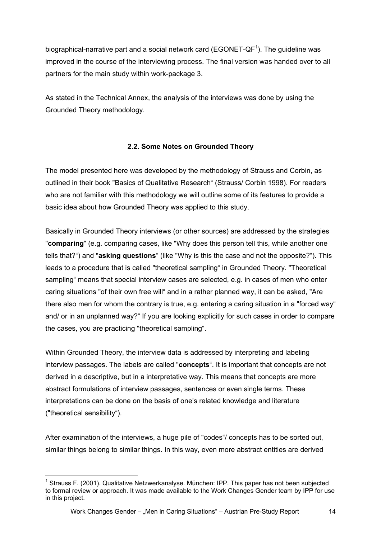biographical-narrative part and a social network card (EGONET-QF<sup>1</sup>). The guideline was improved in the course of the interviewing process. The final version was handed over to all partners for the main study within work-package 3.

As stated in the Technical Annex, the analysis of the interviews was done by using the Grounded Theory methodology.

## **2.2. Some Notes on Grounded Theory**

The model presented here was developed by the methodology of Strauss and Corbin, as outlined in their book "Basics of Qualitative Research" (Strauss/ Corbin 1998). For readers who are not familiar with this methodology we will outline some of its features to provide a basic idea about how Grounded Theory was applied to this study.

Basically in Grounded Theory interviews (or other sources) are addressed by the strategies "**comparing**" (e.g. comparing cases, like "Why does this person tell this, while another one tells that?") and "**asking questions**" (like "Why is this the case and not the opposite?"). This leads to a procedure that is called "theoretical sampling" in Grounded Theory. "Theoretical sampling" means that special interview cases are selected, e.g. in cases of men who enter caring situations "of their own free will" and in a rather planned way, it can be asked, "Are there also men for whom the contrary is true, e.g. entering a caring situation in a "forced way" and/ or in an unplanned way?" If you are looking explicitly for such cases in order to compare the cases, you are practicing "theoretical sampling".

Within Grounded Theory, the interview data is addressed by interpreting and labeling interview passages. The labels are called "**concepts**". It is important that concepts are not derived in a descriptive, but in a interpretative way. This means that concepts are more abstract formulations of interview passages, sentences or even single terms. These interpretations can be done on the basis of one's related knowledge and literature ("theoretical sensibility").

After examination of the interviews, a huge pile of "codes"/ concepts has to be sorted out, similar things belong to similar things. In this way, even more abstract entities are derived

l <sup>1</sup> Strauss F. (2001). Qualitative Netzwerkanalyse. München: IPP. This paper has not been subjected to formal review or approach. It was made available to the Work Changes Gender team by IPP for use in this project.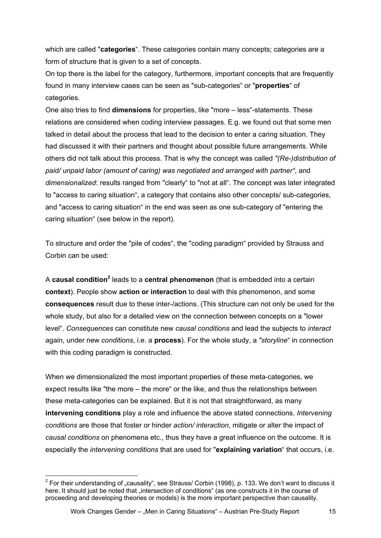which are called "**categories**". These categories contain many concepts; categories are a form of structure that is given to a set of concepts.

On top there is the label for the category, furthermore, important concepts that are frequently found in many interview cases can be seen as "sub-categories" or "**properties**" of categories.

One also tries to find **dimensions** for properties, like "more – less"-statements. These relations are considered when coding interview passages. E.g. we found out that some men talked in detail about the process that lead to the decision to enter a caring situation. They had discussed it with their partners and thought about possible future arrangements. While others did not talk about this process. That is why the concept was called *"(Re-)distribution of paid/ unpaid labor (amount of caring) was negotiated and arranged with partner"*, and *dimensionalized*: results ranged from "clearly" to "not at all". The concept was later integrated to "access to caring situation", a category that contains also other concepts/ sub-categories, and "access to caring situation" in the end was seen as one sub-category of "entering the caring situation" (see below in the report).

To structure and order the "pile of codes", the "coding paradigm" provided by Strauss and Corbin can be used:

A **causal condition<sup>2</sup> leads to a central phenomenon** (that is embedded into a certain **context**). People show **action or interaction** to deal with this phenomenon, and some **consequences** result due to these inter-/actions. (This structure can not only be used for the whole study, but also for a detailed view on the connection between concepts on a "lower level". *Consequences* can constitute new *causal conditions* and lead the subjects to *interact* again, under new *conditions*, i.e. a **process**). For the whole study, a *"storyline*" in connection with this coding paradigm is constructed.

When we dimensionalized the most important properties of these meta-categories, we expect results like "the more – the more" or the like, and thus the relationships between these meta-categories can be explained. But it is not that straightforward, as many **intervening conditions** play a role and influence the above stated connections. *Intervening conditions* are those that foster or hinder *action/ interaction*, mitigate or alter the impact of *causal conditions* on phenomena etc., thus they have a great influence on the outcome. It is especially the *intervening conditions* that are used for "**explaining variation**" that occurs, i.e.

l

<sup>&</sup>lt;sup>2</sup> For their understanding of "causality", see Strauss/ Corbin (1998), p. 133. We don't want to discuss it here. It should just be noted that "intersection of conditions" (as one constructs it in the course of proceeding and developing theories or models) is the more important perspective than causality.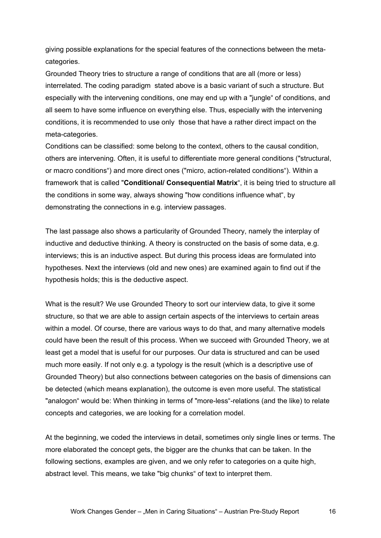giving possible explanations for the special features of the connections between the metacategories.

Grounded Theory tries to structure a range of conditions that are all (more or less) interrelated. The coding paradigm stated above is a basic variant of such a structure. But especially with the intervening conditions, one may end up with a "jungle" of conditions, and all seem to have some influence on everything else. Thus, especially with the intervening conditions, it is recommended to use only those that have a rather direct impact on the meta-categories.

Conditions can be classified: some belong to the context, others to the causal condition, others are intervening. Often, it is useful to differentiate more general conditions ("structural, or macro conditions") and more direct ones ("micro, action-related conditions"). Within a framework that is called "**Conditional/ Consequential Matrix**", it is being tried to structure all the conditions in some way, always showing "how conditions influence what", by demonstrating the connections in e.g. interview passages.

The last passage also shows a particularity of Grounded Theory, namely the interplay of inductive and deductive thinking. A theory is constructed on the basis of some data, e.g. interviews; this is an inductive aspect. But during this process ideas are formulated into hypotheses. Next the interviews (old and new ones) are examined again to find out if the hypothesis holds; this is the deductive aspect.

What is the result? We use Grounded Theory to sort our interview data, to give it some structure, so that we are able to assign certain aspects of the interviews to certain areas within a model. Of course, there are various ways to do that, and many alternative models could have been the result of this process. When we succeed with Grounded Theory, we at least get a model that is useful for our purposes. Our data is structured and can be used much more easily. If not only e.g. a typology is the result (which is a descriptive use of Grounded Theory) but also connections between categories on the basis of dimensions can be detected (which means explanation), the outcome is even more useful. The statistical "analogon" would be: When thinking in terms of "more-less"-relations (and the like) to relate concepts and categories, we are looking for a correlation model.

At the beginning, we coded the interviews in detail, sometimes only single lines or terms. The more elaborated the concept gets, the bigger are the chunks that can be taken. In the following sections, examples are given, and we only refer to categories on a quite high, abstract level. This means, we take "big chunks" of text to interpret them.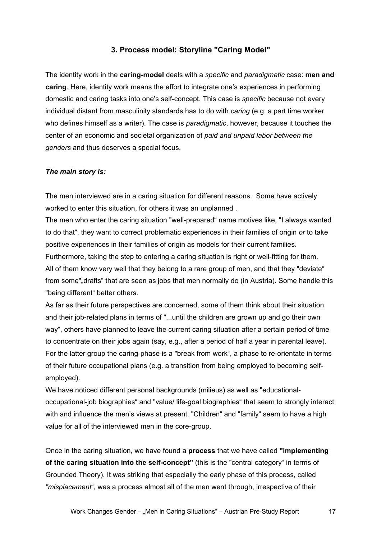## **3. Process model: Storyline "Caring Model"**

The identity work in the **caring-model** deals with a *specific* and *paradigmatic* case: **men and caring**. Here, identity work means the effort to integrate one's experiences in performing domestic and caring tasks into one's self-concept. This case is *specific* because not every individual distant from masculinity standards has to do with *caring* (e.g. a part time worker who defines himself as a writer). The case is *paradigmatic*, however, because it touches the center of an economic and societal organization of *paid and unpaid labor between the genders* and thus deserves a special focus.

#### *The main story is:*

The men interviewed are in a caring situation for different reasons. Some have actively worked to enter this situation, for others it was an unplanned .

The men who enter the caring situation "well-prepared" name motives like, "I always wanted to do that", they want to correct problematic experiences in their families of origin *or* to take positive experiences in their families of origin as models for their current families.

Furthermore, taking the step to entering a caring situation is right or well-fitting for them. All of them know very well that they belong to a rare group of men, and that they "deviate" from some", drafts" that are seen as jobs that men normally do (in Austria). Some handle this "being different" better others.

As far as their future perspectives are concerned, some of them think about their situation and their job-related plans in terms of "...until the children are grown up and go their own way", others have planned to leave the current caring situation after a certain period of time to concentrate on their jobs again (say, e.g., after a period of half a year in parental leave). For the latter group the caring-phase is a "break from work", a phase to re-orientate in terms of their future occupational plans (e.g. a transition from being employed to becoming selfemployed).

We have noticed different personal backgrounds (milieus) as well as "educationaloccupational-job biographies" and "value/ life-goal biographies" that seem to strongly interact with and influence the men's views at present. "Children" and "family" seem to have a high value for all of the interviewed men in the core-group.

Once in the caring situation, we have found a **process** that we have called **"implementing of the caring situation into the self-concept"** (this is the "central category" in terms of Grounded Theory). It was striking that especially the early phase of this process, called *"misplacement*", was a process almost all of the men went through, irrespective of their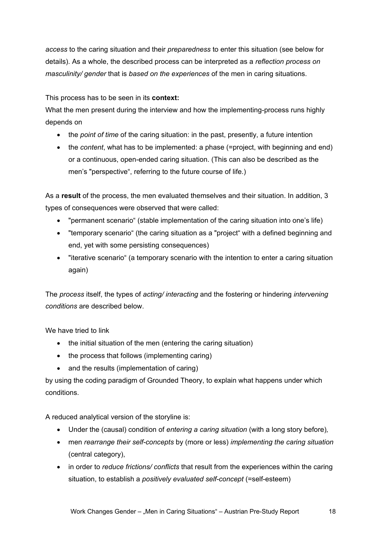*access* to the caring situation and their *preparedness* to enter this situation (see below for details). As a whole, the described process can be interpreted as a *reflection process on masculinity/ gender* that is *based on the experiences* of the men in caring situations.

## This process has to be seen in its **context:**

What the men present during the interview and how the implementing-process runs highly depends on

- the *point of time* of the caring situation: in the past, presently, a future intention
- the *content*, what has to be implemented: a phase (=project, with beginning and end) or a continuous, open-ended caring situation. (This can also be described as the men's "perspective", referring to the future course of life.)

As a **result** of the process, the men evaluated themselves and their situation. In addition, 3 types of consequences were observed that were called:

- "permanent scenario" (stable implementation of the caring situation into one's life)
- "temporary scenario" (the caring situation as a "project" with a defined beginning and end, yet with some persisting consequences)
- "iterative scenario" (a temporary scenario with the intention to enter a caring situation again)

The *process* itself, the types of *acting/ interacting* and the fostering or hindering *intervening conditions* are described below.

We have tried to link

- the initial situation of the men (entering the caring situation)
- the process that follows (implementing caring)
- and the results (implementation of caring)

by using the coding paradigm of Grounded Theory, to explain what happens under which conditions.

A reduced analytical version of the storyline is:

- Under the (causal) condition of *entering a caring situation* (with a long story before)*,*
- men *rearrange their self-concepts* by (more or less) *implementing the caring situation* (central category),
- in order to *reduce frictions/ conflicts* that result from the experiences within the caring situation, to establish a *positively evaluated self-concept* (=self-esteem)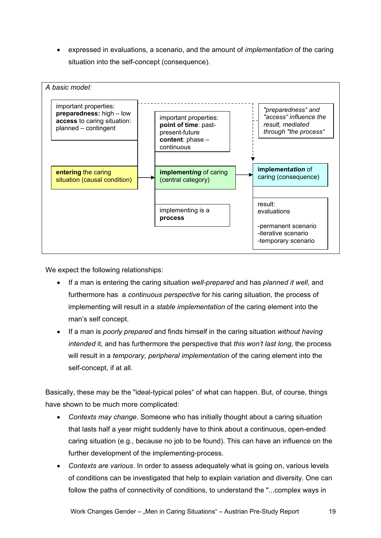• expressed in evaluations, a scenario, and the amount of *implementation* of the caring situation into the self-concept (consequence).



We expect the following relationships:

- If a man is entering the caring situation *well-prepared* and has *planned it well*, and furthermore has a *continuous perspective* for his caring situation, the process of implementing will result in a *stable implementation* of the caring element into the man's self concept.
- If a man is *poorly prepared* and finds himself in the caring situation *without having intended* it, and has furthermore the perspective that *this won't last long*, the process will result in a *temporary, peripheral implementation* of the caring element into the self-concept, if at all.

Basically, these may be the "ideal-typical poles" of what can happen. But, of course, things have shown to be much more complicated:

- *Contexts may change*. Someone who has initially thought about a caring situation that lasts half a year might suddenly have to think about a continuous, open-ended caring situation (e.g., because no job to be found). This can have an influence on the further development of the implementing-process.
- *Contexts are various*. In order to assess adequately what is going on, various levels of conditions can be investigated that help to explain variation and diversity. One can follow the paths of connectivity of conditions, to understand the "...complex ways in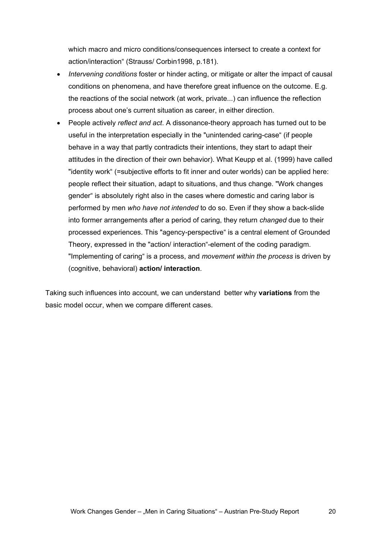which macro and micro conditions/consequences intersect to create a context for action/interaction" (Strauss/ Corbin1998, p.181).

- *Intervening conditions* foster or hinder acting, or mitigate or alter the impact of causal conditions on phenomena, and have therefore great influence on the outcome. E.g. the reactions of the social network (at work, private...) can influence the reflection process about one's current situation as career, in either direction.
- People actively *reflect and act*. A dissonance-theory approach has turned out to be useful in the interpretation especially in the "unintended caring-case" (if people behave in a way that partly contradicts their intentions, they start to adapt their attitudes in the direction of their own behavior). What Keupp et al. (1999) have called "identity work" (=subjective efforts to fit inner and outer worlds) can be applied here: people reflect their situation, adapt to situations, and thus change. "Work changes gender" is absolutely right also in the cases where domestic and caring labor is performed by men *who have not intended* to do so. Even if they show a back-slide into former arrangements after a period of caring, they return *changed* due to their processed experiences. This "agency-perspective" is a central element of Grounded Theory, expressed in the "action/ interaction"-element of the coding paradigm. "Implementing of caring" is a process, and *movement within the process* is driven by (cognitive, behavioral) **action/ interaction**.

Taking such influences into account, we can understand better why **variations** from the basic model occur, when we compare different cases.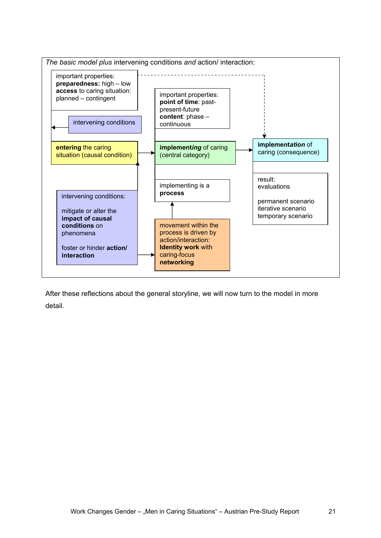

After these reflections about the general storyline, we will now turn to the model in more detail.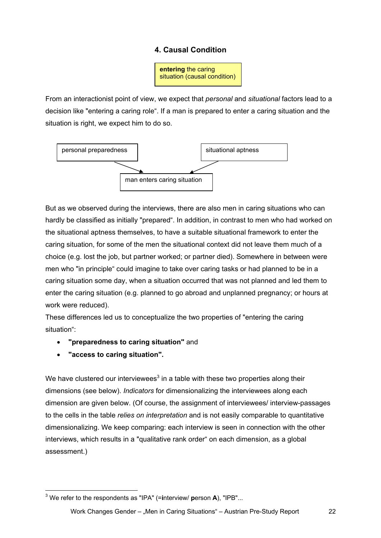## **4. Causal Condition**

**entering** the caring situation (causal condition)

From an interactionist point of view, we expect that *personal* and *situational* factors lead to a decision like "entering a caring role". If a man is prepared to enter a caring situation and the situation is right, we expect him to do so.



But as we observed during the interviews, there are also men in caring situations who can hardly be classified as initially "prepared". In addition, in contrast to men who had worked on the situational aptness themselves, to have a suitable situational framework to enter the caring situation, for some of the men the situational context did not leave them much of a choice (e.g. lost the job, but partner worked; or partner died). Somewhere in between were men who "in principle" could imagine to take over caring tasks or had planned to be in a caring situation some day, when a situation occurred that was not planned and led them to enter the caring situation (e.g. planned to go abroad and unplanned pregnancy; or hours at work were reduced).

These differences led us to conceptualize the two properties of "entering the caring situation":

- **"preparedness to caring situation"** and
- **"access to caring situation".**

We have clustered our interviewees<sup>3</sup> in a table with these two properties along their dimensions (see below). *Indicators* for dimensionalizing the interviewees along each dimension are given below. (Of course, the assignment of interviewees/ interview-passages to the cells in the table *relies on interpretation* and is not easily comparable to quantitative dimensionalizing. We keep comparing: each interview is seen in connection with the other interviews, which results in a "qualitative rank order" on each dimension, as a global assessment.)

l 3 We refer to the respondents as "IPA" (=**i**nterview/ **p**erson **A**), "IPB"...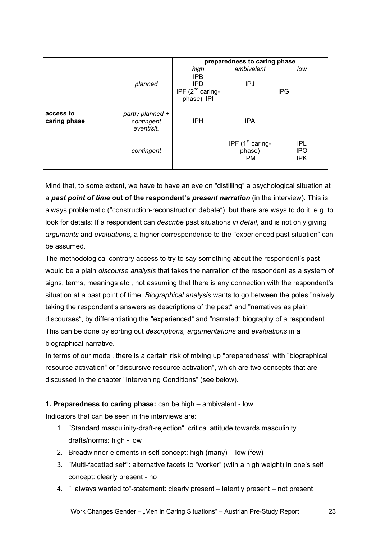|                           |                                              | preparedness to caring phase                                     |                                                                          |                                        |
|---------------------------|----------------------------------------------|------------------------------------------------------------------|--------------------------------------------------------------------------|----------------------------------------|
|                           |                                              | high                                                             | ambivalent                                                               | low                                    |
| access to<br>caring phase | planned                                      | <b>IPB</b><br><b>IPD</b><br>IPF $(2^{nd}$ caring-<br>phase), IPI | IPJ                                                                      | <b>IPG</b>                             |
|                           | partly planned +<br>contingent<br>event/sit. | <b>IPH</b>                                                       | <b>IPA</b>                                                               |                                        |
|                           | contingent                                   |                                                                  | $\overline{\text{IPF}}$ (1 <sup>st</sup> caring-<br>phase)<br><b>IPM</b> | <b>IPL</b><br><b>IPO</b><br><b>IPK</b> |

Mind that, to some extent, we have to have an eye on "distilling" a psychological situation at a *past point of time* **out of the respondent's** *present narration* (in the interview). This is always problematic ("construction-reconstruction debate"), but there are ways to do it, e.g. to look for details: If a respondent can *describe* past situations *in detail*, and is not only giving *arguments* and *evaluations*, a higher correspondence to the "experienced past situation" can be assumed.

The methodological contrary access to try to say something about the respondent's past would be a plain *discourse analysis* that takes the narration of the respondent as a system of signs, terms, meanings etc., not assuming that there is any connection with the respondent's situation at a past point of time. *Biographical analysis* wants to go between the poles "naively taking the respondent's answers as descriptions of the past" and "narratives as plain discourses", by differentiating the "experienced" and "narrated" biography of a respondent. This can be done by sorting out *descriptions, argumentations* and *evaluations* in a biographical narrative.

In terms of our model, there is a certain risk of mixing up "preparedness" with "biographical resource activation" or "discursive resource activation", which are two concepts that are discussed in the chapter "Intervening Conditions" (see below).

## **1. Preparedness to caring phase:** can be high – ambivalent - low

Indicators that can be seen in the interviews are:

- 1. "Standard masculinity-draft-rejection", critical attitude towards masculinity drafts/norms: high - low
- 2. Breadwinner-elements in self-concept: high (many) low (few)
- 3. "Multi-facetted self": alternative facets to "worker" (with a high weight) in one's self concept: clearly present - no
- 4. "I always wanted to"-statement: clearly present latently present not present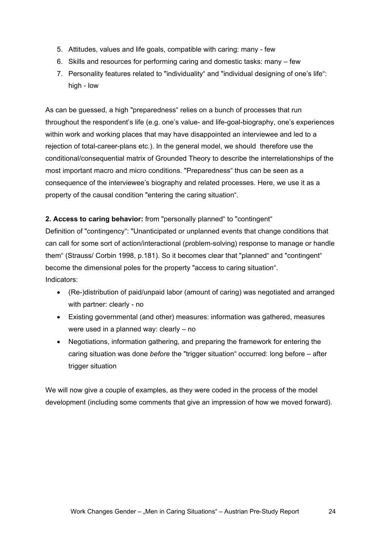- 5. Attitudes, values and life goals, compatible with caring: many few
- 6. Skills and resources for performing caring and domestic tasks: many few
- 7. Personality features related to "individuality" and "individual designing of one's life": high - low

As can be guessed, a high "preparedness" relies on a bunch of processes that run throughout the respondent's life (e.g. one's value- and life-goal-biography, one's experiences within work and working places that may have disappointed an interviewee and led to a rejection of total-career-plans etc.). In the general model, we should therefore use the conditional/consequential matrix of Grounded Theory to describe the interrelationships of the most important macro and micro conditions. "Preparedness" thus can be seen as a consequence of the interviewee's biography and related processes. Here, we use it as a property of the causal condition "entering the caring situation".

## **2. Access to caring behavior:** from "personally planned" to "contingent"

Definition of "contingency": "Unanticipated or unplanned events that change conditions that can call for some sort of action/interactional (problem-solving) response to manage or handle them" (Strauss/ Corbin 1998, p.181). So it becomes clear that "planned" and "contingent" become the dimensional poles for the property "access to caring situation". Indicators:

- (Re-)distribution of paid/unpaid labor (amount of caring) was negotiated and arranged with partner: clearly - no
- Existing governmental (and other) measures: information was gathered, measures were used in a planned way: clearly – no
- Negotiations, information gathering, and preparing the framework for entering the caring situation was done *before* the "trigger situation" occurred: long before – after trigger situation

We will now give a couple of examples, as they were coded in the process of the model development (including some comments that give an impression of how we moved forward).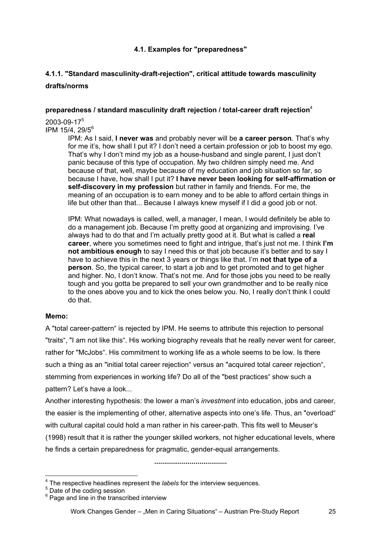## **4.1. Examples for "preparedness"**

## **4.1.1. "Standard masculinity-draft-rejection", critical attitude towards masculinity drafts/norms**

#### **preparedness / standard masculinity draft rejection / total-career draft rejection**<sup>4</sup>

2003-09-17<sup>5</sup> IPM 15/4, 29/5<sup>6</sup>

IPM: As I said, **I never was** and probably never will be **a career person**. That's why for me it's, how shall I put it? I don't need a certain profession or job to boost my ego. That's why I don't mind my job as a house-husband and single parent, I just don't panic because of this type of occupation. My two children simply need me. And because of that, well, maybe because of my education and job situation so far, so because I have, how shall I put it? **I have never been looking for self-affirmation or self-discovery in my profession** but rather in family and friends. For me, the meaning of an occupation is to earn money and to be able to afford certain things in life but other than that... Because I always knew myself if I did a good job or not.

IPM: What nowadays is called, well, a manager, I mean, I would definitely be able to do a management job. Because I'm pretty good at organizing and improvising. I've always had to do that and I'm actually pretty good at it. But what is called a **real career**, where you sometimes need to fight and intrigue, that's just not me. I think **I'm not ambitious enough** to say I need this or that job because it's better and to say I have to achieve this in the next 3 years or things like that. I'm **not that type of a person**. So, the typical career, to start a job and to get promoted and to get higher and higher. No, I don't know. That's not me. And for those jobs you need to be really tough and you gotta be prepared to sell your own grandmother and to be really nice to the ones above you and to kick the ones below you. No, I really don't think I could do that.

## **Memo:**

A "total career-pattern" is rejected by IPM. He seems to attribute this rejection to personal "traits", "I am not like this". His working biography reveals that he really never went for career, rather for "McJobs". His commitment to working life as a whole seems to be low. Is there such a thing as an "initial total career rejection" versus an "acquired total career rejection", stemming from experiences in working life? Do all of the "best practices" show such a pattern? Let's have a look...

Another interesting hypothesis: the lower a man's *investment* into education, jobs and career, the easier is the implementing of other, alternative aspects into one's life. Thus, an "overload" with cultural capital could hold a man rather in his career-path. This fits well to Meuser's (1998) result that it is rather the younger skilled workers, not higher educational levels, where he finds a certain preparedness for pragmatic, gender-equal arrangements.

**.....................................** 

The respective headlines represent the *labels* for the interview sequences.<br>
<sup>5</sup> Date of the coding session

<sup>&</sup>lt;sup>6</sup> Page and line in the transcribed interview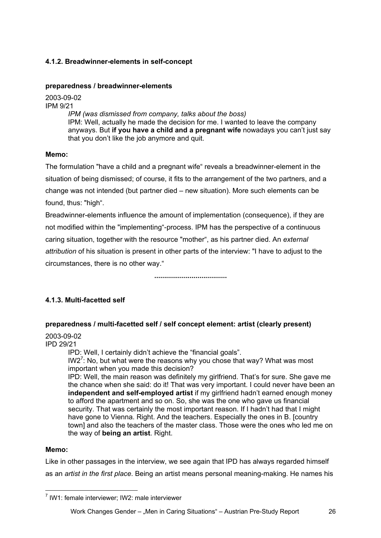## **4.1.2. Breadwinner-elements in self-concept**

#### **preparedness / breadwinner-elements**

2003-09-02

IPM 9/21

*IPM (was dismissed from company, talks about the boss)*  IPM: Well, actually he made the decision for me. I wanted to leave the company anyways. But **if you have a child and a pregnant wife** nowadays you can't just say that you don't like the job anymore and quit.

#### **Memo:**

The formulation "have a child and a pregnant wife" reveals a breadwinner-element in the situation of being dismissed; of course, it fits to the arrangement of the two partners, and a change was not intended (but partner died – new situation). More such elements can be found, thus: "high".

Breadwinner-elements influence the amount of implementation (consequence), if they are not modified within the "implementing"-process. IPM has the perspective of a continuous caring situation, together with the resource "mother", as his partner died. An *external attribution* of his situation is present in other parts of the interview: "I have to adjust to the circumstances, there is no other way."

**.....................................** 

## **4.1.3. Multi-facetted self**

## **preparedness / multi-facetted self / self concept element: artist (clearly present)**

## 2003-09-02

IPD 29/21

IPD: Well, I certainly didn't achieve the "financial goals".

IW2<sup>7</sup>: No, but what were the reasons why you chose that way? What was most important when you made this decision?

IPD: Well, the main reason was definitely my girlfriend. That's for sure. She gave me the chance when she said: do it! That was very important. I could never have been an **independent and self-employed artist** if my girlfriend hadn't earned enough money to afford the apartment and so on. So, she was the one who gave us financial security. That was certainly the most important reason. If I hadn't had that I might have gone to Vienna. Right. And the teachers. Especially the ones in B. [country town] and also the teachers of the master class. Those were the ones who led me on the way of **being an artist**. Right.

#### **Memo:**

Like in other passages in the interview, we see again that IPD has always regarded himself as an *artist in the first place*. Being an artist means personal meaning-making. He names his

l <sup>7</sup> IW1: female interviewer; IW2: male interviewer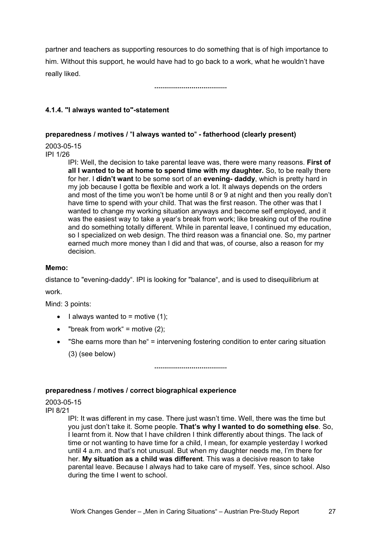partner and teachers as supporting resources to do something that is of high importance to him. Without this support, he would have had to go back to a work, what he wouldn't have really liked.

**.....................................** 

#### **4.1.4. "I always wanted to"-statement**

#### **preparedness / motives /** "**I always wanted to**" **- fatherhood (clearly present)**

2003-05-15

IPI 1/26

IPI: Well, the decision to take parental leave was, there were many reasons. **First of all I wanted to be at home to spend time with my daughter.** So, to be really there for her. I **didn't want** to be some sort of an **evening- daddy**, which is pretty hard in my job because I gotta be flexible and work a lot. It always depends on the orders and most of the time you won't be home until 8 or 9 at night and then you really don't have time to spend with your child. That was the first reason. The other was that I wanted to change my working situation anyways and become self employed, and it was the easiest way to take a year's break from work; like breaking out of the routine and do something totally different. While in parental leave, I continued my education, so I specialized on web design. The third reason was a financial one. So, my partner earned much more money than I did and that was, of course, also a reason for my decision.

#### **Memo:**

distance to "evening-daddy". IPI is looking for "balance", and is used to disequilibrium at work.

Mind: 3 points:

- I always wanted to = motive  $(1)$ ;
- "break from work" = motive  $(2)$ ;
- "She earns more than he" = intervening fostering condition to enter caring situation (3) (see below)

**.....................................** 

#### **preparedness / motives / correct biographical experience**

2003-05-15 IPI 8/21

> IPI: It was different in my case. There just wasn't time. Well, there was the time but you just don't take it. Some people. **That's why I wanted to do something else**. So, I learnt from it. Now that I have children I think differently about things. The lack of time or not wanting to have time for a child, I mean, for example yesterday I worked until 4 a.m. and that's not unusual. But when my daughter needs me, I'm there for her. **My situation as a child was different**. This was a decisive reason to take parental leave. Because I always had to take care of myself. Yes, since school. Also during the time I went to school.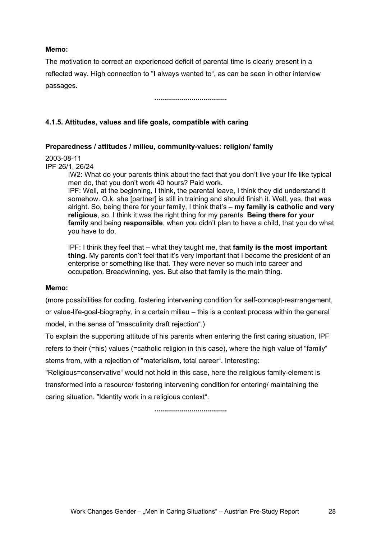#### **Memo:**

The motivation to correct an experienced deficit of parental time is clearly present in a reflected way. High connection to "I always wanted to", as can be seen in other interview passages.

**.....................................** 

#### **4.1.5. Attitudes, values and life goals, compatible with caring**

#### **Preparedness / attitudes / milieu, community-values: religion/ family**

2003-08-11

IPF 26/1, 26/24

IW2: What do your parents think about the fact that you don't live your life like typical men do, that you don't work 40 hours? Paid work.

IPF: Well, at the beginning, I think, the parental leave, I think they did understand it somehow. O.k. she [partner] is still in training and should finish it. Well, yes, that was alright. So, being there for your family, I think that's – **my family is catholic and very religious**, so. I think it was the right thing for my parents. **Being there for your family** and being **responsible**, when you didn't plan to have a child, that you do what you have to do.

IPF: I think they feel that – what they taught me, that **family is the most important thing**. My parents don't feel that it's very important that I become the president of an enterprise or something like that. They were never so much into career and occupation. Breadwinning, yes. But also that family is the main thing.

#### **Memo:**

(more possibilities for coding. fostering intervening condition for self-concept-rearrangement,

or value-life-goal-biography, in a certain milieu – this is a context process within the general model, in the sense of "masculinity draft rejection".)

To explain the supporting attitude of his parents when entering the first caring situation, IPF refers to their (=his) values (=catholic religion in this case), where the high value of "family" stems from, with a rejection of "materialism, total career". Interesting:

"Religious=conservative" would not hold in this case, here the religious family-element is transformed into a resource/ fostering intervening condition for entering/ maintaining the caring situation. "Identity work in a religious context".

**.....................................**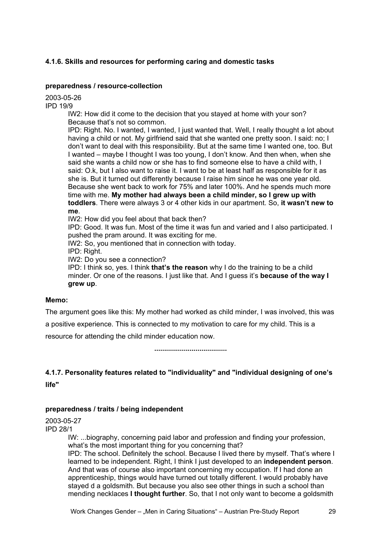## **4.1.6. Skills and resources for performing caring and domestic tasks**

#### **preparedness / resource-collection**

2003-05-26

IPD 19/9

IW2: How did it come to the decision that you stayed at home with your son? Because that's not so common.

IPD: Right. No. I wanted, I wanted, I just wanted that. Well, I really thought a lot about having a child or not. My girlfriend said that she wanted one pretty soon. I said: no; I don't want to deal with this responsibility. But at the same time I wanted one, too. But I wanted – maybe I thought I was too young, I don't know. And then when, when she said she wants a child now or she has to find someone else to have a child with, I said: O.k, but I also want to raise it. I want to be at least half as responsible for it as she is. But it turned out differently because I raise him since he was one year old. Because she went back to work for 75% and later 100%. And he spends much more time with me. **My mother had always been a child minder, so I grew up with toddlers**. There were always 3 or 4 other kids in our apartment. So, **it wasn't new to me**.

IW2: How did you feel about that back then?

IPD: Good. It was fun. Most of the time it was fun and varied and I also participated. I pushed the pram around. It was exciting for me.

IW2: So, you mentioned that in connection with today.

IPD: Right.

IW2: Do you see a connection?

IPD: I think so, yes. I think **that's the reason** why I do the training to be a child minder. Or one of the reasons. I just like that. And I guess it's **because of the way I grew up**.

#### **Memo:**

The argument goes like this: My mother had worked as child minder, I was involved, this was

a positive experience. This is connected to my motivation to care for my child. This is a

resource for attending the child minder education now.

**.....................................** 

## **4.1.7. Personality features related to "individuality" and "individual designing of one's**

**life"** 

#### **preparedness / traits / being independent**

2003-05-27

IPD 28/1

IW: ...biography, concerning paid labor and profession and finding your profession, what's the most important thing for you concerning that?

IPD: The school. Definitely the school. Because I lived there by myself. That's where I learned to be independent. Right, I think I just developed to an **independent person**. And that was of course also important concerning my occupation. If I had done an apprenticeship, things would have turned out totally different. I would probably have stayed d a goldsmith. But because you also see other things in such a school than mending necklaces **I thought further**. So, that I not only want to become a goldsmith

Work Changes Gender – "Men in Caring Situations" – Austrian Pre-Study Report 29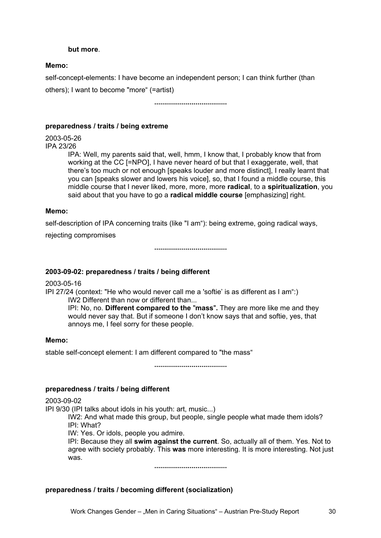#### **but more**.

#### **Memo:**

self-concept-elements: I have become an independent person; I can think further (than

others); I want to become "more" (=artist)

**.....................................** 

#### **preparedness / traits / being extreme**

2003-05-26

IPA 23/26

IPA: Well, my parents said that, well, hmm, I know that, I probably know that from working at the CC [=NPO]. I have never heard of but that I exaggerate, well, that there's too much or not enough [speaks louder and more distinct], I really learnt that you can [speaks slower and lowers his voice], so, that I found a middle course, this middle course that I never liked, more, more, more **radical**, to a **spiritualization**, you said about that you have to go a **radical middle course** [emphasizing] right.

#### **Memo:**

self-description of IPA concerning traits (like "I am"): being extreme, going radical ways,

rejecting compromises

**.....................................** 

#### **2003-09-02: preparedness / traits / being different**

2003-05-16

IPI 27/24 (context: "He who would never call me a 'softie' is as different as I am":) IW2 Different than now or different than...

IPI: No, no. **Different compared to the** "**mass**"**.** They are more like me and they would never say that. But if someone I don't know says that and softie, yes, that annoys me, I feel sorry for these people.

#### **Memo:**

stable self-concept element: I am different compared to "the mass"

**.....................................** 

#### **preparedness / traits / being different**

2003-09-02

IPI 9/30 (IPI talks about idols in his youth: art, music...)

IW2: And what made this group, but people, single people what made them idols? IPI: What?

IW: Yes. Or idols, people you admire.

IPI: Because they all **swim against the current**. So, actually all of them. Yes. Not to agree with society probably. This **was** more interesting. It is more interesting. Not just was.

**.....................................** 

#### **preparedness / traits / becoming different (socialization)**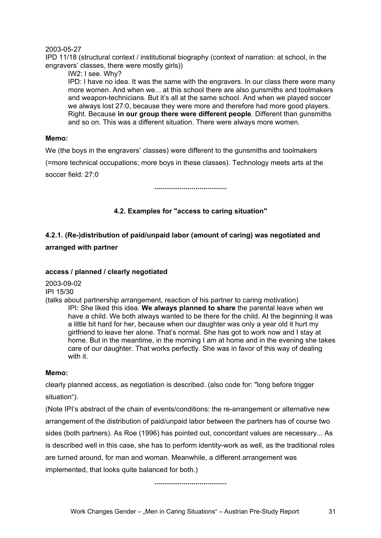#### 2003-05-27

IPD 11/18 (structural context / institutional biography (context of narration: at school, in the engravers' classes, there were mostly girls))

IW2: I see. Why?

IPD: I have no idea. It was the same with the engravers. In our class there were many more women. And when we... at this school there are also gunsmiths and toolmakers and weapon-technicians. But it's all at the same school. And when we played soccer we always lost 27:0, because they were more and therefore had more good players. Right. Because **in our group there were different people**. Different than gunsmiths and so on. This was a different situation. There were always more women.

#### **Memo:**

We (the boys in the engravers' classes) were different to the gunsmiths and toolmakers

(=more technical occupations; more boys in these classes). Technology meets arts at the

soccer field: 27:0

**.....................................** 

#### **4.2. Examples for "access to caring situation"**

## **4.2.1. (Re-)distribution of paid/unpaid labor (amount of caring) was negotiated and arranged with partner**

#### **access / planned / clearly negotiated**

2003-09-02 IPI 15/30

(talks about partnership arrangement, reaction of his partner to caring motivation) IPI: She liked this idea. **We always planned to share** the parental leave when we have a child. We both always wanted to be there for the child. At the beginning it was a little bit hard for her, because when our daughter was only a year old it hurt my girlfriend to leave her alone. That's normal. She has got to work now and I stay at home. But in the meantime, in the morning I am at home and in the evening she takes care of our daughter. That works perfectly. She was in favor of this way of dealing with it.

#### **Memo:**

clearly planned access, as negotiation is described. (also code for: "long before trigger situation").

(Note IPI's abstract of the chain of events/conditions: the re-arrangement or alternative new arrangement of the distribution of paid/unpaid labor between the partners has of course two sides (both partners). As Roe (1996) has pointed out, concordant values are necessary... As is described well in this case, she has to perform identity-work as well, as the traditional roles are turned around, for man and woman. Meanwhile, a different arrangement was implemented, that looks quite balanced for both.)

**.....................................**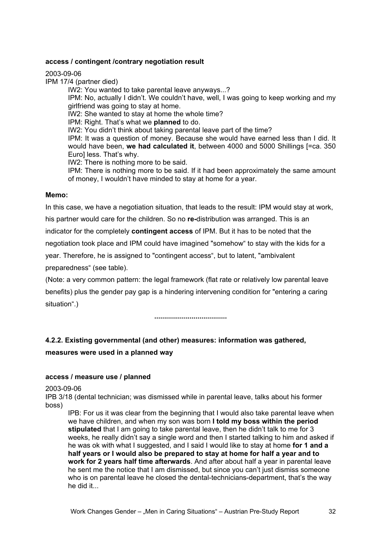#### **access / contingent /contrary negotiation result**

2003-09-06

IPM 17/4 (partner died)

IW2: You wanted to take parental leave anyways...? IPM: No, actually I didn't. We couldn't have, well, I was going to keep working and my girlfriend was going to stay at home. IW2: She wanted to stay at home the whole time? IPM: Right. That's what we **planned** to do. IW2: You didn't think about taking parental leave part of the time? IPM: It was a question of money. Because she would have earned less than I did. It would have been, **we had calculated it**, between 4000 and 5000 Shillings [=ca. 350 Euro] less. That's why. IW2: There is nothing more to be said. IPM: There is nothing more to be said. If it had been approximately the same amount of money, I wouldn't have minded to stay at home for a year.

#### **Memo:**

In this case, we have a negotiation situation, that leads to the result: IPM would stay at work,

his partner would care for the children. So no **re-**distribution was arranged. This is an indicator for the completely **contingent access** of IPM. But it has to be noted that the negotiation took place and IPM could have imagined "somehow" to stay with the kids for a year. Therefore, he is assigned to "contingent access", but to latent, "ambivalent preparedness" (see table).

(Note: a very common pattern: the legal framework (flat rate or relatively low parental leave benefits) plus the gender pay gap is a hindering intervening condition for "entering a caring situation".)

**.....................................** 

## **4.2.2. Existing governmental (and other) measures: information was gathered, measures were used in a planned way**

#### **access / measure use / planned**

2003-09-06

IPB 3/18 (dental technician; was dismissed while in parental leave, talks about his former boss)

IPB: For us it was clear from the beginning that I would also take parental leave when we have children, and when my son was born **I told my boss within the period stipulated** that I am going to take parental leave, then he didn't talk to me for 3 weeks, he really didn't say a single word and then I started talking to him and asked if he was ok with what I suggested, and I said I would like to stay at home **for 1 and a half years or I would also be prepared to stay at home for half a year and to work for 2 years half time afterwards**. And after about half a year in parental leave he sent me the notice that I am dismissed, but since you can't just dismiss someone who is on parental leave he closed the dental-technicians-department, that's the way he did it...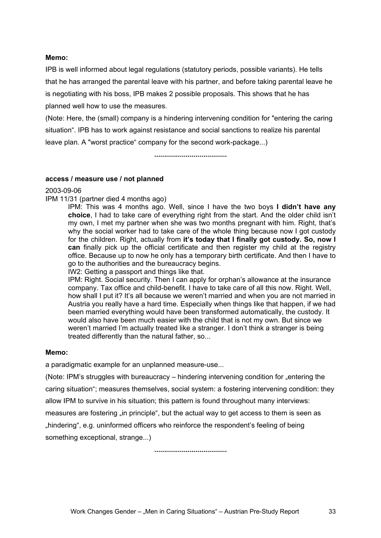#### **Memo:**

IPB is well informed about legal regulations (statutory periods, possible variants). He tells that he has arranged the parental leave with his partner, and before taking parental leave he is negotiating with his boss, IPB makes 2 possible proposals. This shows that he has planned well how to use the measures.

(Note: Here, the (small) company is a hindering intervening condition for "entering the caring situation". IPB has to work against resistance and social sanctions to realize his parental leave plan. A "worst practice" company for the second work-package...)

**.....................................** 

#### **access / measure use / not planned**

#### 2003-09-06

IPM 11/31 (partner died 4 months ago)

IPM: This was 4 months ago. Well, since I have the two boys **I didn't have any choice**, I had to take care of everything right from the start. And the older child isn't my own, I met my partner when she was two months pregnant with him. Right, that's why the social worker had to take care of the whole thing because now I got custody for the children. Right, actually from **it's today that I finally got custody. So, now I can** finally pick up the official certificate and then register my child at the registry office. Because up to now he only has a temporary birth certificate. And then I have to go to the authorities and the bureaucracy begins.

IW2: Getting a passport and things like that.

IPM: Right. Social security. Then I can apply for orphan's allowance at the insurance company. Tax office and child-benefit. I have to take care of all this now. Right. Well, how shall I put it? It's all because we weren't married and when you are not married in Austria you really have a hard time. Especially when things like that happen, if we had been married everything would have been transformed automatically, the custody. It would also have been much easier with the child that is not my own. But since we weren't married I'm actually treated like a stranger. I don't think a stranger is being treated differently than the natural father, so...

#### **Memo:**

a paradigmatic example for an unplanned measure-use...

(Note: IPM's struggles with bureaucracy – hindering intervening condition for "entering the caring situation"; measures themselves, social system: a fostering intervening condition: they allow IPM to survive in his situation; this pattern is found throughout many interviews: measures are fostering "in principle", but the actual way to get access to them is seen as "hindering", e.g. uninformed officers who reinforce the respondent's feeling of being something exceptional, strange...)

**.....................................**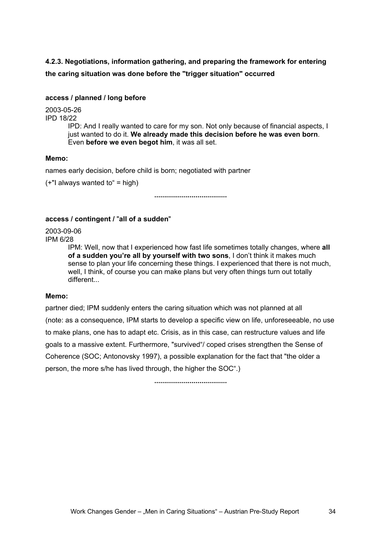## **4.2.3. Negotiations, information gathering, and preparing the framework for entering the caring situation was done before the "trigger situation" occurred**

#### **access / planned / long before**

2003-05-26

IPD 18/22

IPD: And I really wanted to care for my son. Not only because of financial aspects, I just wanted to do it. **We already made this decision before he was even born**. Even **before we even begot him**, it was all set.

#### **Memo:**

names early decision, before child is born; negotiated with partner

 $(+$ "I always wanted to" = high)

**.....................................** 

#### **access / contingent /** "**all of a sudden**"

2003-09-06 IPM 6/28

> IPM: Well, now that I experienced how fast life sometimes totally changes, where **all of a sudden you're all by yourself with two sons**, I don't think it makes much sense to plan your life concerning these things. I experienced that there is not much, well, I think, of course you can make plans but very often things turn out totally different...

#### **Memo:**

partner died; IPM suddenly enters the caring situation which was not planned at all (note: as a consequence, IPM starts to develop a specific view on life, unforeseeable, no use to make plans, one has to adapt etc. Crisis, as in this case, can restructure values and life goals to a massive extent. Furthermore, "survived"/ coped crises strengthen the Sense of Coherence (SOC; Antonovsky 1997), a possible explanation for the fact that "the older a person, the more s/he has lived through, the higher the SOC".)

**.....................................**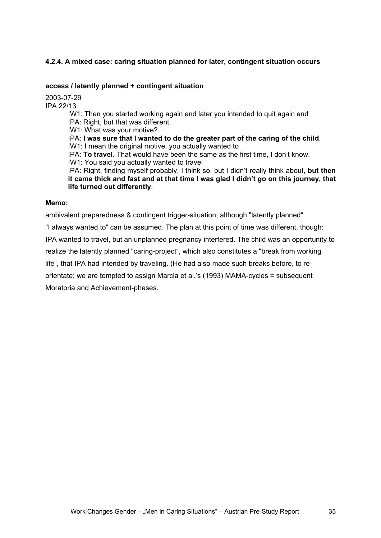## **4.2.4. A mixed case: caring situation planned for later, contingent situation occurs**

#### **access / latently planned + contingent situation**

2003-07-29

IPA 22/13

IW1: Then you started working again and later you intended to quit again and IPA: Right, but that was different.

IW1: What was your motive?

IPA: **I was sure that I wanted to do the greater part of the caring of the child**. IW1: I mean the original motive, you actually wanted to

IPA: **To travel.** That would have been the same as the first time, I don't know. IW1: You said you actually wanted to travel

IPA: Right, finding myself probably, I think so, but I didn't really think about, **but then it came thick and fast and at that time I was glad I didn't go on this journey, that life turned out differently**.

#### **Memo:**

ambivalent preparedness & contingent trigger-situation, although "latently planned"

"I always wanted to" can be assumed. The plan at this point of time was different, though:

IPA wanted to travel, but an unplanned pregnancy interfered. The child was an opportunity to

realize the latently planned "caring-project", which also constitutes a "break from working

life", that IPA had intended by traveling. (He had also made such breaks before, to re-

orientate; we are tempted to assign Marcia et al.'s (1993) MAMA-cycles = subsequent

Moratoria and Achievement-phases.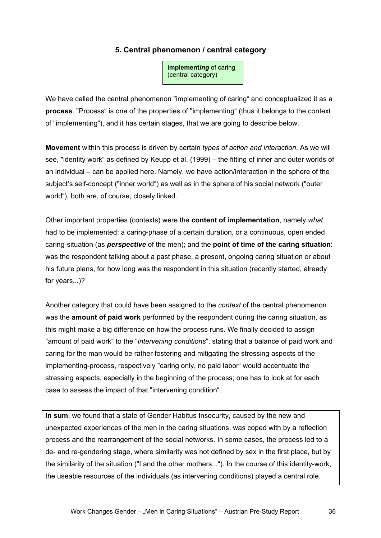## **5. Central phenomenon / central category**

**implement***ing* of caring (central category)

We have called the central phenomenon "implementing of caring" and conceptualized it as a **process**. "Process" is one of the properties of "implementing" (thus it belongs to the context of "implementing"), and it has certain stages, that we are going to describe below.

**Movement** within this process is driven by certain *types of action and interaction*. As we will see, "identity work" as defined by Keupp et al. (1999) – the fitting of inner and outer worlds of an individual – can be applied here. Namely, we have action/interaction in the sphere of the subject's self-concept ("inner world") as well as in the sphere of his social network ("outer world"), both are, of course, closely linked.

Other important properties (contexts) were the **content of implementation**, namely *what* had to be implemented: a caring-phase of a certain duration, or a continuous, open ended caring-situation (as *perspective* of the men); and the **point of time of the caring situation**: was the respondent talking about a past phase, a present, ongoing caring situation or about his future plans, for how long was the respondent in this situation (recently started, already for years...)?

Another category that could have been assigned to the *context* of the central phenomenon was the **amount of paid work** performed by the respondent during the caring situation, as this might make a big difference on how the process runs. We finally decided to assign "amount of paid work" to the "*intervening conditions*", stating that a balance of paid work and caring for the man would be rather fostering and mitigating the stressing aspects of the implementing-process, respectively "caring only, no paid labor" would accentuate the stressing aspects, especially in the beginning of the process; one has to look at for each case to assess the impact of that "intervening condition".

**In sum**, we found that a state of Gender Habitus Insecurity, caused by the new and unexpected experiences of the men in the caring situations, was coped with by a reflection process and the rearrangement of the social networks. In some cases, the process led to a de- and re-gendering stage, where similarity was not defined by sex in the first place, but by the similarity of the situation ("I and the other mothers..."). In the course of this identity-work, the useable resources of the individuals (as intervening conditions) played a central role.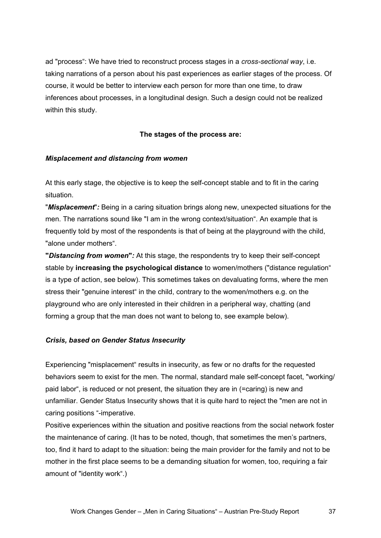ad "process": We have tried to reconstruct process stages in a *cross-sectional way*, i.e. taking narrations of a person about his past experiences as earlier stages of the process. Of course, it would be better to interview each person for more than one time, to draw inferences about processes, in a longitudinal design. Such a design could not be realized within this study.

### **The stages of the process are:**

### *Misplacement and distancing from women*

At this early stage, the objective is to keep the self-concept stable and to fit in the caring situation.

"*Misplacement*"*:* Being in a caring situation brings along new, unexpected situations for the men. The narrations sound like "I am in the wrong context/situation". An example that is frequently told by most of the respondents is that of being at the playground with the child, "alone under mothers".

**"***Distancing from women***"***:* At this stage, the respondents try to keep their self-concept stable by **increasing the psychological distance** to women/mothers ("distance regulation" is a type of action, see below). This sometimes takes on devaluating forms, where the men stress their "genuine interest" in the child, contrary to the women/mothers e.g. on the playground who are only interested in their children in a peripheral way, chatting (and forming a group that the man does not want to belong to, see example below).

### *Crisis, based on Gender Status Insecurity*

Experiencing "misplacement" results in insecurity, as few or no drafts for the requested behaviors seem to exist for the men. The normal, standard male self-concept facet, "working/ paid labor", is reduced or not present, the situation they are in (=caring) is new and unfamiliar. Gender Status Insecurity shows that it is quite hard to reject the "men are not in caring positions "-imperative.

Positive experiences within the situation and positive reactions from the social network foster the maintenance of caring. (It has to be noted, though, that sometimes the men's partners, too, find it hard to adapt to the situation: being the main provider for the family and not to be mother in the first place seems to be a demanding situation for women, too, requiring a fair amount of "identity work".)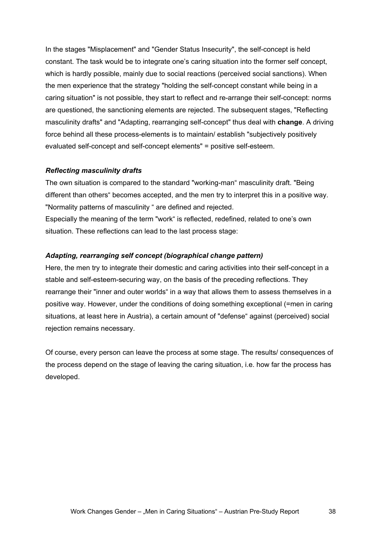In the stages "Misplacement" and "Gender Status Insecurity", the self-concept is held constant. The task would be to integrate one's caring situation into the former self concept, which is hardly possible, mainly due to social reactions (perceived social sanctions). When the men experience that the strategy "holding the self-concept constant while being in a caring situation" is not possible, they start to reflect and re-arrange their self-concept: norms are questioned, the sanctioning elements are rejected. The subsequent stages, "Reflecting masculinity drafts" and "Adapting, rearranging self-concept" thus deal with **change**. A driving force behind all these process-elements is to maintain/ establish "subjectively positively evaluated self-concept and self-concept elements" = positive self-esteem.

### *Reflecting masculinity drafts*

The own situation is compared to the standard "working-man" masculinity draft. "Being different than others" becomes accepted, and the men try to interpret this in a positive way. "Normality patterns of masculinity " are defined and rejected.

Especially the meaning of the term "work" is reflected, redefined, related to one's own situation. These reflections can lead to the last process stage:

### *Adapting, rearranging self concept (biographical change pattern)*

Here, the men try to integrate their domestic and caring activities into their self-concept in a stable and self-esteem-securing way, on the basis of the preceding reflections. They rearrange their "inner and outer worlds" in a way that allows them to assess themselves in a positive way. However, under the conditions of doing something exceptional (=men in caring situations, at least here in Austria), a certain amount of "defense" against (perceived) social rejection remains necessary.

Of course, every person can leave the process at some stage. The results/ consequences of the process depend on the stage of leaving the caring situation, i.e. how far the process has developed.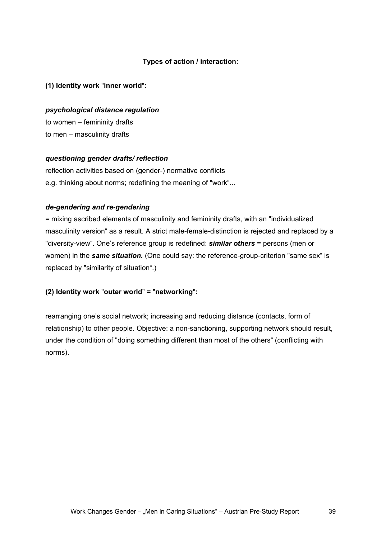### **Types of action / interaction:**

**(1) Identity work** "**inner world**"**:** 

### *psychological distance regulation*

to women – femininity drafts to men – masculinity drafts

### *questioning gender drafts/ reflection*

reflection activities based on (gender-) normative conflicts e.g. thinking about norms; redefining the meaning of "work"...

### *de-gendering and re-gendering*

= mixing ascribed elements of masculinity and femininity drafts, with an "individualized masculinity version" as a result. A strict male-female-distinction is rejected and replaced by a "diversity-view". One's reference group is redefined: *similar others* = persons (men or women) in the **same situation.** (One could say: the reference-group-criterion "same sex" is replaced by "similarity of situation".)

### **(2) Identity work** "**outer world**" **=** "**networking**"**:**

rearranging one's social network; increasing and reducing distance (contacts, form of relationship) to other people. Objective: a non-sanctioning, supporting network should result, under the condition of "doing something different than most of the others" (conflicting with norms).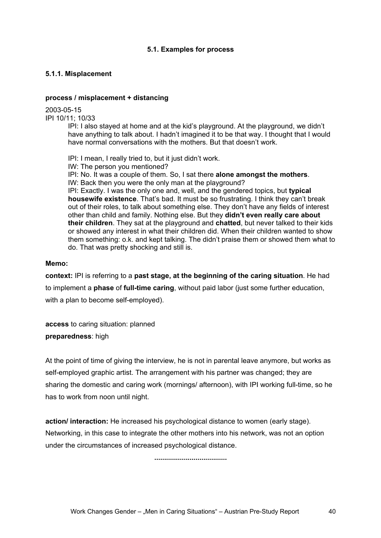### **5.1. Examples for process**

### **5.1.1. Misplacement**

### **process / misplacement + distancing**

2003-05-15 IPI 10/11; 10/33

IPI: I also stayed at home and at the kid's playground. At the playground, we didn't have anything to talk about. I hadn't imagined it to be that way. I thought that I would have normal conversations with the mothers. But that doesn't work.

IPI: I mean, I really tried to, but it just didn't work. IW: The person you mentioned? IPI: No. It was a couple of them. So, I sat there **alone amongst the mothers**. IW: Back then you were the only man at the playground? IPI: Exactly. I was the only one and, well, and the gendered topics, but **typical housewife existence**. That's bad. It must be so frustrating. I think they can't break out of their roles, to talk about something else. They don't have any fields of interest other than child and family. Nothing else. But they **didn't even really care about their children**. They sat at the playground and **chatted**, but never talked to their kids or showed any interest in what their children did. When their children wanted to show them something: o.k. and kept talking. The didn't praise them or showed them what to do. That was pretty shocking and still is.

### **Memo:**

**context:** IPI is referring to a **past stage, at the beginning of the caring situation**. He had to implement a **phase** of **full-time caring**, without paid labor (just some further education, with a plan to become self-employed).

**access** to caring situation: planned **preparedness**: high

At the point of time of giving the interview, he is not in parental leave anymore, but works as self-employed graphic artist. The arrangement with his partner was changed; they are sharing the domestic and caring work (mornings/ afternoon), with IPI working full-time, so he has to work from noon until night.

**action/ interaction:** He increased his psychological distance to women (early stage). Networking, in this case to integrate the other mothers into his network, was not an option under the circumstances of increased psychological distance.

**.....................................**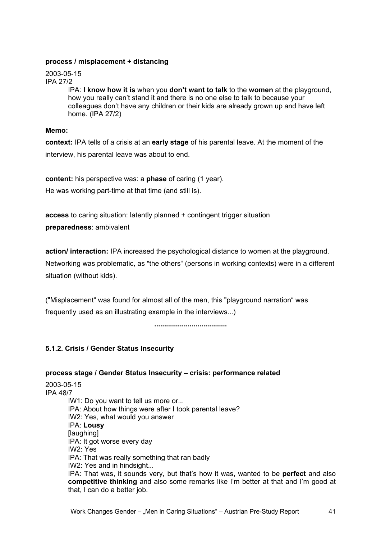### **process / misplacement + distancing**

2003-05-15 IPA 27/2

IPA: **I know how it is** when you **don't want to talk** to the **women** at the playground, how you really can't stand it and there is no one else to talk to because your colleagues don't have any children or their kids are already grown up and have left home. (IPA 27/2)

### **Memo:**

**context:** IPA tells of a crisis at an **early stage** of his parental leave. At the moment of the interview, his parental leave was about to end.

**content:** his perspective was: a **phase** of caring (1 year). He was working part-time at that time (and still is).

**access** to caring situation: latently planned + contingent trigger situation **preparedness**: ambivalent

**action/ interaction:** IPA increased the psychological distance to women at the playground. Networking was problematic, as "the others" (persons in working contexts) were in a different situation (without kids).

("Misplacement" was found for almost all of the men, this "playground narration" was frequently used as an illustrating example in the interviews...)

**.....................................** 

### **5.1.2. Crisis / Gender Status Insecurity**

**process stage / Gender Status Insecurity – crisis: performance related**  2003-05-15 IPA 48/7 IW1: Do you want to tell us more or... IPA: About how things were after I took parental leave? IW2: Yes, what would you answer IPA: **Lousy** [laughing] IPA: It got worse every day IW2: Yes IPA: That was really something that ran badly IW2: Yes and in hindsight... IPA: That was, it sounds very, but that's how it was, wanted to be **perfect** and also **competitive thinking** and also some remarks like I'm better at that and I'm good at that, I can do a better job.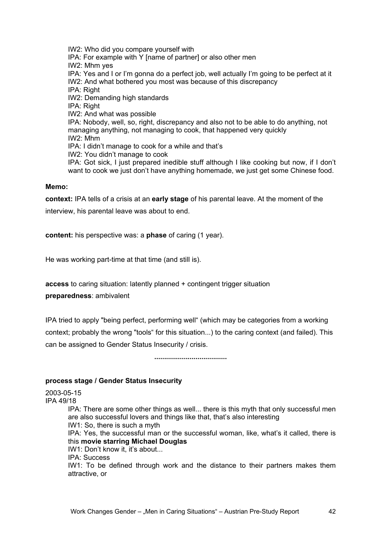IW2: Who did you compare yourself with IPA: For example with Y [name of partner] or also other men IW2: Mhm yes IPA: Yes and I or I'm gonna do a perfect job, well actually I'm going to be perfect at it IW2: And what bothered you most was because of this discrepancy IPA: Right IW2: Demanding high standards IPA: Right IW2: And what was possible IPA: Nobody, well, so, right, discrepancy and also not to be able to do anything, not managing anything, not managing to cook, that happened very quickly IW2: Mhm IPA: I didn't manage to cook for a while and that's IW2: You didn't manage to cook IPA: Got sick, I just prepared inedible stuff although I like cooking but now, if I don't want to cook we just don't have anything homemade, we just get some Chinese food.

#### **Memo:**

**context:** IPA tells of a crisis at an **early stage** of his parental leave. At the moment of the

interview, his parental leave was about to end.

**content:** his perspective was: a **phase** of caring (1 year).

He was working part-time at that time (and still is).

**access** to caring situation: latently planned + contingent trigger situation

**preparedness**: ambivalent

IPA tried to apply "being perfect, performing well" (which may be categories from a working context; probably the wrong "tools" for this situation...) to the caring context (and failed). This can be assigned to Gender Status Insecurity / crisis.

**.....................................** 

#### **process stage / Gender Status Insecurity**

2003-05-15 IPA 49/18 IPA: There are some other things as well... there is this myth that only successful men are also successful lovers and things like that, that's also interesting IW1: So, there is such a myth IPA: Yes, the successful man or the successful woman, like, what's it called, there is this **movie starring Michael Douglas** IW1: Don't know it, it's about... IPA: Success IW1: To be defined through work and the distance to their partners makes them attractive, or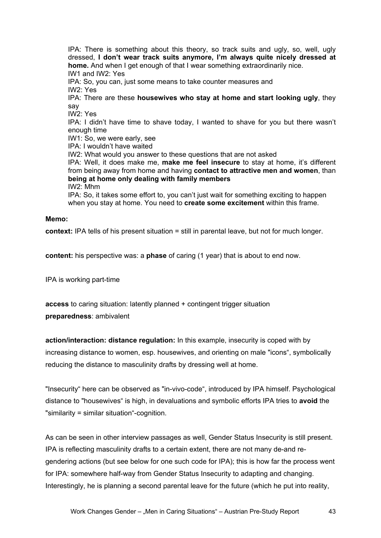IPA: There is something about this theory, so track suits and ugly, so, well, ugly dressed, **I don't wear track suits anymore, I'm always quite nicely dressed at home.** And when I get enough of that I wear something extraordinarily nice. IW1 and IW2: Yes IPA: So, you can, just some means to take counter measures and IW2: Yes IPA: There are these **housewives who stay at home and start looking ugly**, they say IW2: Yes IPA: I didn't have time to shave today, I wanted to shave for you but there wasn't enough time IW1: So, we were early, see IPA: I wouldn't have waited IW2: What would you answer to these questions that are not asked IPA: Well, it does make me, **make me feel insecure** to stay at home, it's different from being away from home and having **contact to attractive men and women**, than **being at home only dealing with family members**  IW2: Mhm IPA: So, it takes some effort to, you can't just wait for something exciting to happen when you stay at home. You need to **create some excitement** within this frame.

### **Memo:**

**context:** IPA tells of his present situation = still in parental leave, but not for much longer.

**content:** his perspective was: a **phase** of caring (1 year) that is about to end now.

IPA is working part-time

**access** to caring situation: latently planned + contingent trigger situation **preparedness**: ambivalent

**action/interaction: distance regulation:** In this example, insecurity is coped with by increasing distance to women, esp. housewives, and orienting on male "icons", symbolically reducing the distance to masculinity drafts by dressing well at home.

"Insecurity" here can be observed as "in-vivo-code", introduced by IPA himself. Psychological distance to "housewives" is high, in devaluations and symbolic efforts IPA tries to **avoid** the "similarity = similar situation"-cognition.

As can be seen in other interview passages as well, Gender Status Insecurity is still present. IPA is reflecting masculinity drafts to a certain extent, there are not many de-and regendering actions (but see below for one such code for IPA); this is how far the process went for IPA: somewhere half-way from Gender Status Insecurity to adapting and changing. Interestingly, he is planning a second parental leave for the future (which he put into reality,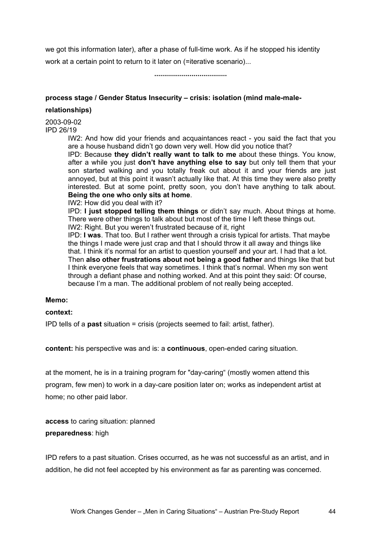we got this information later), after a phase of full-time work. As if he stopped his identity work at a certain point to return to it later on (=iterative scenario)...

**.....................................** 

### **process stage / Gender Status Insecurity – crisis: isolation (mind male-male-**

#### **relationships)**

2003-09-02 IPD 26/19

> IW2: And how did your friends and acquaintances react - you said the fact that you are a house husband didn't go down very well. How did you notice that?

> IPD: Because **they didn't really want to talk to me** about these things. You know, after a while you just **don't have anything else to say** but only tell them that your son started walking and you totally freak out about it and your friends are just annoyed, but at this point it wasn't actually like that. At this time they were also pretty interested. But at some point, pretty soon, you don't have anything to talk about. **Being the one who only sits at home**.

IW2: How did you deal with it?

IPD: **I just stopped telling them things** or didn't say much. About things at home. There were other things to talk about but most of the time I left these things out.

IW2: Right. But you weren't frustrated because of it, right

IPD: **I was**. That too. But I rather went through a crisis typical for artists. That maybe the things I made were just crap and that I should throw it all away and things like that. I think it's normal for an artist to question yourself and your art. I had that a lot. Then **also other frustrations about not being a good father** and things like that but I think everyone feels that way sometimes. I think that's normal. When my son went through a defiant phase and nothing worked. And at this point they said: Of course, because I'm a man. The additional problem of not really being accepted.

#### **Memo:**

### **context:**

IPD tells of a **past** situation = crisis (projects seemed to fail: artist, father).

**content:** his perspective was and is: a **continuous**, open-ended caring situation.

at the moment, he is in a training program for "day-caring" (mostly women attend this program, few men) to work in a day-care position later on; works as independent artist at home; no other paid labor.

**access** to caring situation: planned **preparedness**: high

IPD refers to a past situation. Crises occurred, as he was not successful as an artist, and in addition, he did not feel accepted by his environment as far as parenting was concerned.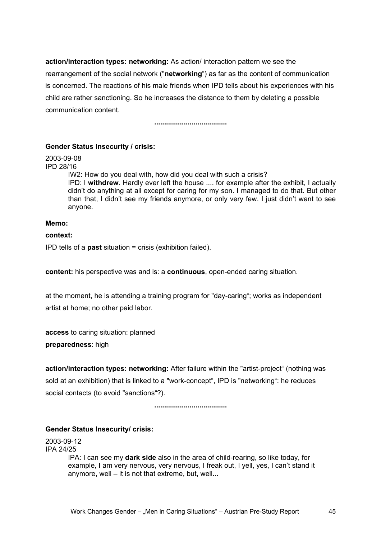**action/interaction types: networking:** As action/ interaction pattern we see the rearrangement of the social network ("**networking**") as far as the content of communication is concerned. The reactions of his male friends when IPD tells about his experiences with his child are rather sanctioning. So he increases the distance to them by deleting a possible communication content.

**.....................................** 

#### **Gender Status Insecurity / crisis:**

2003-09-08

IPD 28/16

IW2: How do you deal with, how did you deal with such a crisis? IPD: I **withdrew**. Hardly ever left the house .... for example after the exhibit, I actually didn't do anything at all except for caring for my son. I managed to do that. But other than that, I didn't see my friends anymore, or only very few. I just didn't want to see anyone.

### **Memo:**

### **context:**

IPD tells of a **past** situation = crisis (exhibition failed).

**content:** his perspective was and is: a **continuous**, open-ended caring situation.

at the moment, he is attending a training program for "day-caring"; works as independent artist at home; no other paid labor.

**access** to caring situation: planned **preparedness**: high

**action/interaction types: networking:** After failure within the "artist-project" (nothing was sold at an exhibition) that is linked to a "work-concept", IPD is "networking": he reduces social contacts (to avoid "sanctions"?).

**.....................................** 

### **Gender Status Insecurity/ crisis:**

2003-09-12 IPA 24/25 IPA: I can see my **dark side** also in the area of child-rearing, so like today, for example, I am very nervous, very nervous, I freak out, I yell, yes, I can't stand it anymore, well – it is not that extreme, but, well...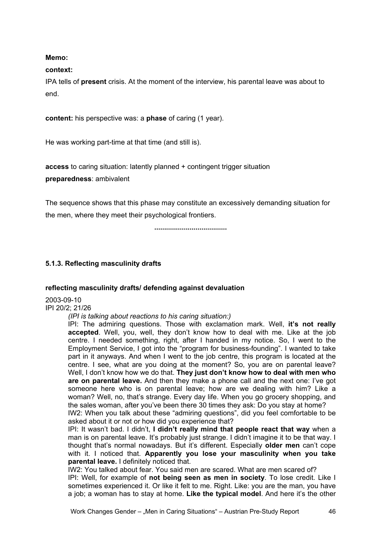### **Memo:**

### **context:**

IPA tells of **present** crisis. At the moment of the interview, his parental leave was about to end.

**content:** his perspective was: a **phase** of caring (1 year).

He was working part-time at that time (and still is).

**access** to caring situation: latently planned + contingent trigger situation

**preparedness**: ambivalent

The sequence shows that this phase may constitute an excessively demanding situation for the men, where they meet their psychological frontiers.

**.....................................** 

# **5.1.3. Reflecting masculinity drafts**

### **reflecting masculinity drafts/ defending against devaluation**

2003-09-10 IPI 20/2; 21/26

*(IPI is talking about reactions to his caring situation:)* 

IPI: The admiring questions. Those with exclamation mark. Well, **it's not really accepted**. Well, you, well, they don't know how to deal with me. Like at the job centre. I needed something, right, after I handed in my notice. So, I went to the Employment Service, I got into the "program for business-founding". I wanted to take part in it anyways. And when I went to the job centre, this program is located at the centre. I see, what are you doing at the moment? So, you are on parental leave? Well, I don't know how we do that. **They just don't know how to deal with men who are on parental leave.** And then they make a phone call and the next one: I've got someone here who is on parental leave; how are we dealing with him? Like a woman? Well, no, that's strange. Every day life. When you go grocery shopping, and the sales woman, after you've been there 30 times they ask: Do you stay at home? IW2: When you talk about these "admiring questions", did you feel comfortable to be

asked about it or not or how did you experience that?

IPI: It wasn't bad. I didn't, **I didn't really mind that people react that way** when a man is on parental leave. It's probably just strange. I didn't imagine it to be that way. I thought that's normal nowadays. But it's different. Especially **older men** can't cope with it. I noticed that. **Apparently you lose your masculinity when you take parental leave.** I definitely noticed that.

IW2: You talked about fear. You said men are scared. What are men scared of? IPI: Well, for example of **not being seen as men in society**. To lose credit. Like I sometimes experienced it. Or like it felt to me. Right. Like: you are the man, you have a job; a woman has to stay at home. **Like the typical model**. And here it's the other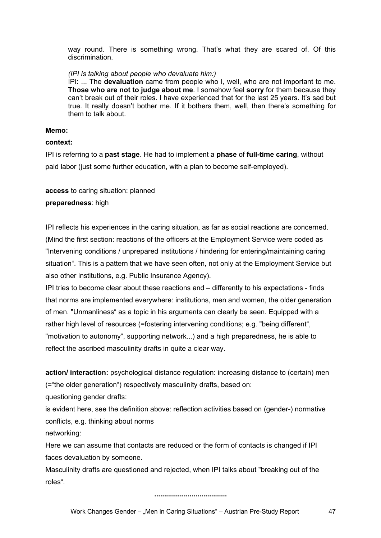way round. There is something wrong. That's what they are scared of. Of this discrimination.

### *(IPI is talking about people who devaluate him:)*

IPI: ... The **devaluation** came from people who I, well, who are not important to me. **Those who are not to judge about me**. I somehow feel **sorry** for them because they can't break out of their roles. I have experienced that for the last 25 years. It's sad but true. It really doesn't bother me. If it bothers them, well, then there's something for them to talk about.

### **Memo:**

### **context:**

IPI is referring to a **past stage**. He had to implement a **phase** of **full-time caring**, without paid labor (just some further education, with a plan to become self-employed).

### **access** to caring situation: planned

### **preparedness**: high

IPI reflects his experiences in the caring situation, as far as social reactions are concerned. (Mind the first section: reactions of the officers at the Employment Service were coded as "Intervening conditions / unprepared institutions / hindering for entering/maintaining caring situation". This is a pattern that we have seen often, not only at the Employment Service but also other institutions, e.g. Public Insurance Agency).

IPI tries to become clear about these reactions and – differently to his expectations - finds that norms are implemented everywhere: institutions, men and women, the older generation of men. "Unmanliness" as a topic in his arguments can clearly be seen. Equipped with a rather high level of resources (=fostering intervening conditions; e.g. "being different", "motivation to autonomy", supporting network...) and a high preparedness, he is able to reflect the ascribed masculinity drafts in quite a clear way.

**action/ interaction:** psychological distance regulation: increasing distance to (certain) men (="the older generation") respectively masculinity drafts, based on:

questioning gender drafts:

is evident here, see the definition above: reflection activities based on (gender-) normative conflicts, e.g. thinking about norms

networking:

Here we can assume that contacts are reduced or the form of contacts is changed if IPI faces devaluation by someone.

Masculinity drafts are questioned and rejected, when IPI talks about "breaking out of the roles".

**.....................................**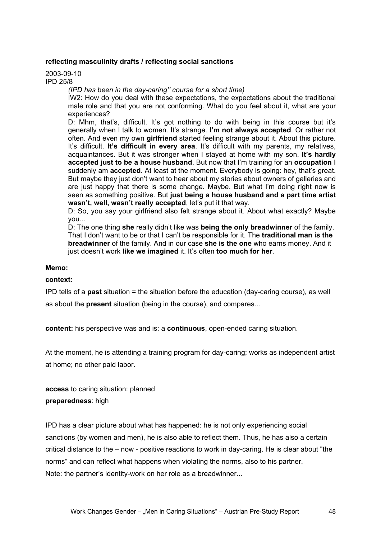### **reflecting masculinity drafts / reflecting social sanctions**

2003-09-10 IPD 25/8

*(IPD has been in the day-caring'' course for a short time)* 

IW2: How do you deal with these expectations, the expectations about the traditional male role and that you are not conforming. What do you feel about it, what are your experiences?

D: Mhm, that's, difficult. It's got nothing to do with being in this course but it's generally when I talk to women. It's strange. **I'm not always accepted**. Or rather not often. And even my own **girlfriend** started feeling strange about it. About this picture. It's difficult. **It's difficult in every area**. It's difficult with my parents, my relatives, acquaintances. But it was stronger when I stayed at home with my son. **It's hardly accepted just to be a house husband**. But now that I'm training for an **occupation** I suddenly am **accepted**. At least at the moment. Everybody is going: hey, that's great. But maybe they just don't want to hear about my stories about owners of galleries and are just happy that there is some change. Maybe. But what I'm doing right now is seen as something positive. But **just being a house husband and a part time artist wasn't, well, wasn't really accepted**, let's put it that way.

D: So, you say your girlfriend also felt strange about it. About what exactly? Maybe you...

D: The one thing **she** really didn't like was **being the only breadwinner** of the family. That I don't want to be or that I can't be responsible for it. The **traditional man is the breadwinner** of the family. And in our case **she is the one** who earns money. And it just doesn't work **like we imagined** it. It's often **too much for her**.

### **Memo:**

#### **context:**

IPD tells of a **past** situation = the situation before the education (day-caring course), as well

as about the **present** situation (being in the course), and compares...

**content:** his perspective was and is: a **continuous**, open-ended caring situation.

At the moment, he is attending a training program for day-caring; works as independent artist at home; no other paid labor.

**access** to caring situation: planned **preparedness**: high

IPD has a clear picture about what has happened: he is not only experiencing social sanctions (by women and men), he is also able to reflect them. Thus, he has also a certain critical distance to the – now - positive reactions to work in day-caring. He is clear about "the norms" and can reflect what happens when violating the norms, also to his partner. Note: the partner's identity-work on her role as a breadwinner...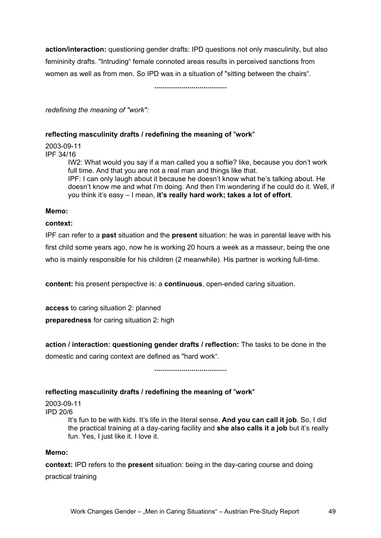**action/interaction:** questioning gender drafts: IPD questions not only masculinity, but also femininity drafts. "Intruding" female connoted areas results in perceived sanctions from women as well as from men. So IPD was in a situation of "sitting between the chairs".

**.....................................** 

*redefining the meaning of "work":* 

### **reflecting masculinity drafts / redefining the meaning of** "**work**"

2003-09-11

IPF 34/16

IW2: What would you say if a man called you a softie? like, because you don't work full time. And that you are not a real man and things like that. IPF: I can only laugh about it because he doesn't know what he's talking about. He doesn't know me and what I'm doing. And then I'm wondering if he could do it. Well, if you think it's easy – I mean, **it's really hard work; takes a lot of effort**.

### **Memo:**

### **context:**

IPF can refer to a **past** situation and the **present** situation: he was in parental leave with his first child some years ago, now he is working 20 hours a week as a masseur, being the one who is mainly responsible for his children (2 meanwhile). His partner is working full-time.

**content:** his present perspective is: a **continuous**, open-ended caring situation.

**access** to caring situation 2: planned **preparedness** for caring situation 2: high

**action / interaction: questioning gender drafts / reflection:** The tasks to be done in the domestic and caring context are defined as "hard work".

**.....................................** 

### **reflecting masculinity drafts / redefining the meaning of** "**work**"

2003-09-11 IPD 20/6

It's fun to be with kids. It's life in the literal sense. **And you can call it job**. So, I did the practical training at a day-caring facility and **she also calls it a job** but it's really fun. Yes, I just like it. I love it.

### **Memo:**

**context:** IPD refers to the **present** situation: being in the day-caring course and doing practical training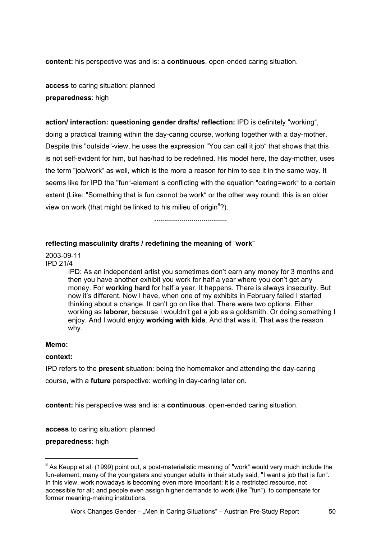**content:** his perspective was and is: a **continuous**, open-ended caring situation.

**access** to caring situation: planned **preparedness**: high

**action/ interaction: questioning gender drafts/ reflection:** IPD is definitely "working", doing a practical training within the day-caring course, working together with a day-mother. Despite this "outside"-view, he uses the expression "You can call it job" that shows that this is not self-evident for him, but has/had to be redefined. His model here, the day-mother, uses the term "job/work" as well, which is the more a reason for him to see it in the same way. It seems like for IPD the "fun"-element is conflicting with the equation "caring=work" to a certain extent (Like: "Something that is fun cannot be work" or the other way round; this is an older view on work (that might be linked to his milieu of origin<sup>8</sup>?).

**.....................................** 

### **reflecting masculinity drafts / redefining the meaning of** "**work**"

2003-09-11 IPD 21/4

> IPD: As an independent artist you sometimes don't earn any money for 3 months and then you have another exhibit you work for half a year where you don't get any money. For **working hard** for half a year. It happens. There is always insecurity. But now it's different. Now I have, when one of my exhibits in February failed I started thinking about a change. It can't go on like that. There were two options. Either working as **laborer**, because I wouldn't get a job as a goldsmith. Or doing something I enjoy. And I would enjoy **working with kids**. And that was it. That was the reason why.

### **Memo:**

l

### **context:**

IPD refers to the **present** situation: being the homemaker and attending the day-caring course, with a **future** perspective: working in day-caring later on.

**content:** his perspective was and is: a **continuous**, open-ended caring situation.

**access** to caring situation: planned

**preparedness**: high

 $^8$  As Keupp et al. (1999) point out, a post-materialistic meaning of "work" would very much include the fun-element, many of the youngsters and younger adults in their study said, "I want a job that is fun". In this view, work nowadays is becoming even more important: it is a restricted resource, not accessible for all; and people even assign higher demands to work (like "fun"), to compensate for former meaning-making institutions.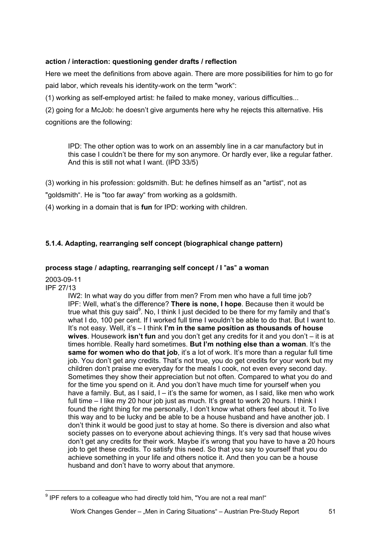# **action / interaction: questioning gender drafts / reflection**

Here we meet the definitions from above again. There are more possibilities for him to go for paid labor, which reveals his identity-work on the term "work":

(1) working as self-employed artist: he failed to make money, various difficulties...

(2) going for a McJob: he doesn't give arguments here why he rejects this alternative. His cognitions are the following:

IPD: The other option was to work on an assembly line in a car manufactory but in this case I couldn't be there for my son anymore. Or hardly ever, like a regular father. And this is still not what I want. (IPD 33/5)

(3) working in his profession: goldsmith. But: he defines himself as an "artist", not as

"goldsmith". He is "too far away" from working as a goldsmith.

(4) working in a domain that is **fun** for IPD: working with children.

# **5.1.4. Adapting, rearranging self concept (biographical change pattern)**

# **process stage / adapting, rearranging self concept / I** "**as**" **a woman**

2003-09-11 IPF 27/13

> IW2: In what way do you differ from men? From men who have a full time job? IPF: Well, what's the difference? **There is none, I hope**. Because then it would be true what this guy said<sup>9</sup>. No, I think I just decided to be there for my family and that's what I do, 100 per cent. If I worked full time I wouldn't be able to do that. But I want to. It's not easy. Well, it's – I think **I'm in the same position as thousands of house wives**. Housework **isn't fun** and you don't get any credits for it and you don't – it is at times horrible. Really hard sometimes. **But I'm nothing else than a woman**. It's the same for women who do that job, it's a lot of work. It's more than a regular full time job. You don't get any credits. That's not true, you do get credits for your work but my children don't praise me everyday for the meals I cook, not even every second day. Sometimes they show their appreciation but not often. Compared to what you do and for the time you spend on it. And you don't have much time for yourself when you have a family. But, as I said, I – it's the same for women, as I said, like men who work full time – I like my 20 hour job just as much. It's great to work 20 hours. I think I found the right thing for me personally, I don't know what others feel about it. To live this way and to be lucky and be able to be a house husband and have another job. I don't think it would be good just to stay at home. So there is diversion and also what society passes on to everyone about achieving things. It's very sad that house wives don't get any credits for their work. Maybe it's wrong that you have to have a 20 hours job to get these credits. To satisfy this need. So that you say to yourself that you do achieve something in your life and others notice it. And then you can be a house husband and don't have to worry about that anymore.

l  $9$  IPF refers to a colleague who had directly told him, "You are not a real man!"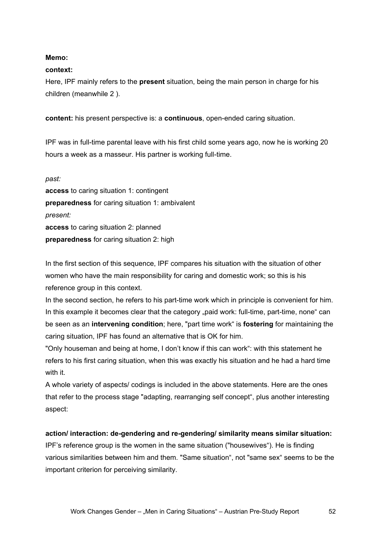### **Memo:**

### **context:**

Here, IPF mainly refers to the **present** situation, being the main person in charge for his children (meanwhile 2 ).

**content:** his present perspective is: a **continuous**, open-ended caring situation.

IPF was in full-time parental leave with his first child some years ago, now he is working 20 hours a week as a masseur. His partner is working full-time.

*past:*  **access** to caring situation 1: contingent **preparedness** for caring situation 1: ambivalent *present:*  **access** to caring situation 2: planned **preparedness** for caring situation 2: high

In the first section of this sequence, IPF compares his situation with the situation of other women who have the main responsibility for caring and domestic work; so this is his reference group in this context.

In the second section, he refers to his part-time work which in principle is convenient for him. In this example it becomes clear that the category "paid work: full-time, part-time, none" can be seen as an **intervening condition**; here, "part time work" is **fostering** for maintaining the caring situation, IPF has found an alternative that is OK for him.

"Only houseman and being at home, I don't know if this can work": with this statement he refers to his first caring situation, when this was exactly his situation and he had a hard time with it.

A whole variety of aspects/ codings is included in the above statements. Here are the ones that refer to the process stage "adapting, rearranging self concept", plus another interesting aspect:

### **action/ interaction: de-gendering and re-gendering/ similarity means similar situation:**

IPF's reference group is the women in the same situation ("housewives"). He is finding various similarities between him and them. "Same situation", not "same sex" seems to be the important criterion for perceiving similarity.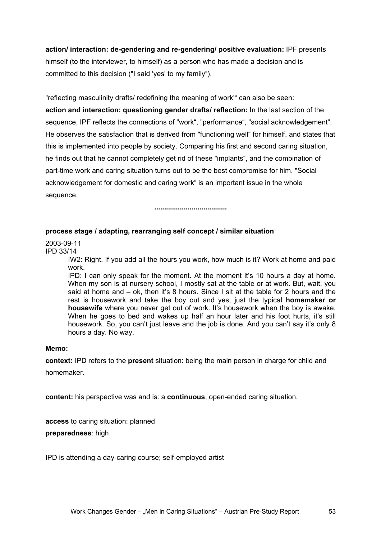**action/ interaction: de-gendering and re-gendering/ positive evaluation:** IPF presents himself (to the interviewer, to himself) as a person who has made a decision and is committed to this decision ("I said 'yes' to my family").

"reflecting masculinity drafts/ redefining the meaning of work'" can also be seen: **action and interaction: questioning gender drafts/ reflection:** In the last section of the sequence, IPF reflects the connections of "work", "performance", "social acknowledgement". He observes the satisfaction that is derived from "functioning well" for himself, and states that this is implemented into people by society. Comparing his first and second caring situation, he finds out that he cannot completely get rid of these "implants", and the combination of part-time work and caring situation turns out to be the best compromise for him. "Social acknowledgement for domestic and caring work" is an important issue in the whole sequence.

**.....................................** 

### **process stage / adapting, rearranging self concept / similar situation**

2003-09-11

IPD 33/14

IW2: Right. If you add all the hours you work, how much is it? Work at home and paid work.

IPD: I can only speak for the moment. At the moment it's 10 hours a day at home. When my son is at nursery school, I mostly sat at the table or at work. But, wait, you said at home and – ok, then it's 8 hours. Since I sit at the table for 2 hours and the rest is housework and take the boy out and yes, just the typical **homemaker or housewife** where you never get out of work. It's housework when the boy is awake. When he goes to bed and wakes up half an hour later and his foot hurts, it's still housework. So, you can't just leave and the job is done. And you can't say it's only 8 hours a day. No way.

### **Memo:**

**context:** IPD refers to the **present** situation: being the main person in charge for child and homemaker.

**content:** his perspective was and is: a **continuous**, open-ended caring situation.

**access** to caring situation: planned

**preparedness**: high

IPD is attending a day-caring course; self-employed artist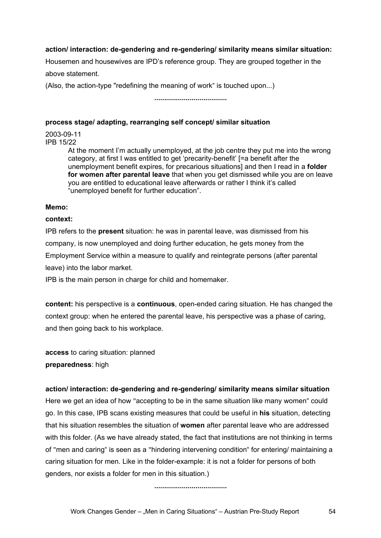### **action/ interaction: de-gendering and re-gendering/ similarity means similar situation:**

Housemen and housewives are IPD's reference group. They are grouped together in the above statement.

(Also, the action-type "redefining the meaning of work" is touched upon...)

# **.....................................**

### **process stage/ adapting, rearranging self concept/ similar situation**

2003-09-11 IPB 15/22

> At the moment I'm actually unemployed, at the job centre they put me into the wrong category, at first I was entitled to get 'precarity-benefit' [=a benefit after the unemployment benefit expires, for precarious situations] and then I read in a **folder for women after parental leave** that when you get dismissed while you are on leave you are entitled to educational leave afterwards or rather I think it's called "unemployed benefit for further education".

### **Memo:**

### **context:**

IPB refers to the **present** situation: he was in parental leave, was dismissed from his company, is now unemployed and doing further education, he gets money from the Employment Service within a measure to qualify and reintegrate persons (after parental leave) into the labor market.

IPB is the main person in charge for child and homemaker.

**content:** his perspective is a **continuous**, open-ended caring situation. He has changed the context group: when he entered the parental leave, his perspective was a phase of caring, and then going back to his workplace.

**access** to caring situation: planned **preparedness**: high

### **action/ interaction: de-gendering and re-gendering/ similarity means similar situation**

Here we get an idea of how "accepting to be in the same situation like many women" could go. In this case, IPB scans existing measures that could be useful in **his** situation, detecting that his situation resembles the situation of **women** after parental leave who are addressed with this folder. (As we have already stated, the fact that institutions are not thinking in terms of "men and caring" is seen as a "hindering intervening condition" for entering/ maintaining a caring situation for men. Like in the folder-example: it is not a folder for persons of both genders, nor exists a folder for men in this situation.)

**.....................................**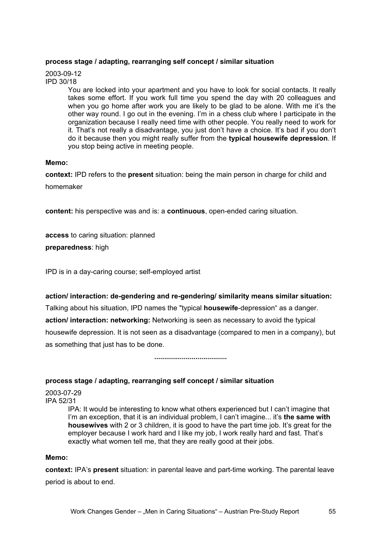### **process stage / adapting, rearranging self concept / similar situation**

2003-09-12 IPD 30/18

> You are locked into your apartment and you have to look for social contacts. It really takes some effort. If you work full time you spend the day with 20 colleagues and when you go home after work you are likely to be glad to be alone. With me it's the other way round. I go out in the evening. I'm in a chess club where I participate in the organization because I really need time with other people. You really need to work for it. That's not really a disadvantage, you just don't have a choice. It's bad if you don't do it because then you might really suffer from the **typical housewife depression**. If you stop being active in meeting people.

### **Memo:**

**context:** IPD refers to the **present** situation: being the main person in charge for child and homemaker

**content:** his perspective was and is: a **continuous**, open-ended caring situation.

**access** to caring situation: planned

**preparedness**: high

IPD is in a day-caring course; self-employed artist

#### **action/ interaction: de-gendering and re-gendering/ similarity means similar situation:**

Talking about his situation, IPD names the "typical **housewife**-depression" as a danger. **action/ interaction: networking:** Networking is seen as necessary to avoid the typical housewife depression. It is not seen as a disadvantage (compared to men in a company), but as something that just has to be done.

**.....................................** 

### **process stage / adapting, rearranging self concept / similar situation**

2003-07-29 IPA 52/31

> IPA: It would be interesting to know what others experienced but I can't imagine that I'm an exception, that it is an individual problem, I can't imagine... it's **the same with housewives** with 2 or 3 children, it is good to have the part time job. It's great for the employer because I work hard and I like my job, I work really hard and fast. That's exactly what women tell me, that they are really good at their jobs.

#### **Memo:**

**context:** IPA's **present** situation: in parental leave and part-time working. The parental leave period is about to end.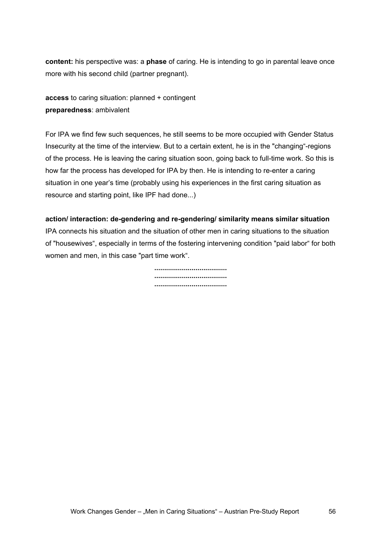**content:** his perspective was: a **phase** of caring. He is intending to go in parental leave once more with his second child (partner pregnant).

**access** to caring situation: planned + contingent **preparedness**: ambivalent

For IPA we find few such sequences, he still seems to be more occupied with Gender Status Insecurity at the time of the interview. But to a certain extent, he is in the "changing"-regions of the process. He is leaving the caring situation soon, going back to full-time work. So this is how far the process has developed for IPA by then. He is intending to re-enter a caring situation in one year's time (probably using his experiences in the first caring situation as resource and starting point, like IPF had done...)

### **action/ interaction: de-gendering and re-gendering/ similarity means similar situation**

IPA connects his situation and the situation of other men in caring situations to the situation of "housewives", especially in terms of the fostering intervening condition "paid labor" for both women and men, in this case "part time work".

> **..................................... ..................................... .....................................**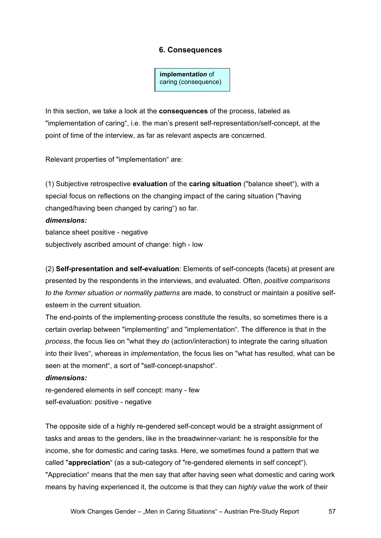# **6. Consequences**

**implement***ation* of caring (consequence)

In this section, we take a look at the **consequences** of the process, labeled as "implementation of caring", i.e. the man's present self-representation/self-concept, at the point of time of the interview, as far as relevant aspects are concerned.

Relevant properties of "implementation" are:

(1) Subjective retrospective **evaluation** of the **caring situation** ("balance sheet"), with a special focus on reflections on the changing impact of the caring situation ("having changed/having been changed by caring") so far.

#### *dimensions:*

balance sheet positive - negative subjectively ascribed amount of change: high - low

(2) **Self-presentation and self-evaluation**: Elements of self-concepts (facets) at present are presented by the respondents in the interviews, and evaluated. Often, *positive comparisons to the former situation or normality patterns* are made, to construct or maintain a positive selfesteem in the current situation.

The end-points of the implementing-process constitute the results, so sometimes there is a certain overlap between "implementing" and "implementation". The difference is that in the *process*, the focus lies on "what they *do* (action/interaction) to integrate the caring situation into their lives", whereas in *implementation*, the focus lies on "what has resulted, what can be seen at the moment", a sort of "self-concept-snapshot".

#### *dimensions:*

re-gendered elements in self concept: many - few self-evaluation: positive - negative

The opposite side of a highly re-gendered self-concept would be a straight assignment of tasks and areas to the genders, like in the breadwinner-variant: he is responsible for the income, she for domestic and caring tasks. Here, we sometimes found a pattern that we called "**appreciation**" (as a sub-category of "re-gendered elements in self concept"). "Appreciation" means that the men say that after having seen what domestic and caring work means by having experienced it, the outcome is that they can *highly value* the work of their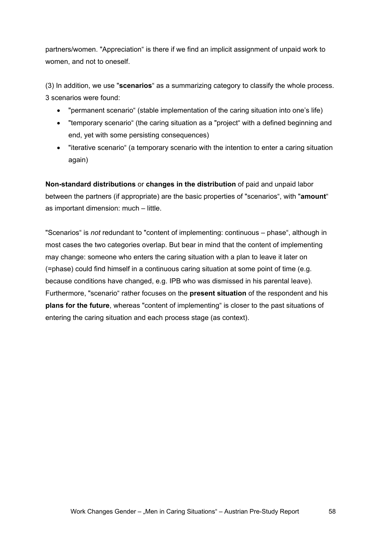partners/women. "Appreciation" is there if we find an implicit assignment of unpaid work to women, and not to oneself.

(3) In addition, we use "**scenarios**" as a summarizing category to classify the whole process. 3 scenarios were found:

- "permanent scenario" (stable implementation of the caring situation into one's life)
- "temporary scenario" (the caring situation as a "project" with a defined beginning and end, yet with some persisting consequences)
- "iterative scenario" (a temporary scenario with the intention to enter a caring situation again)

**Non-standard distributions** or **changes in the distribution** of paid and unpaid labor between the partners (if appropriate) are the basic properties of "scenarios", with "**amount**" as important dimension: much – little.

"Scenarios" is *not* redundant to "content of implementing: continuous – phase", although in most cases the two categories overlap. But bear in mind that the content of implementing may change: someone who enters the caring situation with a plan to leave it later on (=phase) could find himself in a continuous caring situation at some point of time (e.g. because conditions have changed, e.g. IPB who was dismissed in his parental leave). Furthermore, "scenario" rather focuses on the **present situation** of the respondent and his **plans for the future**, whereas "content of implementing" is closer to the past situations of entering the caring situation and each process stage (as context).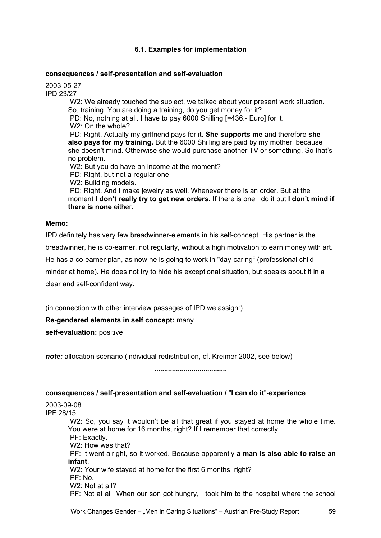### **6.1. Examples for implementation**

#### **consequences / self-presentation and self-evaluation**

2003-05-27 IPD 23/27 IW2: We already touched the subject, we talked about your present work situation. So, training. You are doing a training, do you get money for it? IPD: No, nothing at all. I have to pay 6000 Shilling [=436.- Euro] for it. IW2: On the whole? IPD: Right. Actually my girlfriend pays for it. **She supports me** and therefore **she also pays for my training.** But the 6000 Shilling are paid by my mother, because she doesn't mind. Otherwise she would purchase another TV or something. So that's no problem. IW2: But you do have an income at the moment? IPD: Right, but not a regular one. IW2: Building models. IPD: Right. And I make jewelry as well. Whenever there is an order. But at the moment **I don't really try to get new orders.** If there is one I do it but **I don't mind if there is none** either.

### **Memo:**

IPD definitely has very few breadwinner-elements in his self-concept. His partner is the breadwinner, he is co-earner, not regularly, without a high motivation to earn money with art. He has a co-earner plan, as now he is going to work in "day-caring" (professional child minder at home). He does not try to hide his exceptional situation, but speaks about it in a clear and self-confident way.

(in connection with other interview passages of IPD we assign:)

### **Re-gendered elements in self concept:** many

**self-evaluation:** positive

*note:* allocation scenario (individual redistribution, cf. Kreimer 2002, see below)

**.....................................** 

#### **consequences / self-presentation and self-evaluation /** "**I can do it**"**-experience**

2003-09-08 IPF 28/15 IW2: So, you say it wouldn't be all that great if you stayed at home the whole time. You were at home for 16 months, right? If I remember that correctly. IPF: Exactly. IW2: How was that? IPF: It went alright, so it worked. Because apparently **a man is also able to raise an infant**. IW2: Your wife stayed at home for the first 6 months, right? IPF: No. IW2: Not at all? IPF: Not at all. When our son got hungry, I took him to the hospital where the school

Work Changes Gender – "Men in Caring Situations" – Austrian Pre-Study Report 59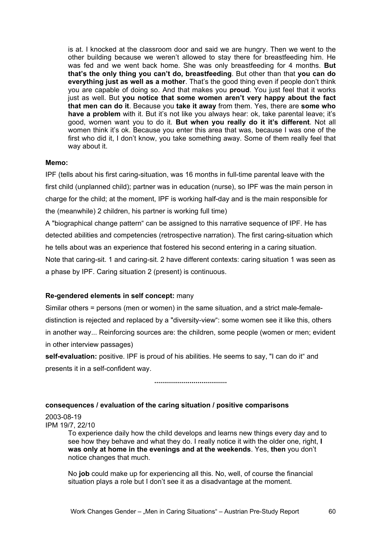is at. I knocked at the classroom door and said we are hungry. Then we went to the other building because we weren't allowed to stay there for breastfeeding him. He was fed and we went back home. She was only breastfeeding for 4 months. **But that's the only thing you can't do, breastfeeding**. But other than that **you can do everything just as well as a mother**. That's the good thing even if people don't think you are capable of doing so. And that makes you **proud**. You just feel that it works just as well. But **you notice that some women aren't very happy about the fact that men can do it**. Because you **take it away** from them. Yes, there are **some who have a problem** with it. But it's not like you always hear: ok, take parental leave; it's good, women want you to do it. **But when you really do it it's different**. Not all women think it's ok. Because you enter this area that was, because I was one of the first who did it, I don't know, you take something away. Some of them really feel that way about it.

### **Memo:**

IPF (tells about his first caring-situation, was 16 months in full-time parental leave with the first child (unplanned child); partner was in education (nurse), so IPF was the main person in charge for the child; at the moment, IPF is working half-day and is the main responsible for the (meanwhile) 2 children, his partner is working full time)

A "biographical change pattern" can be assigned to this narrative sequence of IPF. He has detected abilities and competencies (retrospective narration). The first caring-situation which he tells about was an experience that fostered his second entering in a caring situation. Note that caring-sit. 1 and caring-sit. 2 have different contexts: caring situation 1 was seen as a phase by IPF. Caring situation 2 (present) is continuous.

### **Re-gendered elements in self concept:** many

Similar others = persons (men or women) in the same situation, and a strict male-femaledistinction is rejected and replaced by a "diversity-view": some women see it like this, others in another way... Reinforcing sources are: the children, some people (women or men; evident in other interview passages)

**self-evaluation:** positive. IPF is proud of his abilities. He seems to say, "I can do it" and presents it in a self-confident way.

**.....................................** 

### **consequences / evaluation of the caring situation / positive comparisons**

2003-08-19 IPM 19/7, 22/10

> To experience daily how the child develops and learns new things every day and to see how they behave and what they do. I really notice it with the older one, right, **I was only at home in the evenings and at the weekends**. Yes, **then** you don't notice changes that much.

No **job** could make up for experiencing all this. No, well, of course the financial situation plays a role but I don't see it as a disadvantage at the moment.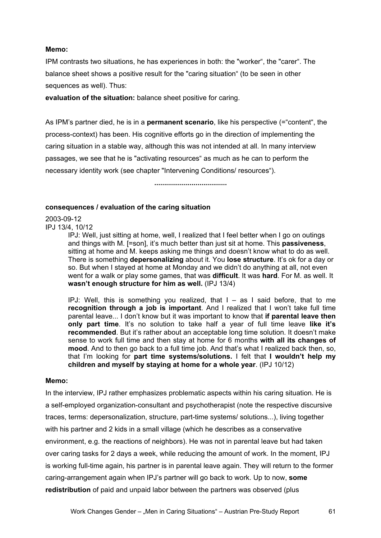### **Memo:**

IPM contrasts two situations, he has experiences in both: the "worker", the "carer". The balance sheet shows a positive result for the "caring situation" (to be seen in other sequences as well). Thus:

**evaluation of the situation:** balance sheet positive for caring.

As IPM's partner died, he is in a **permanent scenario**, like his perspective (="content", the process-context) has been. His cognitive efforts go in the direction of implementing the caring situation in a stable way, although this was not intended at all. In many interview passages, we see that he is "activating resources" as much as he can to perform the necessary identity work (see chapter "Intervening Conditions/ resources").

**.....................................** 

### **consequences / evaluation of the caring situation**

2003-09-12 IPJ 13/4, 10/12

IPJ: Well, just sitting at home, well, I realized that I feel better when I go on outings and things with M. [=son], it's much better than just sit at home. This **passiveness**, sitting at home and M. keeps asking me things and doesn't know what to do as well. There is something **depersonalizing** about it. You **lose structure**. It's ok for a day or so. But when I stayed at home at Monday and we didn't do anything at all, not even went for a walk or play some games, that was **difficult**. It was **hard**. For M. as well. It **wasn't enough structure for him as well.** (IPJ 13/4)

IPJ: Well, this is something you realized, that  $I - as I$  said before, that to me **recognition through a job is important**. And I realized that I won't take full time parental leave... I don't know but it was important to know that **if parental leave then only part time**. It's no solution to take half a year of full time leave **like it's recommended**. But it's rather about an acceptable long time solution. It doesn't make sense to work full time and then stay at home for 6 months **with all its changes of mood**. And to then go back to a full time job. And that's what I realized back then, so, that I'm looking for **part time systems/solutions.** I felt that **I wouldn't help my children and myself by staying at home for a whole year**. (IPJ 10/12)

#### **Memo:**

In the interview, IPJ rather emphasizes problematic aspects within his caring situation. He is a self-employed organization-consultant and psychotherapist (note the respective discursive traces, terms: depersonalization, structure, part-time systems/ solutions...), living together with his partner and 2 kids in a small village (which he describes as a conservative environment, e.g. the reactions of neighbors). He was not in parental leave but had taken over caring tasks for 2 days a week, while reducing the amount of work. In the moment, IPJ is working full-time again, his partner is in parental leave again. They will return to the former caring-arrangement again when IPJ's partner will go back to work. Up to now, **some redistribution** of paid and unpaid labor between the partners was observed (plus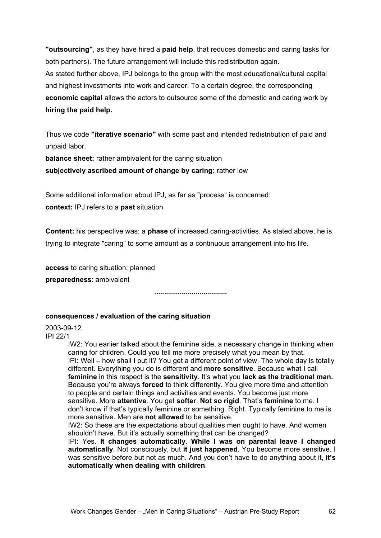**"outsourcing"**, as they have hired a **paid help**, that reduces domestic and caring tasks for both partners). The future arrangement will include this redistribution again. As stated further above, IPJ belongs to the group with the most educational/cultural capital and highest investments into work and career. To a certain degree, the corresponding **economic capital** allows the actors to outsource some of the domestic and caring work by **hiring the paid help.** 

Thus we code **"iterative scenario"** with some past and intended redistribution of paid and unpaid labor.

**balance sheet:** rather ambivalent for the caring situation

**subjectively ascribed amount of change by caring:** rather low

Some additional information about IPJ, as far as "process" is concerned: **context:** IPJ refers to a **past** situation

**Content:** his perspective was: a **phase** of increased caring-activities. As stated above, he is trying to integrate "caring" to some amount as a continuous arrangement into his life.

**access** to caring situation: planned **preparedness**: ambivalent

**.....................................** 

### **consequences / evaluation of the caring situation**

2003-09-12 IPI 22/1

IW2: You earlier talked about the feminine side, a necessary change in thinking when caring for children. Could you tell me more precisely what you mean by that. IPI: Well – how shall I put it? You get a different point of view. The whole day is totally different. Everything you do is different and **more sensitive**. Because what I call **feminine** in this respect is the **sensitivity**. It's what you **lack as the traditional man.** Because you're always **forced** to think differently. You give more time and attention to people and certain things and activities and events. You become just more sensitive. More **attentive**. You get **softer**. **Not so rigid**. That's **feminine** to me. I don't know if that's typically feminine or something. Right. Typically feminine to me is more sensitive. Men are **not allowed** to be sensitive.

IW2: So these are the expectations about qualities men ought to have. And women shouldn't have. But it's actually something that can be changed?

IPI: Yes. **It changes automatically**. **While I was on parental leave I changed automatically**. Not consciously, but **it just happened**. You become more sensitive. I was sensitive before but not as much. And you don't have to do anything about it, **it's automatically when dealing with children**.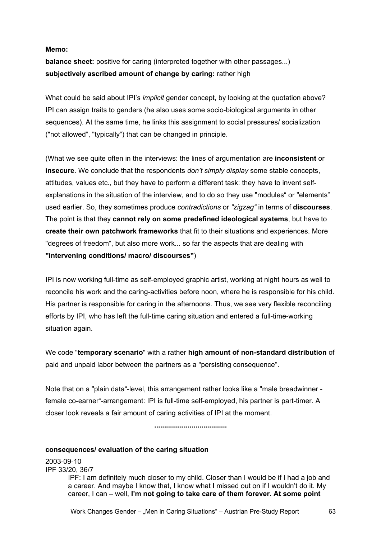### **Memo:**

**balance sheet:** positive for caring (interpreted together with other passages...) **subjectively ascribed amount of change by caring:** rather high

What could be said about IPI's *implicit* gender concept, by looking at the quotation above? IPI can assign traits to genders (he also uses some socio-biological arguments in other sequences). At the same time, he links this assignment to social pressures/ socialization ("not allowed", "typically") that can be changed in principle.

(What we see quite often in the interviews: the lines of argumentation are **inconsistent** or **insecure**. We conclude that the respondents *don't simply display* some stable concepts, attitudes, values etc., but they have to perform a different task: they have to invent selfexplanations in the situation of the interview, and to do so they use "modules" or "elements" used earlier. So, they sometimes produce *contradictions* or *"zigzag"* in terms of **discourses**. The point is that they **cannot rely on some predefined ideological systems**, but have to **create their own patchwork frameworks** that fit to their situations and experiences. More "degrees of freedom", but also more work... so far the aspects that are dealing with **"intervening conditions/ macro/ discourses"**)

IPI is now working full-time as self-employed graphic artist, working at night hours as well to reconcile his work and the caring-activities before noon, where he is responsible for his child. His partner is responsible for caring in the afternoons. Thus, we see very flexible reconciling efforts by IPI, who has left the full-time caring situation and entered a full-time-working situation again.

We code "**temporary scenario**" with a rather **high amount of non-standard distribution** of paid and unpaid labor between the partners as a "persisting consequence".

Note that on a "plain data"-level, this arrangement rather looks like a "male breadwinner female co-earner"-arrangement: IPI is full-time self-employed, his partner is part-timer. A closer look reveals a fair amount of caring activities of IPI at the moment.

**.....................................** 

#### **consequences/ evaluation of the caring situation**

2003-09-10 IPF 33/20, 36/7 IPF: I am definitely much closer to my child. Closer than I would be if I had a job and a career. And maybe I know that, I know what I missed out on if I wouldn't do it. My career, I can – well, **I'm not going to take care of them forever. At some point**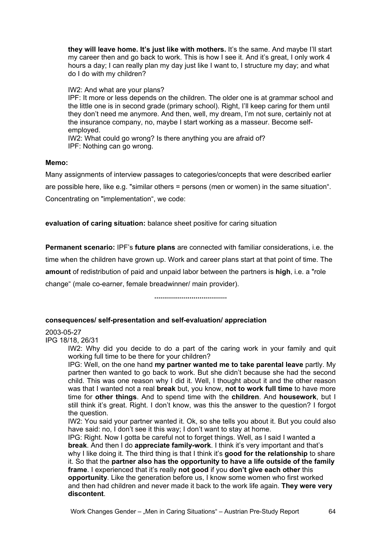**they will leave home. It's just like with mothers.** It's the same. And maybe I'll start my career then and go back to work. This is how I see it. And it's great, I only work 4 hours a day; I can really plan my day just like I want to, I structure my day; and what do I do with my children?

IW2: And what are your plans?

IPF: It more or less depends on the children. The older one is at grammar school and the little one is in second grade (primary school). Right, I'll keep caring for them until they don't need me anymore. And then, well, my dream, I'm not sure, certainly not at the insurance company, no, maybe I start working as a masseur. Become selfemployed.

IW2: What could go wrong? Is there anything you are afraid of? IPF: Nothing can go wrong.

### **Memo:**

Many assignments of interview passages to categories/concepts that were described earlier are possible here, like e.g. "similar others = persons (men or women) in the same situation". Concentrating on "implementation", we code:

**evaluation of caring situation:** balance sheet positive for caring situation

**Permanent scenario:** IPF's **future plans** are connected with familiar considerations, i.e. the time when the children have grown up. Work and career plans start at that point of time. The **amount** of redistribution of paid and unpaid labor between the partners is **high**, i.e. a "role change" (male co-earner, female breadwinner/ main provider).

**.....................................** 

### **consequences/ self-presentation and self-evaluation/ appreciation**

2003-05-27

IPG 18/18, 26/31

IW2: Why did you decide to do a part of the caring work in your family and quit working full time to be there for your children?

IPG: Well, on the one hand **my partner wanted me to take parental leave** partly. My partner then wanted to go back to work. But she didn't because she had the second child. This was one reason why I did it. Well, I thought about it and the other reason was that I wanted not a real **break** but, you know, **not to work full time** to have more time for **other things**. And to spend time with the **children**. And **housework**, but I still think it's great. Right. I don't know, was this the answer to the question? I forgot the question.

IW2: You said your partner wanted it. Ok, so she tells you about it. But you could also have said: no, I don't see it this way; I don't want to stay at home.

IPG: Right. Now I gotta be careful not to forget things. Well, as I said I wanted a **break**. And then I do **appreciate family-work**. I think it's very important and that's why I like doing it. The third thing is that I think it's **good for the relationship** to share it. So that the **partner also has the opportunity to have a life outside of the family frame**. I experienced that it's really **not good** if you **don't give each other** this **opportunity**. Like the generation before us, I know some women who first worked and then had children and never made it back to the work life again. **They were very discontent**.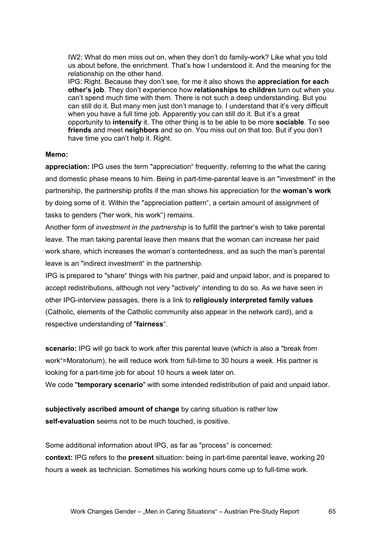IW2: What do men miss out on, when they don't do family-work? Like what you told us about before, the enrichment. That's how I understood it. And the meaning for the relationship on the other hand.

IPG: Right. Because they don't see, for me it also shows the **appreciation for each other's job**. They don't experience how **relationships to children** turn out when you can't spend much time with them. There is not such a deep understanding. But you can still do it. But many men just don't manage to. I understand that it's very difficult when you have a full time job. Apparently you can still do it. But it's a great opportunity to **intensify** it. The other thing is to be able to be more **sociable**. To see **friends** and meet **neighbors** and so on. You miss out on that too. But if you don't have time you can't help it. Right.

#### **Memo:**

**appreciation:** IPG uses the term "appreciation" frequently, referring to the what the caring and domestic phase means to him. Being in part-time-parental leave is an "investment" in the partnership, the partnership profits if the man shows his appreciation for the **woman's work** by doing some of it. Within the "appreciation pattern", a certain amount of assignment of tasks to genders ("her work, his work") remains.

Another form of *investment in the partnership* is to fulfill the partner's wish to take parental leave. The man taking parental leave then means that the woman can increase her paid work share, which increases the woman's contentedness, and as such the man's parental leave is an "indirect investment" in the partnership.

IPG is prepared to "share" things with his partner, paid and unpaid labor, and is prepared to accept redistributions, although not very "actively" intending to do so. As we have seen in other IPG-interview passages, there is a link to **religiously interpreted family values** (Catholic, elements of the Catholic community also appear in the network card), and a respective understanding of "**fairness**".

**scenario:** IPG will go back to work after this parental leave (which is also a "break from work"=Moratorium), he will reduce work from full-time to 30 hours a week. His partner is looking for a part-time job for about 10 hours a week later on.

We code "**temporary scenario**" with some intended redistribution of paid and unpaid labor.

**subjectively ascribed amount of change** by caring situation is rather low **self-evaluation** seems not to be much touched, is positive.

Some additional information about IPG, as far as "process" is concerned: **context:** IPG refers to the **present** situation: being in part-time parental leave, working 20 hours a week as technician. Sometimes his working hours come up to full-time work.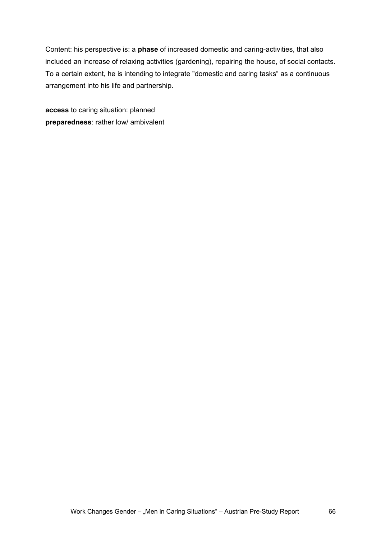Content: his perspective is: a **phase** of increased domestic and caring-activities, that also included an increase of relaxing activities (gardening), repairing the house, of social contacts. To a certain extent, he is intending to integrate "domestic and caring tasks" as a continuous arrangement into his life and partnership.

**access** to caring situation: planned **preparedness**: rather low/ ambivalent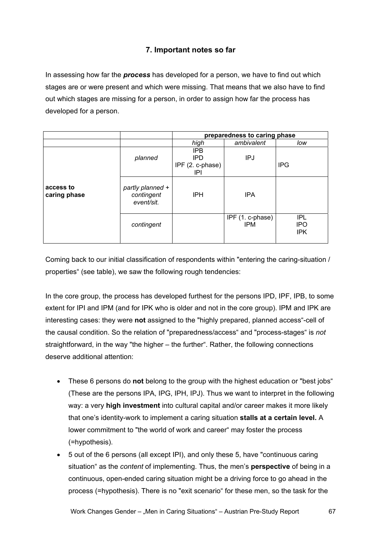# **7. Important notes so far**

In assessing how far the *process* has developed for a person, we have to find out which stages are or were present and which were missing. That means that we also have to find out which stages are missing for a person, in order to assign how far the process has developed for a person.

|                           |                                              | preparedness to caring phase                        |                                |                                        |
|---------------------------|----------------------------------------------|-----------------------------------------------------|--------------------------------|----------------------------------------|
|                           |                                              | high                                                | ambivalent                     | low                                    |
| access to<br>caring phase | planned                                      | <b>IPB</b><br><b>IPD</b><br>IPF (2. c-phase)<br>IPI | IPJ                            | <b>IPG</b>                             |
|                           | partly planned +<br>contingent<br>event/sit. | <b>IPH</b>                                          | <b>IPA</b>                     |                                        |
|                           | contingent                                   |                                                     | IPF (1. c-phase)<br><b>IPM</b> | <b>IPL</b><br><b>IPO</b><br><b>IPK</b> |

Coming back to our initial classification of respondents within "entering the caring-situation / properties" (see table), we saw the following rough tendencies:

In the core group, the process has developed furthest for the persons IPD, IPF, IPB, to some extent for IPI and IPM (and for IPK who is older and not in the core group). IPM and IPK are interesting cases: they were **not** assigned to the "highly prepared, planned access"-cell of the causal condition. So the relation of "preparedness/access" and "process-stages" is *not* straightforward, in the way "the higher – the further". Rather, the following connections deserve additional attention:

- These 6 persons do **not** belong to the group with the highest education or "best jobs" (These are the persons IPA, IPG, IPH, IPJ). Thus we want to interpret in the following way: a very **high investment** into cultural capital and/or career makes it more likely that one's identity-work to implement a caring situation **stalls at a certain level.** A lower commitment to "the world of work and career" may foster the process (=hypothesis).
- 5 out of the 6 persons (all except IPI), and only these 5, have "continuous caring situation" as the *content* of implementing. Thus, the men's **perspective** of being in a continuous, open-ended caring situation might be a driving force to go ahead in the process (=hypothesis). There is no "exit scenario" for these men, so the task for the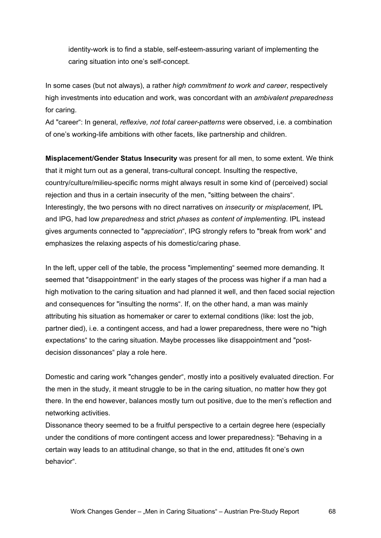identity-work is to find a stable, self-esteem-assuring variant of implementing the caring situation into one's self-concept.

In some cases (but not always), a rather *high commitment to work and career*, respectively high investments into education and work, was concordant with an *ambivalent preparedness* for caring.

Ad "career": In general, *reflexive, not total career-patterns* were observed, i.e. a combination of one's working-life ambitions with other facets, like partnership and children.

**Misplacement/Gender Status Insecurity** was present for all men, to some extent. We think that it might turn out as a general, trans-cultural concept. Insulting the respective, country/culture/milieu-specific norms might always result in some kind of (perceived) social rejection and thus in a certain insecurity of the men, "sitting between the chairs". Interestingly, the two persons with no direct narratives on *insecurity* or *misplacement*, IPL and IPG, had low *preparedness* and strict *phases* as *content of implementing*. IPL instead gives arguments connected to "*appreciation*", IPG strongly refers to "break from work" and emphasizes the relaxing aspects of his domestic/caring phase.

In the left, upper cell of the table, the process "implementing" seemed more demanding. It seemed that "disappointment" in the early stages of the process was higher if a man had a high motivation to the caring situation and had planned it well, and then faced social rejection and consequences for "insulting the norms". If, on the other hand, a man was mainly attributing his situation as homemaker or carer to external conditions (like: lost the job, partner died), i.e. a contingent access, and had a lower preparedness, there were no "high expectations" to the caring situation. Maybe processes like disappointment and "postdecision dissonances" play a role here.

Domestic and caring work "changes gender", mostly into a positively evaluated direction. For the men in the study, it meant struggle to be in the caring situation, no matter how they got there. In the end however, balances mostly turn out positive, due to the men's reflection and networking activities.

Dissonance theory seemed to be a fruitful perspective to a certain degree here (especially under the conditions of more contingent access and lower preparedness): "Behaving in a certain way leads to an attitudinal change, so that in the end, attitudes fit one's own behavior".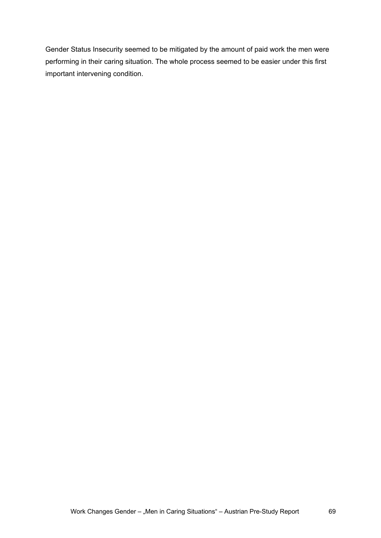Gender Status Insecurity seemed to be mitigated by the amount of paid work the men were performing in their caring situation. The whole process seemed to be easier under this first important intervening condition.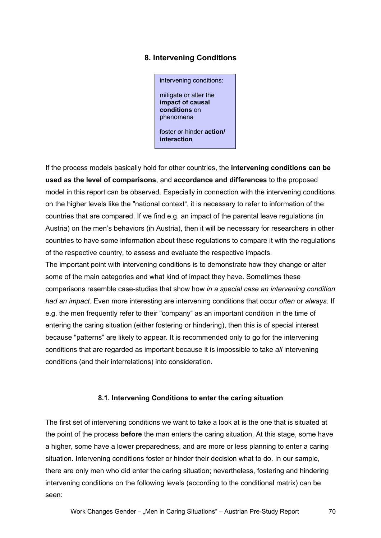# **8. Intervening Conditions**

intervening conditions: mitigate or alter the **impact of causal conditions** on phenomena foster or hinder **action/ interaction**

If the process models basically hold for other countries, the **intervening conditions can be used as the level of comparisons**, and **accordance and differences** to the proposed model in this report can be observed. Especially in connection with the intervening conditions on the higher levels like the "national context", it is necessary to refer to information of the countries that are compared. If we find e.g. an impact of the parental leave regulations (in Austria) on the men's behaviors (in Austria), then it will be necessary for researchers in other countries to have some information about these regulations to compare it with the regulations of the respective country, to assess and evaluate the respective impacts.

The important point with intervening conditions is to demonstrate how they change or alter some of the main categories and what kind of impact they have. Sometimes these comparisons resemble case-studies that show how *in a special case an intervening condition had an impact.* Even more interesting are intervening conditions that occur *often* or *always*. If e.g. the men frequently refer to their "company" as an important condition in the time of entering the caring situation (either fostering or hindering), then this is of special interest because "patterns" are likely to appear. It is recommended only to go for the intervening conditions that are regarded as important because it is impossible to take *all* intervening conditions (and their interrelations) into consideration.

### **8.1. Intervening Conditions to enter the caring situation**

The first set of intervening conditions we want to take a look at is the one that is situated at the point of the process **before** the man enters the caring situation. At this stage, some have a higher, some have a lower preparedness, and are more or less planning to enter a caring situation. Intervening conditions foster or hinder their decision what to do. In our sample, there are only men who did enter the caring situation; nevertheless, fostering and hindering intervening conditions on the following levels (according to the conditional matrix) can be seen: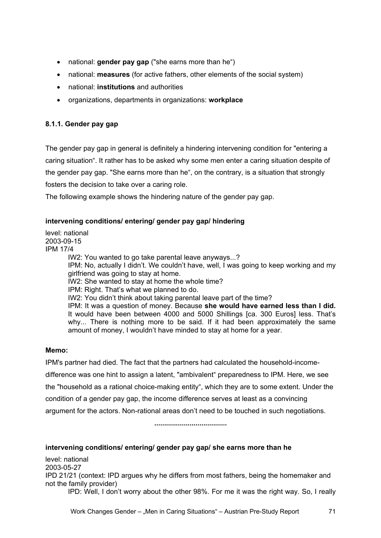- national: **gender pay gap** ("she earns more than he")
- national: **measures** (for active fathers, other elements of the social system)
- national: **institutions** and authorities
- organizations, departments in organizations: **workplace**

### **8.1.1. Gender pay gap**

The gender pay gap in general is definitely a hindering intervening condition for "entering a caring situation". It rather has to be asked why some men enter a caring situation despite of the gender pay gap. "She earns more than he", on the contrary, is a situation that strongly fosters the decision to take over a caring role.

The following example shows the hindering nature of the gender pay gap.

### **intervening conditions/ entering/ gender pay gap/ hindering**

level: national 2003-09-15 IPM 17/4 IW2: You wanted to go take parental leave anyways...? IPM: No, actually I didn't. We couldn't have, well, I was going to keep working and my girlfriend was going to stay at home. IW2: She wanted to stay at home the whole time? IPM: Right. That's what we planned to do. IW2: You didn't think about taking parental leave part of the time? IPM: It was a question of money. Because **she would have earned less than I did.** It would have been between 4000 and 5000 Shillings [ca. 300 Euros] less. That's why... There is nothing more to be said. If it had been approximately the same amount of money, I wouldn't have minded to stay at home for a year.

### **Memo:**

IPM's partner had died. The fact that the partners had calculated the household-incomedifference was one hint to assign a latent, "ambivalent" preparedness to IPM. Here, we see the "household as a rational choice-making entity", which they are to some extent. Under the condition of a gender pay gap, the income difference serves at least as a convincing argument for the actors. Non-rational areas don't need to be touched in such negotiations.

**.....................................** 

### **intervening conditions/ entering/ gender pay gap/ she earns more than he**

level: national 2003-05-27 IPD 21/21 (context: IPD argues why he differs from most fathers, being the homemaker and not the family provider) IPD: Well, I don't worry about the other 98%. For me it was the right way. So, I really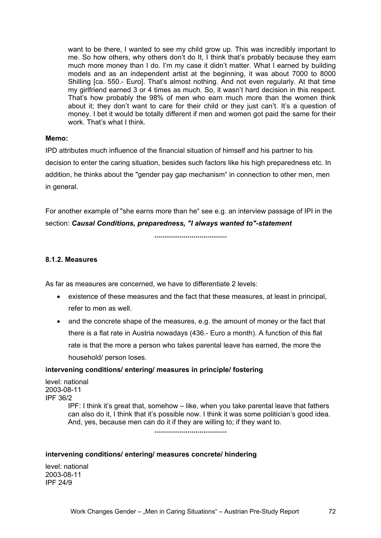want to be there, I wanted to see my child grow up. This was incredibly important to me. So how others, why others don't do It, I think that's probably because they earn much more money than I do. I'm my case it didn't matter. What I earned by building models and as an independent artist at the beginning, it was about 7000 to 8000 Shilling [ca. 550.- Euro]. That's almost nothing. And not even regularly. At that time my girlfriend earned 3 or 4 times as much. So, it wasn't hard decision in this respect. That's how probably the 98% of men who earn much more than the women think about it; they don't want to care for their child or they just can't. It's a question of money. I bet it would be totally different if men and women got paid the same for their work. That's what I think.

### **Memo:**

IPD attributes much influence of the financial situation of himself and his partner to his decision to enter the caring situation, besides such factors like his high preparedness etc. In addition, he thinks about the "gender pay gap mechanism" in connection to other men, men in general.

For another example of "she earns more than he" see e.g. an interview passage of IPI in the section: *Causal Conditions, preparedness, "I always wanted to"-statement* 

**.....................................** 

### **8.1.2. Measures**

As far as measures are concerned, we have to differentiate 2 levels:

- existence of these measures and the fact that these measures, at least in principal, refer to men as well.
- and the concrete shape of the measures, e.g. the amount of money or the fact that there is a flat rate in Austria nowadays (436.- Euro a month). A function of this flat rate is that the more a person who takes parental leave has earned, the more the household/ person loses.

#### **intervening conditions/ entering/ measures in principle/ fostering**

level: national 2003-08-11 IPF 36/2 IPF: I think it's great that, somehow – like, when you take parental leave that fathers can also do it, I think that it's possible now. I think it was some politician's good idea. And, yes, because men can do it if they are willing to; if they want to. **.....................................** 

#### **intervening conditions/ entering/ measures concrete/ hindering**

level: national 2003-08-11 IPF 24/9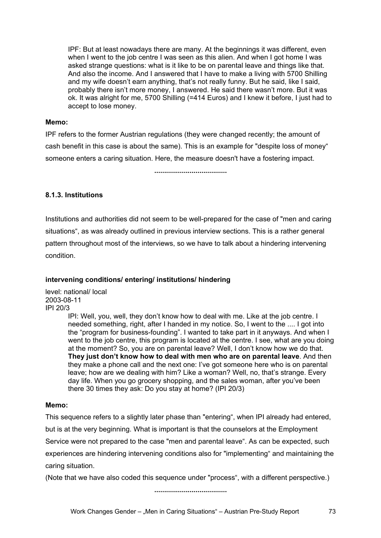IPF: But at least nowadays there are many. At the beginnings it was different, even when I went to the job centre I was seen as this alien. And when I got home I was asked strange questions: what is it like to be on parental leave and things like that. And also the income. And I answered that I have to make a living with 5700 Shilling and my wife doesn't earn anything, that's not really funny. But he said, like I said, probably there isn't more money, I answered. He said there wasn't more. But it was ok. It was alright for me, 5700 Shilling (=414 Euros) and I knew it before, I just had to accept to lose money.

## **Memo:**

IPF refers to the former Austrian regulations (they were changed recently; the amount of cash benefit in this case is about the same). This is an example for "despite loss of money" someone enters a caring situation. Here, the measure doesn't have a fostering impact.

**.....................................** 

# **8.1.3. Institutions**

Institutions and authorities did not seem to be well-prepared for the case of "men and caring situations", as was already outlined in previous interview sections. This is a rather general pattern throughout most of the interviews, so we have to talk about a hindering intervening condition.

# **intervening conditions/ entering/ institutions/ hindering**

level: national/ local 2003-08-11 IPI 20/3

IPI: Well, you, well, they don't know how to deal with me. Like at the job centre. I needed something, right, after I handed in my notice. So, I went to the .... I got into the "program for business-founding". I wanted to take part in it anyways. And when I went to the job centre, this program is located at the centre. I see, what are you doing at the moment? So, you are on parental leave? Well, I don't know how we do that. **They just don't know how to deal with men who are on parental leave**. And then they make a phone call and the next one: I've got someone here who is on parental leave; how are we dealing with him? Like a woman? Well, no, that's strange. Every day life. When you go grocery shopping, and the sales woman, after you've been there 30 times they ask: Do you stay at home? (IPI 20/3)

# **Memo:**

This sequence refers to a slightly later phase than "entering", when IPI already had entered, but is at the very beginning. What is important is that the counselors at the Employment Service were not prepared to the case "men and parental leave". As can be expected, such experiences are hindering intervening conditions also for "implementing" and maintaining the caring situation.

(Note that we have also coded this sequence under "process", with a different perspective.)

**.....................................**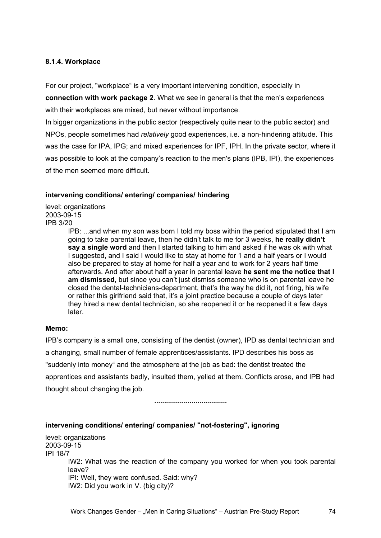## **8.1.4. Workplace**

For our project, "workplace" is a very important intervening condition, especially in **connection with work package 2**. What we see in general is that the men's experiences with their workplaces are mixed, but never without importance.

In bigger organizations in the public sector (respectively quite near to the public sector) and NPOs, people sometimes had *relatively* good experiences, i.e. a non-hindering attitude. This was the case for IPA, IPG; and mixed experiences for IPF, IPH. In the private sector, where it was possible to look at the company's reaction to the men's plans (IPB, IPI), the experiences of the men seemed more difficult.

## **intervening conditions/ entering/ companies/ hindering**

level: organizations 2003-09-15 IPB 3/20

IPB: ...and when my son was born I told my boss within the period stipulated that I am going to take parental leave, then he didn't talk to me for 3 weeks, **he really didn't say a single word** and then I started talking to him and asked if he was ok with what I suggested, and I said I would like to stay at home for 1 and a half years or I would also be prepared to stay at home for half a year and to work for 2 years half time afterwards. And after about half a year in parental leave **he sent me the notice that I am dismissed,** but since you can't just dismiss someone who is on parental leave he closed the dental-technicians-department, that's the way he did it, not firing, his wife or rather this girlfriend said that, it's a joint practice because a couple of days later they hired a new dental technician, so she reopened it or he reopened it a few days later.

## **Memo:**

IPB's company is a small one, consisting of the dentist (owner), IPD as dental technician and a changing, small number of female apprentices/assistants. IPD describes his boss as "suddenly into money" and the atmosphere at the job as bad: the dentist treated the apprentices and assistants badly, insulted them, yelled at them. Conflicts arose, and IPB had thought about changing the job.

**.....................................** 

## **intervening conditions/ entering/ companies/ "not-fostering", ignoring**

level: organizations 2003-09-15 IPI 18/7 IW2: What was the reaction of the company you worked for when you took parental leave? IPI: Well, they were confused. Said: why? IW2: Did you work in V. (big city)?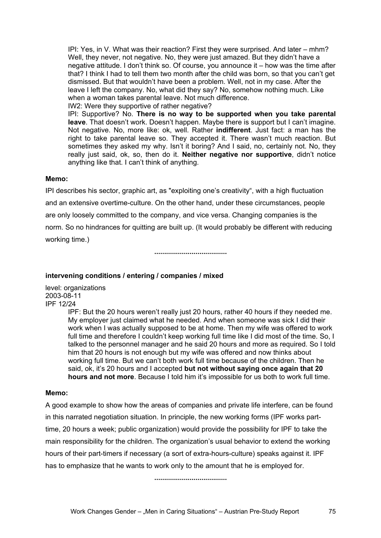IPI: Yes, in V. What was their reaction? First they were surprised. And later – mhm? Well, they never, not negative. No, they were just amazed. But they didn't have a negative attitude. I don't think so. Of course, you announce it – how was the time after that? I think I had to tell them two month after the child was born, so that you can't get dismissed. But that wouldn't have been a problem. Well, not in my case. After the leave I left the company. No, what did they say? No, somehow nothing much. Like when a woman takes parental leave. Not much difference.

IW2: Were they supportive of rather negative?

IPI: Supportive? No. **There is no way to be supported when you take parental leave**. That doesn't work. Doesn't happen. Maybe there is support but I can't imagine. Not negative. No, more like: ok, well. Rather **indifferent**. Just fact: a man has the right to take parental leave so. They accepted it. There wasn't much reaction. But sometimes they asked my why. Isn't it boring? And I said, no, certainly not. No, they really just said, ok, so, then do it. **Neither negative nor supportive**, didn't notice anything like that. I can't think of anything.

## **Memo:**

IPI describes his sector, graphic art, as "exploiting one's creativity", with a high fluctuation and an extensive overtime-culture. On the other hand, under these circumstances, people are only loosely committed to the company, and vice versa. Changing companies is the norm. So no hindrances for quitting are built up. (It would probably be different with reducing working time.)

**.....................................** 

## **intervening conditions / entering / companies / mixed**

level: organizations 2003-08-11 IPF 12/24

IPF: But the 20 hours weren't really just 20 hours, rather 40 hours if they needed me. My employer just claimed what he needed. And when someone was sick I did their work when I was actually supposed to be at home. Then my wife was offered to work full time and therefore I couldn't keep working full time like I did most of the time. So, I talked to the personnel manager and he said 20 hours and more as required. So I told him that 20 hours is not enough but my wife was offered and now thinks about working full time. But we can't both work full time because of the children. Then he said, ok, it's 20 hours and I accepted **but not without saying once again that 20 hours and not more**. Because I told him it's impossible for us both to work full time.

## **Memo:**

A good example to show how the areas of companies and private life interfere, can be found in this narrated negotiation situation. In principle, the new working forms (IPF works parttime, 20 hours a week; public organization) would provide the possibility for IPF to take the main responsibility for the children. The organization's usual behavior to extend the working hours of their part-timers if necessary (a sort of extra-hours-culture) speaks against it. IPF has to emphasize that he wants to work only to the amount that he is employed for.

**.....................................**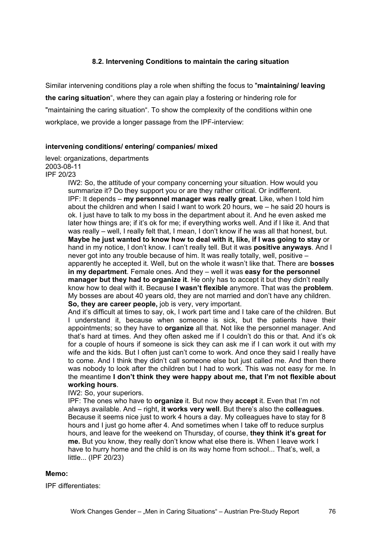# **8.2. Intervening Conditions to maintain the caring situation**

Similar intervening conditions play a role when shifting the focus to "**maintaining/ leaving the caring situation**", where they can again play a fostering or hindering role for "maintaining the caring situation". To show the complexity of the conditions within one workplace, we provide a longer passage from the IPF-interview:

#### **intervening conditions/ entering/ companies/ mixed**

#### level: organizations, departments 2003-08-11 IPF 20/23

IW2: So, the attitude of your company concerning your situation. How would you summarize it? Do they support you or are they rather critical. Or indifferent. IPF: It depends – **my personnel manager was really great**. Like, when I told him about the children and when I said I want to work 20 hours, we – he said 20 hours is ok. I just have to talk to my boss in the department about it. And he even asked me later how things are; if it's ok for me; if everything works well. And if I like it. And that was really – well, I really felt that, I mean, I don't know if he was all that honest, but. **Maybe he just wanted to know how to deal with it, like, if I was going to stay** or hand in my notice, I don't know. I can't really tell. But it was **positive anyways**. And I never got into any trouble because of him. It was really totally, well, positive – apparently he accepted it. Well, but on the whole it wasn't like that. There are **bosses in my department**. Female ones. And they – well it was **easy for the personnel manager but they had to organize it**. He only has to accept it but they didn't really know how to deal with it. Because **I wasn't flexible** anymore. That was the **problem**. My bosses are about 40 years old, they are not married and don't have any children. **So, they are career people,** job is very, very important.

And it's difficult at times to say, ok, I work part time and I take care of the children. But I understand it, because when someone is sick, but the patients have their appointments; so they have to **organize** all that. Not like the personnel manager. And that's hard at times. And they often asked me if I couldn't do this or that. And it's ok for a couple of hours if someone is sick they can ask me if I can work it out with my wife and the kids. But I often just can't come to work. And once they said I really have to come. And I think they didn't call someone else but just called me. And then there was nobody to look after the children but I had to work. This was not easy for me. In the meantime **I don't think they were happy about me, that I'm not flexible about working hours**.

IW2: So, your superiors.

IPF: The ones who have to **organize** it. But now they **accept** it. Even that I'm not always available. And – right, **it works very well**. But there's also the **colleagues**. Because it seems nice just to work 4 hours a day. My colleagues have to stay for 8 hours and I just go home after 4. And sometimes when I take off to reduce surplus hours, and leave for the weekend on Thursday, of course, **they think it's great for me.** But you know, they really don't know what else there is. When I leave work I have to hurry home and the child is on its way home from school... That's, well, a little... (IPF 20/23)

## **Memo:**

IPF differentiates: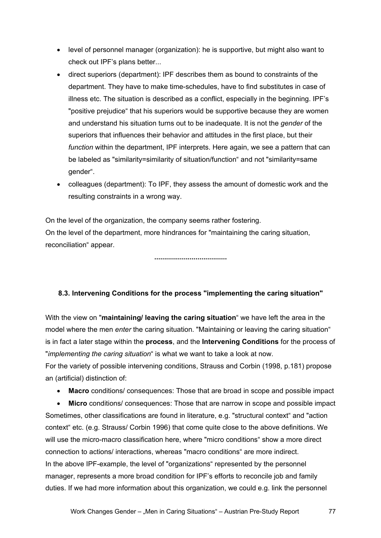- level of personnel manager (organization): he is supportive, but might also want to check out IPF's plans better...
- direct superiors (department): IPF describes them as bound to constraints of the department. They have to make time-schedules, have to find substitutes in case of illness etc. The situation is described as a conflict, especially in the beginning. IPF's "positive prejudice" that his superiors would be supportive because they are women and understand his situation turns out to be inadequate. It is not the *gender* of the superiors that influences their behavior and attitudes in the first place, but their *function* within the department, IPF interprets. Here again, we see a pattern that can be labeled as "similarity=similarity of situation/function" and not "similarity=same gender".
- colleagues (department): To IPF, they assess the amount of domestic work and the resulting constraints in a wrong way.

On the level of the organization, the company seems rather fostering. On the level of the department, more hindrances for "maintaining the caring situation, reconciliation" appear.

**.....................................** 

## **8.3. Intervening Conditions for the process "implementing the caring situation"**

With the view on "**maintaining/ leaving the caring situation**" we have left the area in the model where the men *enter* the caring situation. "Maintaining or leaving the caring situation" is in fact a later stage within the **process**, and the **Intervening Conditions** for the process of "*implementing the caring situation*" is what we want to take a look at now.

For the variety of possible intervening conditions, Strauss and Corbin (1998, p.181) propose an (artificial) distinction of:

• **Macro** conditions/ consequences: Those that are broad in scope and possible impact

• **Micro** conditions/ consequences: Those that are narrow in scope and possible impact Sometimes, other classifications are found in literature, e.g. "structural context" and "action context" etc. (e.g. Strauss/ Corbin 1996) that come quite close to the above definitions. We will use the micro-macro classification here, where "micro conditions" show a more direct connection to actions/ interactions, whereas "macro conditions" are more indirect. In the above IPF-example, the level of "organizations" represented by the personnel manager, represents a more broad condition for IPF's efforts to reconcile job and family duties. If we had more information about this organization, we could e.g. link the personnel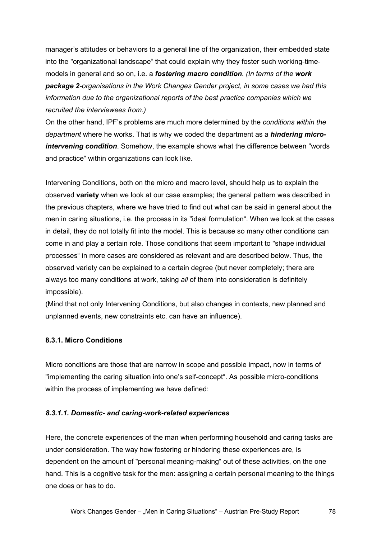manager's attitudes or behaviors to a general line of the organization, their embedded state into the "organizational landscape" that could explain why they foster such working-timemodels in general and so on, i.e. a *fostering macro condition*. *(In terms of the work package 2-organisations in the Work Changes Gender project, in some cases we had this information due to the organizational reports of the best practice companies which we recruited the interviewees from.)* 

On the other hand, IPF's problems are much more determined by the *conditions within the department* where he works. That is why we coded the department as a *hindering microintervening condition*. Somehow, the example shows what the difference between "words and practice" within organizations can look like.

Intervening Conditions, both on the micro and macro level, should help us to explain the observed **variety** when we look at our case examples; the general pattern was described in the previous chapters, where we have tried to find out what can be said in general about the men in caring situations, i.e. the process in its "ideal formulation". When we look at the cases in detail, they do not totally fit into the model. This is because so many other conditions can come in and play a certain role. Those conditions that seem important to "shape individual processes" in more cases are considered as relevant and are described below. Thus, the observed variety can be explained to a certain degree (but never completely; there are always too many conditions at work, taking *all* of them into consideration is definitely impossible).

(Mind that not only Intervening Conditions, but also changes in contexts, new planned and unplanned events, new constraints etc. can have an influence).

# **8.3.1. Micro Conditions**

Micro conditions are those that are narrow in scope and possible impact, now in terms of "implementing the caring situation into one's self-concept". As possible micro-conditions within the process of implementing we have defined:

## *8.3.1.1. Domestic- and caring-work-related experiences*

Here, the concrete experiences of the man when performing household and caring tasks are under consideration. The way how fostering or hindering these experiences are, is dependent on the amount of "personal meaning-making" out of these activities, on the one hand. This is a cognitive task for the men: assigning a certain personal meaning to the things one does or has to do.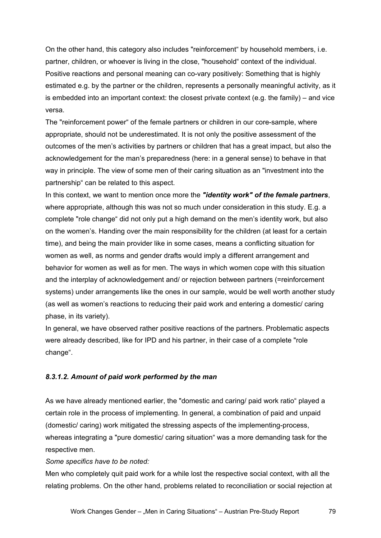On the other hand, this category also includes "reinforcement" by household members, i.e. partner, children, or whoever is living in the close, "household" context of the individual. Positive reactions and personal meaning can co-vary positively: Something that is highly estimated e.g. by the partner or the children, represents a personally meaningful activity, as it is embedded into an important context: the closest private context (e.g. the family) – and vice versa.

The "reinforcement power" of the female partners or children in our core-sample, where appropriate, should not be underestimated. It is not only the positive assessment of the outcomes of the men's activities by partners or children that has a great impact, but also the acknowledgement for the man's preparedness (here: in a general sense) to behave in that way in principle. The view of some men of their caring situation as an "investment into the partnership" can be related to this aspect.

In this context, we want to mention once more the *"identity work" of the female partners*, where appropriate, although this was not so much under consideration in this study. E.g. a complete "role change" did not only put a high demand on the men's identity work, but also on the women's. Handing over the main responsibility for the children (at least for a certain time), and being the main provider like in some cases, means a conflicting situation for women as well, as norms and gender drafts would imply a different arrangement and behavior for women as well as for men. The ways in which women cope with this situation and the interplay of acknowledgement and/ or rejection between partners (=reinforcement systems) under arrangements like the ones in our sample, would be well worth another study (as well as women's reactions to reducing their paid work and entering a domestic/ caring phase, in its variety).

In general, we have observed rather positive reactions of the partners. Problematic aspects were already described, like for IPD and his partner, in their case of a complete "role change".

# *8.3.1.2. Amount of paid work performed by the man*

As we have already mentioned earlier, the "domestic and caring/ paid work ratio" played a certain role in the process of implementing. In general, a combination of paid and unpaid (domestic/ caring) work mitigated the stressing aspects of the implementing-process, whereas integrating a "pure domestic/ caring situation" was a more demanding task for the respective men.

*Some specifics have to be noted:* 

Men who completely quit paid work for a while lost the respective social context, with all the relating problems. On the other hand, problems related to reconciliation or social rejection at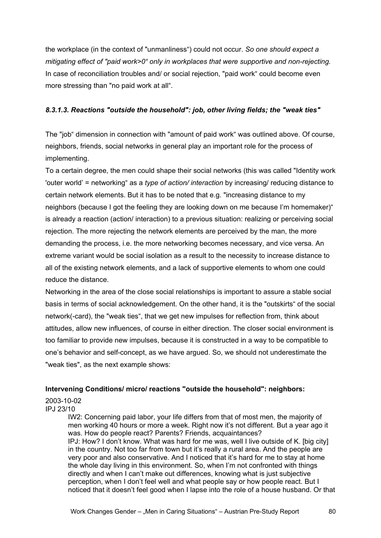the workplace (in the context of "unmanliness") could not occur. *So one should expect a mitigating effect of "paid work>0" only in workplaces that were supportive and non-rejecting.* In case of reconciliation troubles and/ or social rejection, "paid work" could become even more stressing than "no paid work at all".

# *8.3.1.3. Reactions "outside the household": job, other living fields; the "weak ties"*

The "job" dimension in connection with "amount of paid work" was outlined above. Of course, neighbors, friends, social networks in general play an important role for the process of implementing.

To a certain degree, the men could shape their social networks (this was called "Identity work 'outer world' = networking" as a *type of action/ interaction* by increasing/ reducing distance to certain network elements. But it has to be noted that e.g. "increasing distance to my neighbors (because I got the feeling they are looking down on me because I'm homemaker)" is already a reaction (action/ interaction) to a previous situation: realizing or perceiving social rejection. The more rejecting the network elements are perceived by the man, the more demanding the process, i.e. the more networking becomes necessary, and vice versa. An extreme variant would be social isolation as a result to the necessity to increase distance to all of the existing network elements, and a lack of supportive elements to whom one could reduce the distance.

Networking in the area of the close social relationships is important to assure a stable social basis in terms of social acknowledgement. On the other hand, it is the "outskirts" of the social network(-card), the "weak ties", that we get new impulses for reflection from, think about attitudes, allow new influences, of course in either direction. The closer social environment is too familiar to provide new impulses, because it is constructed in a way to be compatible to one's behavior and self-concept, as we have argued. So, we should not underestimate the "weak ties", as the next example shows:

# **Intervening Conditions/ micro/ reactions "outside the household": neighbors:**

2003-10-02

IPJ 23/10

IW2: Concerning paid labor, your life differs from that of most men, the majority of men working 40 hours or more a week. Right now it's not different. But a year ago it was. How do people react? Parents? Friends, acquaintances? IPJ: How? I don't know. What was hard for me was, well I live outside of K. [big city] in the country. Not too far from town but it's really a rural area. And the people are very poor and also conservative. And I noticed that it's hard for me to stay at home the whole day living in this environment. So, when I'm not confronted with things directly and when I can't make out differences, knowing what is just subjective perception, when I don't feel well and what people say or how people react. But I noticed that it doesn't feel good when I lapse into the role of a house husband. Or that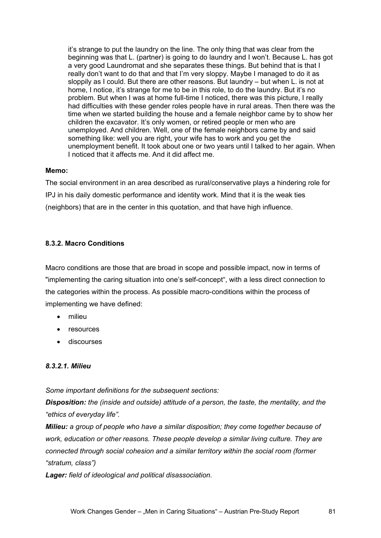it's strange to put the laundry on the line. The only thing that was clear from the beginning was that L. (partner) is going to do laundry and I won't. Because L. has got a very good Laundromat and she separates these things. But behind that is that I really don't want to do that and that I'm very sloppy. Maybe I managed to do it as sloppily as I could. But there are other reasons. But laundry – but when L. is not at home, I notice, it's strange for me to be in this role, to do the laundry. But it's no problem. But when I was at home full-time I noticed, there was this picture, I really had difficulties with these gender roles people have in rural areas. Then there was the time when we started building the house and a female neighbor came by to show her children the excavator. It's only women, or retired people or men who are unemployed. And children. Well, one of the female neighbors came by and said something like: well you are right, your wife has to work and you get the unemployment benefit. It took about one or two years until I talked to her again. When I noticed that it affects me. And it did affect me.

## **Memo:**

The social environment in an area described as rural/conservative plays a hindering role for IPJ in his daily domestic performance and identity work. Mind that it is the weak ties (neighbors) that are in the center in this quotation, and that have high influence.

## **8.3.2. Macro Conditions**

Macro conditions are those that are broad in scope and possible impact, now in terms of "implementing the caring situation into one's self-concept", with a less direct connection to the categories within the process. As possible macro-conditions within the process of implementing we have defined:

- milieu
- resources
- discourses

## *8.3.2.1. Milieu*

*Some important definitions for the subsequent sections:* 

*Disposition: the (inside and outside) attitude of a person, the taste, the mentality, and the "ethics of everyday life".* 

*Milieu: a group of people who have a similar disposition; they come together because of work, education or other reasons. These people develop a similar living culture. They are connected through social cohesion and a similar territory within the social room (former "stratum, class")* 

*Lager: field of ideological and political disassociation.*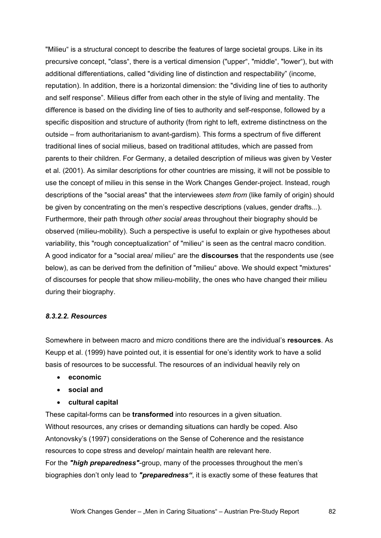"Milieu" is a structural concept to describe the features of large societal groups. Like in its precursive concept, "class", there is a vertical dimension ("upper", "middle", "lower"), but with additional differentiations, called "dividing line of distinction and respectability" (income, reputation). In addition, there is a horizontal dimension: the "dividing line of ties to authority and self response". Milieus differ from each other in the style of living and mentality. The difference is based on the dividing line of ties to authority and self-response, followed by a specific disposition and structure of authority (from right to left, extreme distinctness on the outside – from authoritarianism to avant-gardism). This forms a spectrum of five different traditional lines of social milieus, based on traditional attitudes, which are passed from parents to their children. For Germany, a detailed description of milieus was given by Vester et al. (2001). As similar descriptions for other countries are missing, it will not be possible to use the concept of milieu in this sense in the Work Changes Gender-project. Instead, rough descriptions of the "social areas" that the interviewees *stem from* (like family of origin) should be given by concentrating on the men's respective descriptions (values, gender drafts...). Furthermore, their path through *other social areas* throughout their biography should be observed (milieu-mobility). Such a perspective is useful to explain or give hypotheses about variability, this "rough conceptualization" of "milieu" is seen as the central macro condition. A good indicator for a "social area/ milieu" are the **discourses** that the respondents use (see below), as can be derived from the definition of "milieu" above. We should expect "mixtures" of discourses for people that show milieu-mobility, the ones who have changed their milieu during their biography.

## *8.3.2.2. Resources*

Somewhere in between macro and micro conditions there are the individual's **resources**. As Keupp et al. (1999) have pointed out, it is essential for one's identity work to have a solid basis of resources to be successful. The resources of an individual heavily rely on

- **economic**
- **social and**
- **cultural capital**

These capital-forms can be **transformed** into resources in a given situation. Without resources, any crises or demanding situations can hardly be coped. Also Antonovsky's (1997) considerations on the Sense of Coherence and the resistance resources to cope stress and develop/ maintain health are relevant here. For the *"high preparedness"*-group, many of the processes throughout the men's biographies don't only lead to *"preparedness"*, it is exactly some of these features that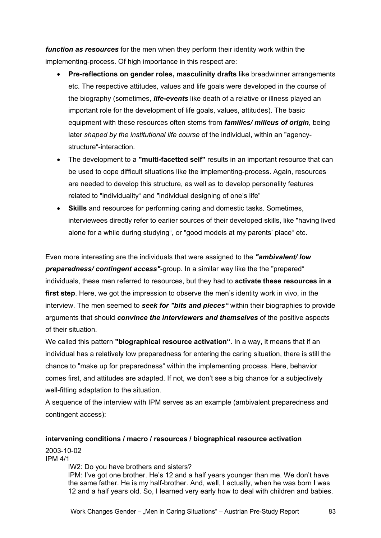*function as resources* for the men when they perform their identity work within the implementing-process. Of high importance in this respect are:

- **Pre-reflections on gender roles, masculinity drafts** like breadwinner arrangements etc. The respective attitudes, values and life goals were developed in the course of the biography (sometimes, *life-events* like death of a relative or illness played an important role for the development of life goals, values, attitudes). The basic equipment with these resources often stems from *families/ milieus of origin*, being later *shaped by the institutional life course* of the individual, within an "agencystructure"-interaction.
- The development to a **"multi-facetted self"** results in an important resource that can be used to cope difficult situations like the implementing-process. Again, resources are needed to develop this structure, as well as to develop personality features related to "individuality" and "individual designing of one's life"
- **Skills** and resources for performing caring and domestic tasks. Sometimes, interviewees directly refer to earlier sources of their developed skills, like "having lived alone for a while during studying", or "good models at my parents' place" etc.

Even more interesting are the individuals that were assigned to the *"ambivalent/ low preparedness/ contingent access"*-group. In a similar way like the the "prepared" individuals, these men referred to resources, but they had to **activate these resources in a first step**. Here, we got the impression to observe the men's identity work in vivo, in the interview. The men seemed to *seek for "bits and pieces"* within their biographies to provide arguments that should *convince the interviewers and themselves* of the positive aspects of their situation.

We called this pattern **"biographical resource activation"**. In a way, it means that if an individual has a relatively low preparedness for entering the caring situation, there is still the chance to "make up for preparedness" within the implementing process. Here, behavior comes first, and attitudes are adapted. If not, we don't see a big chance for a subjectively well-fitting adaptation to the situation.

A sequence of the interview with IPM serves as an example (ambivalent preparedness and contingent access):

**intervening conditions / macro / resources / biographical resource activation**  2003-10-02

IPM 4/1

IW2: Do you have brothers and sisters?

IPM: I've got one brother. He's 12 and a half years younger than me. We don't have the same father. He is my half-brother. And, well, I actually, when he was born I was 12 and a half years old. So, I learned very early how to deal with children and babies.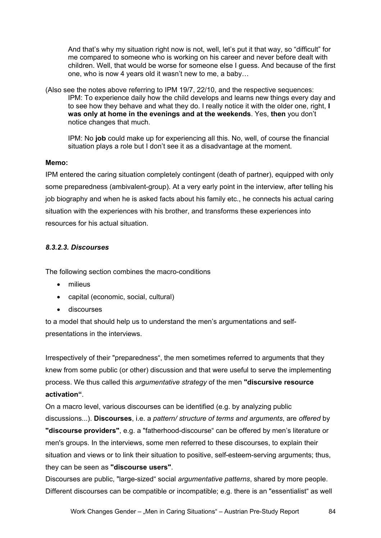And that's why my situation right now is not, well, let's put it that way, so "difficult" for me compared to someone who is working on his career and never before dealt with children. Well, that would be worse for someone else I guess. And because of the first one, who is now 4 years old it wasn't new to me, a baby…

(Also see the notes above referring to IPM 19/7, 22/10, and the respective sequences: IPM: To experience daily how the child develops and learns new things every day and to see how they behave and what they do. I really notice it with the older one, right, **I was only at home in the evenings and at the weekends**. Yes, **then** you don't notice changes that much.

IPM: No **job** could make up for experiencing all this. No, well, of course the financial situation plays a role but I don't see it as a disadvantage at the moment.

#### **Memo:**

IPM entered the caring situation completely contingent (death of partner), equipped with only some preparedness (ambivalent-group). At a very early point in the interview, after telling his job biography and when he is asked facts about his family etc., he connects his actual caring situation with the experiences with his brother, and transforms these experiences into resources for his actual situation.

## *8.3.2.3. Discourses*

The following section combines the macro-conditions

- milieus
- capital (economic, social, cultural)
- discourses

to a model that should help us to understand the men's argumentations and selfpresentations in the interviews.

Irrespectively of their "preparedness", the men sometimes referred to arguments that they knew from some public (or other) discussion and that were useful to serve the implementing process. We thus called this *argumentative strategy* of the men **"discursive resource activation"**.

On a macro level, various discourses can be identified (e.g. by analyzing public discussions...). **Discourses**, i.e. a *pattern/ structure of terms and arguments*, are *offered* by **"discourse providers"**, e.g. a "fatherhood-discourse" can be offered by men's literature or men's groups. In the interviews, some men referred to these discourses, to explain their situation and views or to link their situation to positive, self-esteem-serving arguments; thus, they can be seen as **"discourse users"**.

Discourses are public, "large-sized" social *argumentative patterns*, shared by more people. Different discourses can be compatible or incompatible; e.g. there is an "essentialist" as well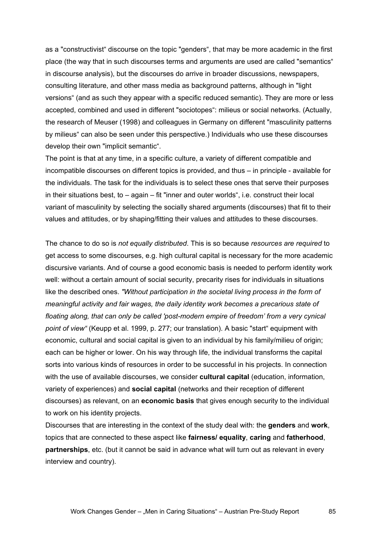as a "constructivist" discourse on the topic "genders", that may be more academic in the first place (the way that in such discourses terms and arguments are used are called "semantics" in discourse analysis), but the discourses do arrive in broader discussions, newspapers, consulting literature, and other mass media as background patterns, although in "light versions" (and as such they appear with a specific reduced semantic). They are more or less accepted, combined and used in different "sociotopes": milieus or social networks. (Actually, the research of Meuser (1998) and colleagues in Germany on different "masculinity patterns by milieus" can also be seen under this perspective.) Individuals who use these discourses develop their own "implicit semantic".

The point is that at any time, in a specific culture, a variety of different compatible and incompatible discourses on different topics is provided, and thus – in principle - available for the individuals. The task for the individuals is to select these ones that serve their purposes in their situations best, to – again – fit "inner and outer worlds", i.e. construct their local variant of masculinity by selecting the socially shared arguments (discourses) that fit to their values and attitudes, or by shaping/fitting their values and attitudes to these discourses.

The chance to do so is *not equally distributed*. This is so because *resources are required* to get access to some discourses, e.g. high cultural capital is necessary for the more academic discursive variants. And of course a good economic basis is needed to perform identity work well: without a certain amount of social security, precarity rises for individuals in situations like the described ones. *"Without participation in the societal living process in the form of meaningful activity and fair wages, the daily identity work becomes a precarious state of floating along, that can only be called 'post-modern empire of freedom' from a very cynical point of view"* (Keupp et al. 1999, p. 277; our translation). A basic "start" equipment with economic, cultural and social capital is given to an individual by his family/milieu of origin; each can be higher or lower. On his way through life, the individual transforms the capital sorts into various kinds of resources in order to be successful in his projects. In connection with the use of available discourses, we consider **cultural capital** (education, information, variety of experiences) and **social capital** (networks and their reception of different discourses) as relevant, on an **economic basis** that gives enough security to the individual to work on his identity projects.

Discourses that are interesting in the context of the study deal with: the **genders** and **work**, topics that are connected to these aspect like **fairness/ equality**, **caring** and **fatherhood**, **partnerships**, etc. (but it cannot be said in advance what will turn out as relevant in every interview and country).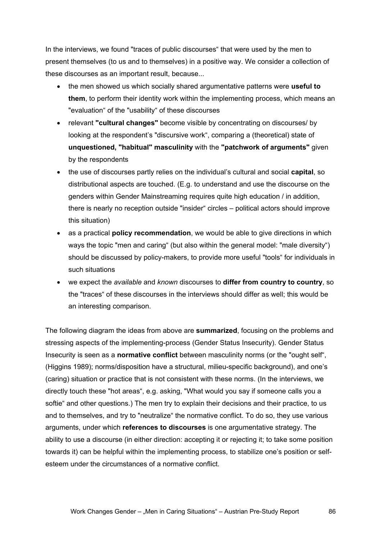In the interviews, we found "traces of public discourses" that were used by the men to present themselves (to us and to themselves) in a positive way. We consider a collection of these discourses as an important result, because...

- the men showed us which socially shared argumentative patterns were **useful to them**, to perform their identity work within the implementing process, which means an "evaluation" of the "usability" of these discourses
- relevant **"cultural changes"** become visible by concentrating on discourses/ by looking at the respondent's "discursive work", comparing a (theoretical) state of **unquestioned, "habitual" masculinity** with the **"patchwork of arguments"** given by the respondents
- the use of discourses partly relies on the individual's cultural and social **capital**, so distributional aspects are touched. (E.g. to understand and use the discourse on the genders within Gender Mainstreaming requires quite high education / in addition, there is nearly no reception outside "insider" circles – political actors should improve this situation)
- as a practical **policy recommendation**, we would be able to give directions in which ways the topic "men and caring" (but also within the general model: "male diversity") should be discussed by policy-makers, to provide more useful "tools" for individuals in such situations
- we expect the *available* and *known* discourses to **differ from country to country**, so the "traces" of these discourses in the interviews should differ as well; this would be an interesting comparison.

The following diagram the ideas from above are **summarized**, focusing on the problems and stressing aspects of the implementing-process (Gender Status Insecurity). Gender Status Insecurity is seen as a **normative conflict** between masculinity norms (or the "ought self", (Higgins 1989); norms/disposition have a structural, milieu-specific background), and one's (caring) situation or practice that is not consistent with these norms. (In the interviews, we directly touch these "hot areas", e.g. asking, "What would you say if someone calls you a softie" and other questions.) The men try to explain their decisions and their practice, to us and to themselves, and try to "neutralize" the normative conflict. To do so, they use various arguments, under which **references to discourses** is one argumentative strategy. The ability to use a discourse (in either direction: accepting it or rejecting it; to take some position towards it) can be helpful within the implementing process, to stabilize one's position or selfesteem under the circumstances of a normative conflict.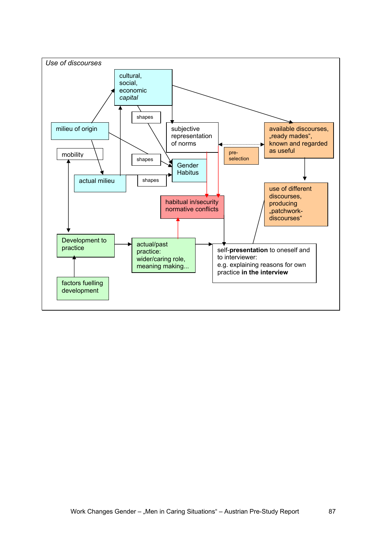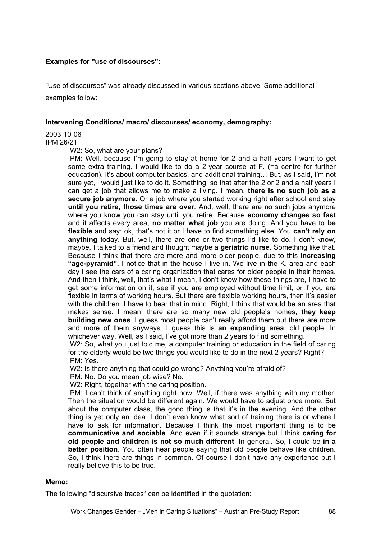### **Examples for "use of discourses":**

"Use of discourses" was already discussed in various sections above. Some additional examples follow:

#### **Intervening Conditions/ macro/ discourses/ economy, demography:**

# 2003-10-06

#### IPM 26/21

IW2: So, what are your plans?

IPM: Well, because I'm going to stay at home for 2 and a half years I want to get some extra training. I would like to do a 2-year course at F. (=a centre for further education). It's about computer basics, and additional training… But, as I said, I'm not sure yet, I would just like to do it. Something, so that after the 2 or 2 and a half years I can get a job that allows me to make a living. I mean, **there is no such job as a secure job anymore.** Or a job where you started working right after school and stay **until you retire, those times are over**. And, well, there are no such jobs anymore where you know you can stay until you retire. Because **economy changes so fast** and it affects every area, **no matter what job** you are doing. And you have to **be flexible** and say: ok, that's not it or I have to find something else. You **can't rely on anything** today. But, well, there are one or two things I'd like to do. I don't know, maybe, I talked to a friend and thought maybe a **geriatric nurse**. Something like that. Because I think that there are more and more older people, due to this **increasing "age-pyramid".** I notice that in the house I live in. We live in the K.-area and each day I see the cars of a caring organization that cares for older people in their homes. And then I think, well, that's what I mean, I don't know how these things are, I have to get some information on it, see if you are employed without time limit, or if you are flexible in terms of working hours. But there are flexible working hours, then it's easier with the children. I have to bear that in mind. Right, I think that would be an area that makes sense. I mean, there are so many new old people's homes, **they keep building new ones**. I guess most people can't really afford them but there are more and more of them anyways. I guess this is **an expanding area**, old people. In whichever way. Well, as I said, I've got more than 2 years to find something.

IW2: So, what you just told me, a computer training or education in the field of caring for the elderly would be two things you would like to do in the next 2 years? Right? IPM: Yes.

IW2: Is there anything that could go wrong? Anything you're afraid of?

IPM: No. Do you mean job wise? No.

IW2: Right, together with the caring position.

IPM: I can't think of anything right now. Well, if there was anything with my mother. Then the situation would be different again. We would have to adjust once more. But about the computer class, the good thing is that it's in the evening. And the other thing is yet only an idea. I don't even know what sort of training there is or where I have to ask for information. Because I think the most important thing is to be **communicative and sociable**. And even if it sounds strange but I think **caring for old people and children is not so much different**. In general. So, I could be **in a better position**. You often hear people saying that old people behave like children. So, I think there are things in common. Of course I don't have any experience but I really believe this to be true.

## **Memo:**

The following "discursive traces" can be identified in the quotation: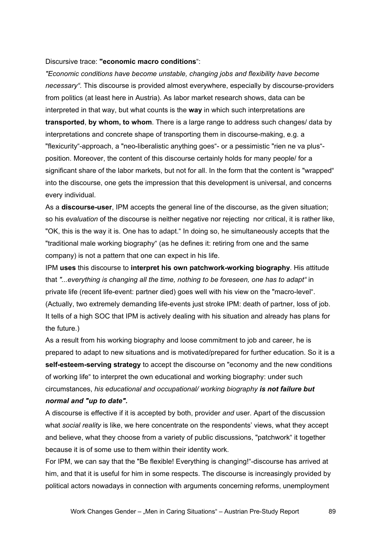#### Discursive trace: **"economic macro conditions**":

*"Economic conditions have become unstable, changing jobs and flexibility have become necessary".* This discourse is provided almost everywhere, especially by discourse-providers from politics (at least here in Austria). As labor market research shows, data can be interpreted in that way, but what counts is the **way** in which such interpretations are **transported**, **by whom, to whom**. There is a large range to address such changes/ data by interpretations and concrete shape of transporting them in discourse-making, e.g. a "flexicurity"-approach, a "neo-liberalistic anything goes"- or a pessimistic "rien ne va plus" position. Moreover, the content of this discourse certainly holds for many people/ for a significant share of the labor markets, but not for all. In the form that the content is "wrapped" into the discourse, one gets the impression that this development is universal, and concerns every individual.

As a **discourse-user**, IPM accepts the general line of the discourse, as the given situation; so his *evaluation* of the discourse is neither negative nor rejecting nor critical, it is rather like, "OK, this is the way it is. One has to adapt." In doing so, he simultaneously accepts that the "traditional male working biography" (as he defines it: retiring from one and the same company) is not a pattern that one can expect in his life.

IPM **uses** this discourse to **interpret his own patchwork-working biography**. His attitude that *"...everything is changing all the time, nothing to be foreseen, one has to adapt"* in private life (recent life-event: partner died) goes well with his view on the "macro-level". (Actually, two extremely demanding life-events just stroke IPM: death of partner, loss of job. It tells of a high SOC that IPM is actively dealing with his situation and already has plans for the future.)

As a result from his working biography and loose commitment to job and career, he is prepared to adapt to new situations and is motivated/prepared for further education. So it is a **self-esteem-serving strategy** to accept the discourse on "economy and the new conditions of working life" to interpret the own educational and working biography: under such circumstances, *his educational and occupational/ working biography is not failure but normal and "up to date".* 

A discourse is effective if it is accepted by both, provider *and* user. Apart of the discussion what *social reality* is like, we here concentrate on the respondents' views, what they accept and believe, what they choose from a variety of public discussions, "patchwork" it together because it is of some use to them within their identity work.

For IPM, we can say that the "Be flexible! Everything is changing!"-discourse has arrived at him, and that it is useful for him in some respects. The discourse is increasingly provided by political actors nowadays in connection with arguments concerning reforms, unemployment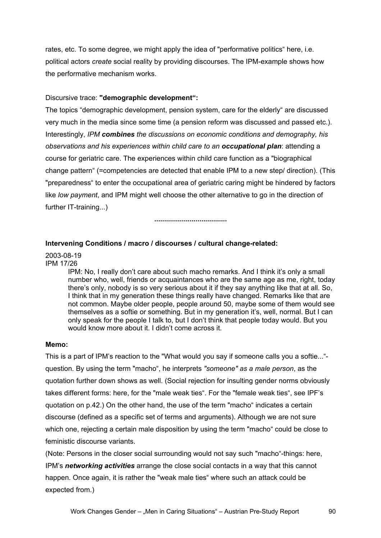rates, etc. To some degree, we might apply the idea of "performative politics" here, i.e. political actors *create* social reality by providing discourses. The IPM-example shows how the performative mechanism works.

## Discursive trace: **"demographic development":**

The topics "demographic development, pension system, care for the elderly" are discussed very much in the media since some time (a pension reform was discussed and passed etc.). Interestingly, *IPM combines the discussions on economic conditions and demography, his observations and his experiences within child care to an occupational plan*: attending a course for geriatric care. The experiences within child care function as a "biographical change pattern" (=competencies are detected that enable IPM to a new step/ direction). (This "preparedness" to enter the occupational area of geriatric caring might be hindered by factors like *low payment*, and IPM might well choose the other alternative to go in the direction of further IT-training...)

**.....................................** 

## **Intervening Conditions / macro / discourses / cultural change-related:**

2003-08-19 IPM 17/26

> IPM: No, I really don't care about such macho remarks. And I think it's only a small number who, well, friends or acquaintances who are the same age as me, right, today there's only, nobody is so very serious about it if they say anything like that at all. So, I think that in my generation these things really have changed. Remarks like that are not common. Maybe older people, people around 50, maybe some of them would see themselves as a softie or something. But in my generation it's, well, normal. But I can only speak for the people I talk to, but I don't think that people today would. But you would know more about it. I didn't come across it.

#### **Memo:**

This is a part of IPM's reaction to the "What would you say if someone calls you a softie..." question. By using the term "macho", he interprets *"someone" as a male person*, as the quotation further down shows as well. (Social rejection for insulting gender norms obviously takes different forms: here, for the "male weak ties". For the "female weak ties", see IPF's quotation on p.42.) On the other hand, the use of the term "macho" indicates a certain discourse (defined as a specific set of terms and arguments). Although we are not sure which one, rejecting a certain male disposition by using the term "macho" could be close to feministic discourse variants.

(Note: Persons in the closer social surrounding would not say such "macho"-things: here, IPM's *networking activities* arrange the close social contacts in a way that this cannot happen. Once again, it is rather the "weak male ties" where such an attack could be expected from.)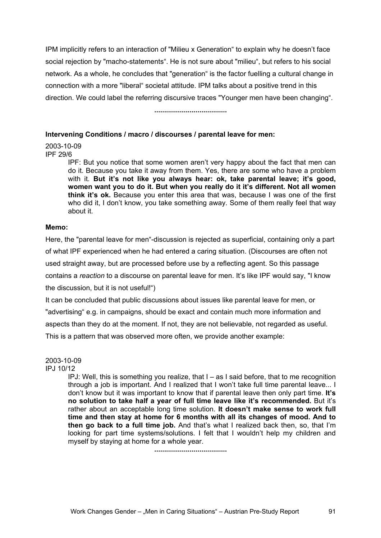IPM implicitly refers to an interaction of "Milieu x Generation" to explain why he doesn't face social rejection by "macho-statements". He is not sure about "milieu", but refers to his social network. As a whole, he concludes that "generation" is the factor fuelling a cultural change in connection with a more "liberal" societal attitude. IPM talks about a positive trend in this direction. We could label the referring discursive traces "Younger men have been changing".

#### **.....................................**

#### **Intervening Conditions / macro / discourses / parental leave for men:**

# 2003-10-09

IPF 29/6

IPF: But you notice that some women aren't very happy about the fact that men can do it. Because you take it away from them. Yes, there are some who have a problem with it. **But it's not like you always hear: ok, take parental leave; it's good, women want you to do it. But when you really do it it's different. Not all women think it's ok.** Because you enter this area that was, because I was one of the first who did it, I don't know, you take something away. Some of them really feel that way about it.

## **Memo:**

Here, the "parental leave for men"-discussion is rejected as superficial, containing only a part of what IPF experienced when he had entered a caring situation. (Discourses are often not used straight away, but are processed before use by a reflecting agent. So this passage contains a *reaction* to a discourse on parental leave for men. It's like IPF would say, "I know the discussion, but it is not useful!")

It can be concluded that public discussions about issues like parental leave for men, or "advertising" e.g. in campaigns, should be exact and contain much more information and aspects than they do at the moment. If not, they are not believable, not regarded as useful. This is a pattern that was observed more often, we provide another example:

#### 2003-10-09 IPJ 10/12

IPJ: Well, this is something you realize, that I – as I said before, that to me recognition through a job is important. And I realized that I won't take full time parental leave... I don't know but it was important to know that if parental leave then only part time. **It's no solution to take half a year of full time leave like it's recommended.** But it's rather about an acceptable long time solution. **It doesn't make sense to work full time and then stay at home for 6 months with all its changes of mood. And to then go back to a full time job.** And that's what I realized back then, so, that I'm looking for part time systems/solutions. I felt that I wouldn't help my children and myself by staying at home for a whole year.

**.....................................**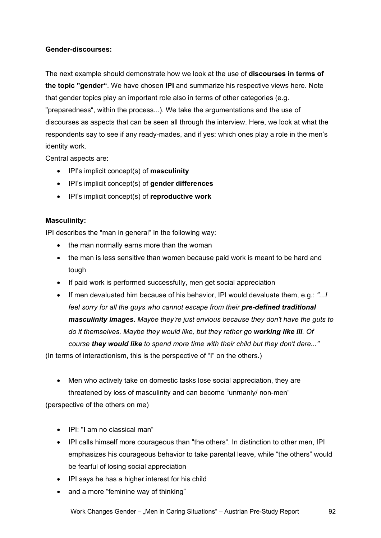# **Gender-discourses:**

The next example should demonstrate how we look at the use of **discourses in terms of the topic "gender"**. We have chosen **IPI** and summarize his respective views here. Note that gender topics play an important role also in terms of other categories (e.g. "preparedness", within the process...). We take the argumentations and the use of discourses as aspects that can be seen all through the interview. Here, we look at what the respondents say to see if any ready-mades, and if yes: which ones play a role in the men's identity work.

Central aspects are:

- IPI's implicit concept(s) of **masculinity**
- IPI's implicit concept(s) of **gender differences**
- IPI's implicit concept(s) of **reproductive work**

## **Masculinity:**

IPI describes the "man in general" in the following way:

- the man normally earns more than the woman
- the man is less sensitive than women because paid work is meant to be hard and tough
- If paid work is performed successfully, men get social appreciation
- If men devaluated him because of his behavior, IPI would devaluate them, e.g.: *"...I feel sorry for all the guys who cannot escape from their pre-defined traditional masculinity images. Maybe they're just envious because they don't have the guts to do it themselves. Maybe they would like, but they rather go working like ill. Of course they would like to spend more time with their child but they don't dare..."*

(In terms of interactionism, this is the perspective of "I" on the others.)

- Men who actively take on domestic tasks lose social appreciation, they are threatened by loss of masculinity and can become "unmanly/ non-men" (perspective of the others on me)
	- IPI: "I am no classical man"
	- IPI calls himself more courageous than "the others". In distinction to other men, IPI emphasizes his courageous behavior to take parental leave, while "the others" would be fearful of losing social appreciation
	- IPI says he has a higher interest for his child
	- and a more "feminine way of thinking"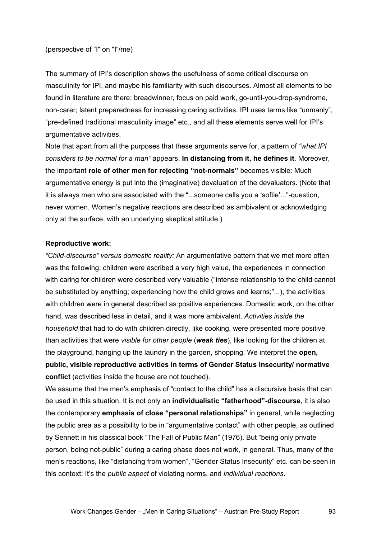(perspective of "I" on "I"/me)

The summary of IPI's description shows the usefulness of some critical discourse on masculinity for IPI, and maybe his familiarity with such discourses. Almost all elements to be found in literature are there: breadwinner, focus on paid work, go-until-you-drop-syndrome, non-carer; latent preparedness for increasing caring activities. IPI uses terms like "unmanly", "pre-defined traditional masculinity image" etc., and all these elements serve well for IPI's argumentative activities.

Note that apart from all the purposes that these arguments serve for, a pattern of *"what IPI considers to be normal for a man"* appears. **In distancing from it, he defines it**. Moreover, the important **role of other men for rejecting "not-normals"** becomes visible: Much argumentative energy is put into the (imaginative) devaluation of the devaluators. (Note that it is always men who are associated with the "...someone calls you a 'softie'..."-question, never women. Women's negative reactions are described as ambivalent or acknowledging only at the surface, with an underlying skeptical attitude.)

## **Reproductive work:**

*"Child-discourse" versus domestic reality:* An argumentative pattern that we met more often was the following: children were ascribed a very high value, the experiences in connection with caring for children were described very valuable ("intense relationship to the child cannot be substituted by anything; experiencing how the child grows and learns;"...), the activities with children were in general described as positive experiences. Domestic work, on the other hand, was described less in detail, and it was more ambivalent. *Activities inside the household* that had to do with children directly, like cooking, were presented more positive than activities that were *visible for other people* (*weak ties*), like looking for the children at the playground, hanging up the laundry in the garden, shopping. We interpret the **open, public, visible reproductive activities in terms of Gender Status Insecurity/ normative conflict** (activities inside the house are not touched).

We assume that the men's emphasis of "contact to the child" has a discursive basis that can be used in this situation. It is not only an **individualistic "fatherhood"-discourse**, it is also the contemporary **emphasis of close "personal relationships"** in general, while neglecting the public area as a possibility to be in "argumentative contact" with other people, as outlined by Sennett in his classical book "The Fall of Public Man" (1976). But "being only private person, being not-public" during a caring phase does not work, in general. Thus, many of the men's reactions, like "distancing from women", "Gender Status Insecurity" etc. can be seen in this context: It's the *public aspect* of violating norms, and *individual reactions*.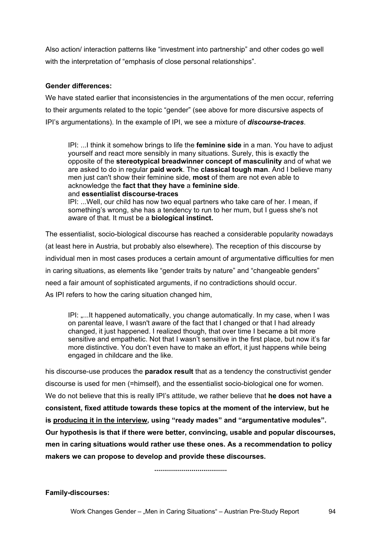Also action/ interaction patterns like "investment into partnership" and other codes go well with the interpretation of "emphasis of close personal relationships".

## **Gender differences:**

We have stated earlier that inconsistencies in the argumentations of the men occur, referring to their arguments related to the topic "gender" (see above for more discursive aspects of IPI's argumentations). In the example of IPI, we see a mixture of *discourse-traces*.

IPI: ...I think it somehow brings to life the **feminine side** in a man. You have to adjust yourself and react more sensibly in many situations. Surely, this is exactly the opposite of the **stereotypical breadwinner concept of masculinity** and of what we are asked to do in regular **paid work**. The **classical tough man**. And I believe many men just can't show their feminine side, **most** of them are not even able to acknowledge the **fact that they have** a **feminine side**. and **essentialist discourse-traces**

IPI: ...Well, our child has now two equal partners who take care of her. I mean, if something's wrong, she has a tendency to run to her mum, but I guess she's not aware of that. It must be a **biological instinct.**

The essentialist, socio-biological discourse has reached a considerable popularity nowadays (at least here in Austria, but probably also elsewhere). The reception of this discourse by individual men in most cases produces a certain amount of argumentative difficulties for men in caring situations, as elements like "gender traits by nature" and "changeable genders" need a fair amount of sophisticated arguments, if no contradictions should occur. As IPI refers to how the caring situation changed him,

IPI: "...It happened automatically, you change automatically. In my case, when I was on parental leave, I wasn't aware of the fact that I changed or that I had already changed, it just happened. I realized though, that over time I became a bit more sensitive and empathetic. Not that I wasn't sensitive in the first place, but now it's far more distinctive. You don't even have to make an effort, it just happens while being engaged in childcare and the like.

his discourse-use produces the **paradox result** that as a tendency the constructivist gender discourse is used for men (=himself), and the essentialist socio-biological one for women. We do not believe that this is really IPI's attitude, we rather believe that **he does not have a consistent, fixed attitude towards these topics at the moment of the interview, but he is producing it in the interview, using "ready mades" and "argumentative modules". Our hypothesis is that if there were better, convincing, usable and popular discourses, men in caring situations would rather use these ones. As a recommendation to policy makers we can propose to develop and provide these discourses.** 

**.....................................** 

**Family-discourses:**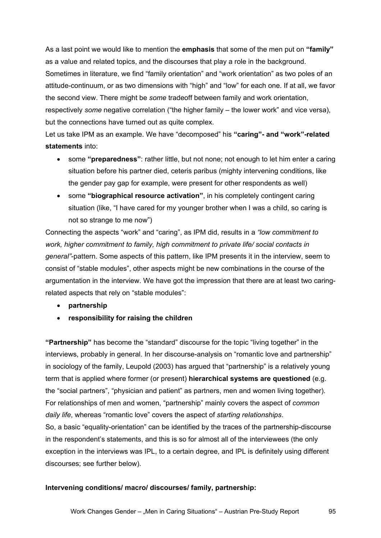As a last point we would like to mention the **emphasis** that some of the men put on **"family"** as a value and related topics, and the discourses that play a role in the background. Sometimes in literature, we find "family orientation" and "work orientation" as two poles of an attitude-continuum, or as two dimensions with "high" and "low" for each one. If at all, we favor the second view. There might be *some* tradeoff between family and work orientation, respectively *some* negative correlation ("the higher family – the lower work" and vice versa), but the connections have turned out as quite complex.

Let us take IPM as an example. We have "decomposed" his **"caring"- and "work"-related statements** into:

- some **"preparedness"**: rather little, but not none; not enough to let him enter a caring situation before his partner died, ceteris paribus (mighty intervening conditions, like the gender pay gap for example, were present for other respondents as well)
- some **"biographical resource activation"**, in his completely contingent caring situation (like, "I have cared for my younger brother when I was a child, so caring is not so strange to me now")

Connecting the aspects "work" and "caring", as IPM did, results in a *"low commitment to work, higher commitment to family, high commitment to private life/ social contacts in general"*-pattern. Some aspects of this pattern, like IPM presents it in the interview, seem to consist of "stable modules", other aspects might be new combinations in the course of the argumentation in the interview. We have got the impression that there are at least two caringrelated aspects that rely on "stable modules":

- **partnership**
- **responsibility for raising the children**

**"Partnership"** has become the "standard" discourse for the topic "living together" in the interviews, probably in general. In her discourse-analysis on "romantic love and partnership" in sociology of the family, Leupold (2003) has argued that "partnership" is a relatively young term that is applied where former (or present) **hierarchical systems are questioned** (e.g. the "social partners", "physician and patient" as partners, men and women living together). For relationships of men and women, "partnership" mainly covers the aspect of *common daily life*, whereas "romantic love" covers the aspect of *starting relationships*. So, a basic "equality-orientation" can be identified by the traces of the partnership-discourse in the respondent's statements, and this is so for almost all of the interviewees (the only exception in the interviews was IPL, to a certain degree, and IPL is definitely using different discourses; see further below).

## **Intervening conditions/ macro/ discourses/ family, partnership:**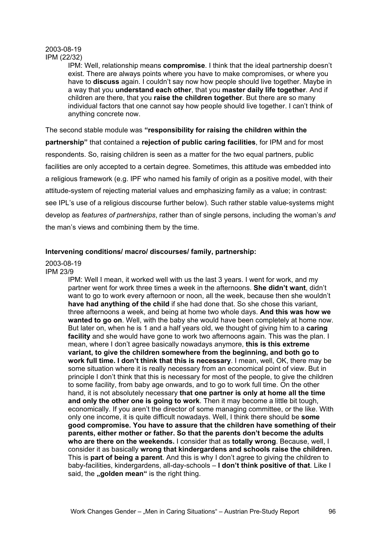#### 2003-08-19 IPM (22/32)

IPM: Well, relationship means **compromise**. I think that the ideal partnership doesn't exist. There are always points where you have to make compromises, or where you have to **discuss** again. I couldn't say now how people should live together. Maybe in a way that you **understand each other**, that you **master daily life together**. And if children are there, that you **raise the children together**. But there are so many individual factors that one cannot say how people should live together. I can't think of anything concrete now.

The second stable module was **"responsibility for raising the children within the partnership"** that contained a **rejection of public caring facilities**, for IPM and for most respondents. So, raising children is seen as a matter for the two equal partners, public facilities are only accepted to a certain degree. Sometimes, this attitude was embedded into a religious framework (e.g. IPF who named his family of origin as a positive model, with their attitude-system of rejecting material values and emphasizing family as a value; in contrast: see IPL's use of a religious discourse further below). Such rather stable value-systems might develop as *features of partnerships*, rather than of single persons, including the woman's *and* the man's views and combining them by the time.

## **Intervening conditions/ macro/ discourses/ family, partnership:**

#### 2003-08-19 IPM 23/9

IPM: Well I mean, it worked well with us the last 3 years. I went for work, and my partner went for work three times a week in the afternoons. **She didn't want**, didn't want to go to work every afternoon or noon, all the week, because then she wouldn't **have had anything of the child** if she had done that. So she chose this variant, three afternoons a week, and being at home two whole days. **And this was how we wanted to go on**. Well, with the baby she would have been completely at home now. But later on, when he is 1 and a half years old, we thought of giving him to a **caring facility** and she would have gone to work two afternoons again. This was the plan. I mean, where I don't agree basically nowadays anymore, **this is this extreme variant, to give the children somewhere from the beginning, and both go to work full time. I don't think that this is necessary**. I mean, well, OK, there may be some situation where it is really necessary from an economical point of view. But in principle I don't think that this is necessary for most of the people, to give the children to some facility, from baby age onwards, and to go to work full time. On the other hand, it is not absolutely necessary **that one partner is only at home all the time and only the other one is going to work**. Then it may become a little bit tough, economically. If you aren't the director of some managing committee, or the like. With only one income, it is quite difficult nowadays. Well, I think there should be **some good compromise. You have to assure that the children have something of their parents, either mother or father. So that the parents don't become the adults who are there on the weekends.** I consider that as **totally wrong**. Because, well, I consider it as basically **wrong that kindergardens and schools raise the children.** This is **part of being a parent**. And this is why I don't agree to giving the children to baby-facilities, kindergardens, all-day-schools – **I don't think positive of that**. Like I said, the **"golden mean"** is the right thing.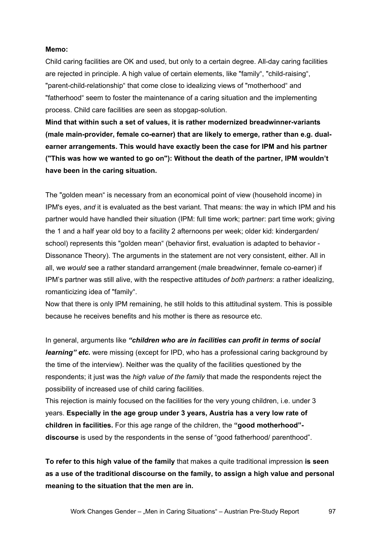#### **Memo:**

Child caring facilities are OK and used, but only to a certain degree. All-day caring facilities are rejected in principle. A high value of certain elements, like "family", "child-raising", "parent-child-relationship" that come close to idealizing views of "motherhood" and "fatherhood" seem to foster the maintenance of a caring situation and the implementing process. Child care facilities are seen as stopgap-solution.

**Mind that within such a set of values, it is rather modernized breadwinner-variants (male main-provider, female co-earner) that are likely to emerge, rather than e.g. dualearner arrangements. This would have exactly been the case for IPM and his partner ("This was how we wanted to go on"): Without the death of the partner, IPM wouldn't have been in the caring situation.** 

The "golden mean" is necessary from an economical point of view (household income) in IPM's eyes, *and* it is evaluated as the best variant. That means: the way in which IPM and his partner would have handled their situation (IPM: full time work; partner: part time work; giving the 1 and a half year old boy to a facility 2 afternoons per week; older kid: kindergarden/ school) represents this "golden mean" (behavior first, evaluation is adapted to behavior - Dissonance Theory). The arguments in the statement are not very consistent, either. All in all, we *would* see a rather standard arrangement (male breadwinner, female co-earner) if IPM's partner was still alive, with the respective attitudes *of both partners*: a rather idealizing, romanticizing idea of "family".

Now that there is only IPM remaining, he still holds to this attitudinal system. This is possible because he receives benefits and his mother is there as resource etc.

In general, arguments like *"children who are in facilities can profit in terms of social learning" etc.* were missing (except for IPD, who has a professional caring background by the time of the interview). Neither was the quality of the facilities questioned by the respondents; it just was the *high value of the family* that made the respondents reject the possibility of increased use of child caring facilities.

This rejection is mainly focused on the facilities for the very young children, i.e. under 3 years. **Especially in the age group under 3 years, Austria has a very low rate of children in facilities.** For this age range of the children, the **"good motherhood" discourse** is used by the respondents in the sense of "good fatherhood/ parenthood".

**To refer to this high value of the family** that makes a quite traditional impression **is seen as a use of the traditional discourse on the family, to assign a high value and personal meaning to the situation that the men are in.**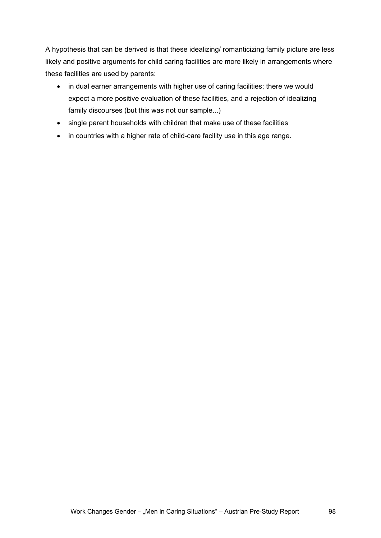A hypothesis that can be derived is that these idealizing/ romanticizing family picture are less likely and positive arguments for child caring facilities are more likely in arrangements where these facilities are used by parents:

- in dual earner arrangements with higher use of caring facilities; there we would expect a more positive evaluation of these facilities, and a rejection of idealizing family discourses (but this was not our sample...)
- single parent households with children that make use of these facilities
- in countries with a higher rate of child-care facility use in this age range.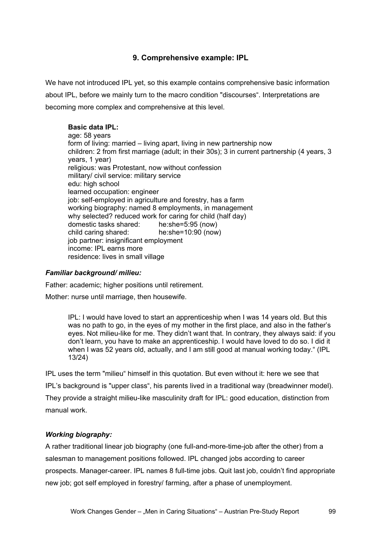# **9. Comprehensive example: IPL**

We have not introduced IPL yet, so this example contains comprehensive basic information about IPL, before we mainly turn to the macro condition "discourses". Interpretations are becoming more complex and comprehensive at this level.

## **Basic data IPL:**

age: 58 years form of living: married – living apart, living in new partnership now children: 2 from first marriage (adult; in their 30s); 3 in current partnership (4 years, 3 years, 1 year) religious: was Protestant, now without confession military/ civil service: military service edu: high school learned occupation: engineer iob: self-employed in agriculture and forestry, has a farm working biography: named 8 employments, in management why selected? reduced work for caring for child (half day) domestic tasks shared: he:she=5:95 (now) child caring shared: he:she=10:90 (now) job partner: insignificant employment income: IPL earns more residence: lives in small village

## *Familiar background/ milieu:*

Father: academic; higher positions until retirement.

Mother: nurse until marriage, then housewife.

IPL: I would have loved to start an apprenticeship when I was 14 years old. But this was no path to go, in the eyes of my mother in the first place, and also in the father's eyes. Not milieu-like for me. They didn't want that. In contrary, they always said: if you don't learn, you have to make an apprenticeship. I would have loved to do so. I did it when I was 52 years old, actually, and I am still good at manual working today." (IPL 13/24)

IPL uses the term "milieu" himself in this quotation. But even without it: here we see that IPL's background is "upper class", his parents lived in a traditional way (breadwinner model). They provide a straight milieu-like masculinity draft for IPL: good education, distinction from manual work.

# *Working biography:*

A rather traditional linear job biography (one full-and-more-time-job after the other) from a salesman to management positions followed. IPL changed jobs according to career prospects. Manager-career. IPL names 8 full-time jobs. Quit last job, couldn't find appropriate new job; got self employed in forestry/ farming, after a phase of unemployment.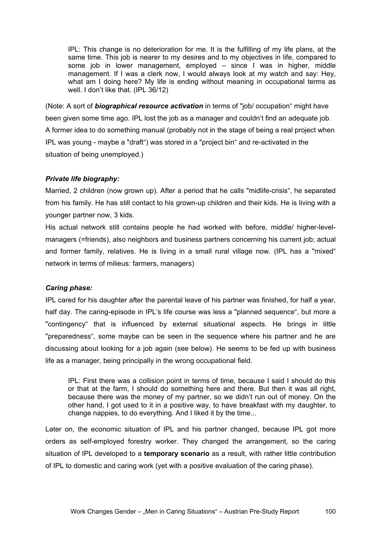IPL: This change is no deterioration for me. It is the fulfilling of my life plans, at the same time. This job is nearer to my desires and to my objectives in life, compared to some job in lower management, employed – since I was in higher, middle management. If I was a clerk now, I would always look at my watch and say: Hey, what am I doing here? My life is ending without meaning in occupational terms as well. I don't like that. (IPL 36/12)

(Note: A sort of *biographical resource activation* in terms of "job/ occupation" might have been given some time ago. IPL lost the job as a manager and couldn't find an adequate job. A former idea to do something manual (probably not in the stage of being a real project when IPL was young - maybe a "draft") was stored in a "project bin" and re-activated in the situation of being unemployed.)

## *Private life biography:*

Married, 2 children (now grown up). After a period that he calls "midlife-crisis", he separated from his family. He has still contact to his grown-up children and their kids. He is living with a younger partner now, 3 kids.

His actual network still contains people he had worked with before, middle/ higher-levelmanagers (=friends), also neighbors and business partners concerning his current job; actual and former family, relatives. He is living in a small rural village now. (IPL has a "mixed" network in terms of milieus: farmers, managers)

## *Caring phase:*

IPL cared for his daughter after the parental leave of his partner was finished, for half a year, half day. The caring-episode in IPL's life course was less a "planned sequence", but more a "contingency" that is influenced by external situational aspects. He brings in little "preparedness", some maybe can be seen in the sequence where his partner and he are discussing about looking for a job again (see below). He seems to be fed up with business life as a manager, being principally in the wrong occupational field.

IPL: First there was a collision point in terms of time, because I said I should do this or that at the farm, I should do something here and there. But then it was all right, because there was the money of my partner, so we didn't run out of money. On the other hand, I got used to it in a positive way, to have breakfast with my daughter, to change nappies, to do everything. And I liked it by the time...

Later on, the economic situation of IPL and his partner changed, because IPL got more orders as self-employed forestry worker. They changed the arrangement, so the caring situation of IPL developed to a **temporary scenario** as a result, with rather little contribution of IPL to domestic and caring work (yet with a positive evaluation of the caring phase).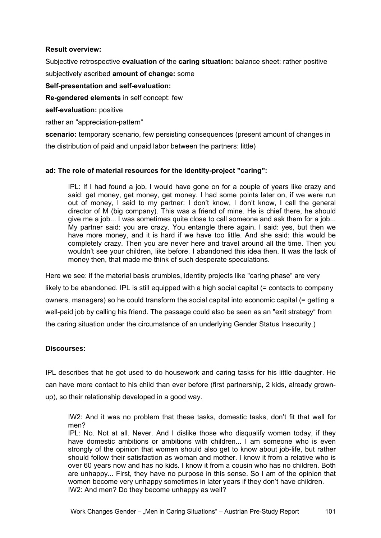## **Result overview:**

Subjective retrospective **evaluation** of the **caring situation:** balance sheet: rather positive subjectively ascribed **amount of change:** some

## **Self-presentation and self-evaluation:**

**Re-gendered elements** in self concept: few

**self-evaluation:** positive

rather an "appreciation-pattern"

**scenario:** temporary scenario, few persisting consequences (present amount of changes in

the distribution of paid and unpaid labor between the partners: little)

# **ad: The role of material resources for the identity-project "caring":**

IPL: If I had found a job, I would have gone on for a couple of years like crazy and said: get money, get money, get money. I had some points later on, if we were run out of money, I said to my partner: I don't know, I don't know, I call the general director of M (big company). This was a friend of mine. He is chief there, he should give me a job... I was sometimes quite close to call someone and ask them for a job... My partner said: you are crazy. You entangle there again. I said: yes, but then we have more money, and it is hard if we have too little. And she said: this would be completely crazy. Then you are never here and travel around all the time. Then you wouldn't see your children, like before. I abandoned this idea then. It was the lack of money then, that made me think of such desperate speculations.

Here we see: if the material basis crumbles, identity projects like "caring phase" are very likely to be abandoned. IPL is still equipped with a high social capital (= contacts to company owners, managers) so he could transform the social capital into economic capital (= getting a well-paid job by calling his friend. The passage could also be seen as an "exit strategy" from the caring situation under the circumstance of an underlying Gender Status Insecurity.)

# **Discourses:**

IPL describes that he got used to do housework and caring tasks for his little daughter. He can have more contact to his child than ever before (first partnership, 2 kids, already grownup), so their relationship developed in a good way.

IW2: And it was no problem that these tasks, domestic tasks, don't fit that well for men?

IPL: No. Not at all. Never. And I dislike those who disqualify women today, if they have domestic ambitions or ambitions with children... I am someone who is even strongly of the opinion that women should also get to know about job-life, but rather should follow their satisfaction as woman and mother. I know it from a relative who is over 60 years now and has no kids. I know it from a cousin who has no children. Both are unhappy... First, they have no purpose in this sense. So I am of the opinion that women become very unhappy sometimes in later years if they don't have children. IW2: And men? Do they become unhappy as well?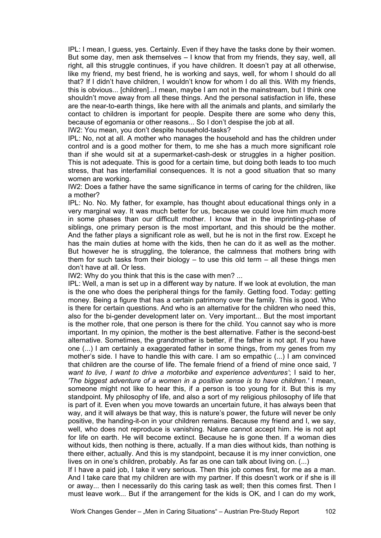IPL: I mean, I guess, yes. Certainly. Even if they have the tasks done by their women. But some day, men ask themselves – I know that from my friends, they say, well, all right, all this struggle continues, if you have children. It doesn't pay at all otherwise, like my friend, my best friend, he is working and says, well, for whom I should do all that? If I didn't have children, I wouldn't know for whom I do all this. With my friends, this is obvious... [children]...I mean, maybe I am not in the mainstream, but I think one shouldn't move away from all these things. And the personal satisfaction in life, these are the near-to-earth things, like here with all the animals and plants, and similarly the contact to children is important for people. Despite there are some who deny this, because of egomania or other reasons... So I don't despise the job at all.

IW2: You mean, you don't despite household-tasks?

IPL: No, not at all. A mother who manages the household and has the children under control and is a good mother for them, to me she has a much more significant role than if she would sit at a supermarket-cash-desk or struggles in a higher position. This is not adequate. This is good for a certain time, but doing both leads to too much stress, that has interfamilial consequences. It is not a good situation that so many women are working.

IW2: Does a father have the same significance in terms of caring for the children, like a mother?

IPL: No. No. My father, for example, has thought about educational things only in a very marginal way. It was much better for us, because we could love him much more in some phases than our difficult mother. I know that in the imprinting-phase of siblings, one primary person is the most important, and this should be the mother. And the father plays a significant role as well, but he is not in the first row. Except he has the main duties at home with the kids, then he can do it as well as the mother. But however he is struggling, the tolerance, the calmness that mothers bring with them for such tasks from their biology  $-$  to use this old term  $-$  all these things men don't have at all. Or less.

IW2: Why do you think that this is the case with men? ...

IPL: Well, a man is set up in a different way by nature. If we look at evolution, the man is the one who does the peripheral things for the family. Getting food. Today: getting money. Being a figure that has a certain patrimony over the family. This is good. Who is there for certain questions. And who is an alternative for the children who need this, also for the bi-gender development later on. Very important... But the most important is the mother role, that one person is there for the child. You cannot say who is more important. In my opinion, the mother is the best alternative. Father is the second-best alternative. Sometimes, the grandmother is better, if the father is not apt. If you have one (...) I am certainly a exaggerated father in some things, from my genes from my mother's side. I have to handle this with care. I am so empathic (...) I am convinced that children are the course of life. The female friend of a friend of mine once said, *'I want to live, I want to drive a motorbike and experience adventures'*; I said to her, *'The biggest adventure of a women in a positive sense is to have children.'* I mean, someone might not like to hear this, if a person is too young for it. But this is my standpoint. My philosophy of life, and also a sort of my religious philosophy of life that is part of it. Even when you move towards an uncertain future, it has always been that way, and it will always be that way, this is nature's power, the future will never be only positive, the handing-it-on in your children remains. Because my friend and I, we say, well, who does not reproduce is vanishing. Nature cannot accept him. He is not apt for life on earth. He will become extinct. Because he is gone then. If a woman dies without kids, then nothing is there, actually. If a man dies without kids, than nothing is there either, actually. And this is my standpoint, because it is my inner conviction, one lives on in one's children, probably. As far as one can talk about living on. (...)

If I have a paid job, I take it very serious. Then this job comes first, for me as a man. And I take care that my children are with my partner. If this doesn't work or if she is ill or away... then I necessarily do this caring task as well; then this comes first. Then I must leave work... But if the arrangement for the kids is OK, and I can do my work,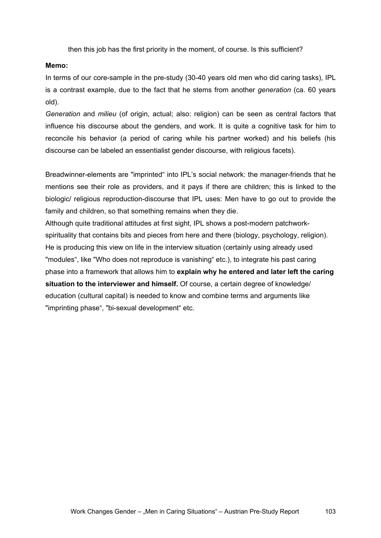then this job has the first priority in the moment, of course. Is this sufficient?

#### **Memo:**

In terms of our core-sample in the pre-study (30-40 years old men who did caring tasks), IPL is a contrast example, due to the fact that he stems from another *generation* (ca. 60 years old).

*Generation* and *milieu* (of origin, actual; also: religion) can be seen as central factors that influence his discourse about the genders, and work. It is quite a cognitive task for him to reconcile his behavior (a period of caring while his partner worked) and his beliefs (his discourse can be labeled an essentialist gender discourse, with religious facets).

Breadwinner-elements are "imprinted" into IPL's social network: the manager-friends that he mentions see their role as providers, and it pays if there are children; this is linked to the biologic/ religious reproduction-discourse that IPL uses: Men have to go out to provide the family and children, so that something remains when they die.

Although quite traditional attitudes at first sight, IPL shows a post-modern patchworkspirituality that contains bits and pieces from here and there (biology, psychology, religion). He is producing this view on life in the interview situation (certainly using already used "modules", like "Who does not reproduce is vanishing" etc.), to integrate his past caring phase into a framework that allows him to **explain why he entered and later left the caring situation to the interviewer and himself.** Of course, a certain degree of knowledge/ education (cultural capital) is needed to know and combine terms and arguments like "imprinting phase", "bi-sexual development" etc.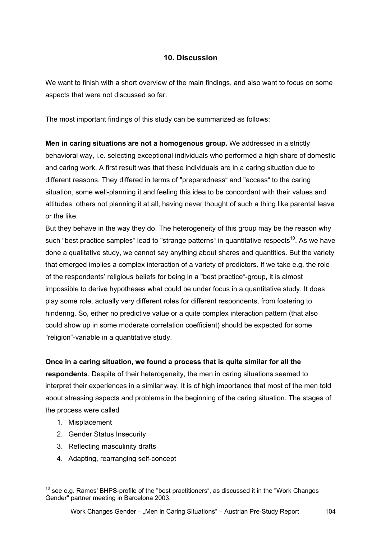# **10. Discussion**

We want to finish with a short overview of the main findings, and also want to focus on some aspects that were not discussed so far.

The most important findings of this study can be summarized as follows:

**Men in caring situations are not a homogenous group.** We addressed in a strictly behavioral way, i.e. selecting exceptional individuals who performed a high share of domestic and caring work. A first result was that these individuals are in a caring situation due to different reasons. They differed in terms of "preparedness" and "access" to the caring situation, some well-planning it and feeling this idea to be concordant with their values and attitudes, others not planning it at all, having never thought of such a thing like parental leave or the like.

But they behave in the way they do. The heterogeneity of this group may be the reason why such "best practice samples" lead to "strange patterns" in quantitative respects<sup>10</sup>. As we have done a qualitative study, we cannot say anything about shares and quantities. But the variety that emerged implies a complex interaction of a variety of predictors. If we take e.g. the role of the respondents' religious beliefs for being in a "best practice"-group, it is almost impossible to derive hypotheses what could be under focus in a quantitative study. It does play some role, actually very different roles for different respondents, from fostering to hindering. So, either no predictive value or a quite complex interaction pattern (that also could show up in some moderate correlation coefficient) should be expected for some "religion"-variable in a quantitative study.

# **Once in a caring situation, we found a process that is quite similar for all the**

**respondents**. Despite of their heterogeneity, the men in caring situations seemed to interpret their experiences in a similar way. It is of high importance that most of the men told about stressing aspects and problems in the beginning of the caring situation. The stages of the process were called

1. Misplacement

 $\overline{a}$ 

- 2. Gender Status Insecurity
- 3. Reflecting masculinity drafts
- 4. Adapting, rearranging self-concept

 $10$  see e.g. Ramos' BHPS-profile of the "best practitioners", as discussed it in the "Work Changes" Gender" partner meeting in Barcelona 2003.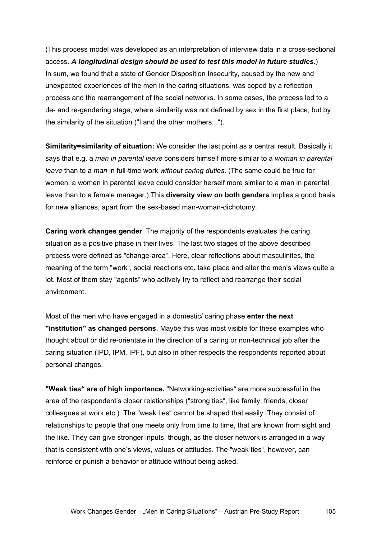(This process model was developed as an interpretation of interview data in a cross-sectional access. *A longitudinal design should be used to test this model in future studies.*) In sum, we found that a state of Gender Disposition Insecurity, caused by the new and unexpected experiences of the men in the caring situations, was coped by a reflection process and the rearrangement of the social networks. In some cases, the process led to a de- and re-gendering stage, where similarity was not defined by sex in the first place, but by the similarity of the situation ("I and the other mothers...").

**Similarity=similarity of situation:** We consider the last point as a central result. Basically it says that e.g. a *man in parental leave* considers himself more similar to a *woman in parental leave* than to a *man* in full-time work *without caring duties*. (The same could be true for women: a women in parental leave could consider herself more similar to a man in parental leave than to a female manager.) This **diversity view on both genders** implies a good basis for new alliances, apart from the sex-based man-woman-dichotomy.

**Caring work changes gender**. The majority of the respondents evaluates the caring situation as a positive phase in their lives. The last two stages of the above described process were defined as "change-area". Here, clear reflections about masculinites, the meaning of the term "work", social reactions etc. take place and alter the men's views quite a lot. Most of them stay "agents" who actively try to reflect and rearrange their social environment.

Most of the men who have engaged in a domestic/ caring phase **enter the next "institution" as changed persons**. Maybe this was most visible for these examples who thought about or did re-orientate in the direction of a caring or non-technical job after the caring situation (IPD, IPM, IPF), but also in other respects the respondents reported about personal changes.

**"Weak ties" are of high importance.** "Networking-activities" are more successful in the area of the respondent's closer relationships ("strong ties", like family, friends, closer colleagues at work etc.). The "weak ties" cannot be shaped that easily. They consist of relationships to people that one meets only from time to time, that are known from sight and the like. They can give stronger inputs, though, as the closer network is arranged in a way that is consistent with one's views, values or attitudes. The "weak ties", however, can reinforce or punish a behavior or attitude without being asked.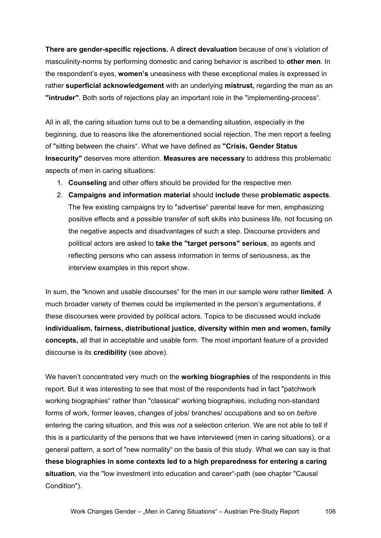**There are gender-specific rejections.** A **direct devaluation** because of one's violation of masculinity-norms by performing domestic and caring behavior is ascribed to **other men**. In the respondent's eyes, **women's** uneasiness with these exceptional males is expressed in rather **superficial acknowledgement** with an underlying **mistrust,** regarding the man as an **"intruder"**. Both sorts of rejections play an important role in the "implementing-process".

All in all, the caring situation turns out to be a demanding situation, especially in the beginning, due to reasons like the aforementioned social rejection. The men report a feeling of "sitting between the chairs". What we have defined as **"Crisis, Gender Status Insecurity"** deserves more attention. **Measures are necessary** to address this problematic aspects of men in caring situations:

- 1. **Counseling** and other offers should be provided for the respective men
- 2. **Campaigns and information material** should **include** these **problematic aspects**. The few existing campaigns try to "advertise" parental leave for men, emphasizing positive effects and a possible transfer of soft skills into business life, not focusing on the negative aspects and disadvantages of such a step. Discourse providers and political actors are asked to **take the "target persons" serious**, as agents and reflecting persons who can assess information in terms of seriousness, as the interview examples in this report show.

In sum, the "known and usable discourses" for the men in our sample were rather **limited**. A much broader variety of themes could be implemented in the person's argumentations, if these discourses were provided by political actors. Topics to be discussed would include **individualism, fairness, distributional justice, diversity within men and women, family concepts,** all that in acceptable and usable form. The most important feature of a provided discourse is its **credibility** (see above).

We haven't concentrated very much on the **working biographies** of the respondents in this report. But it was interesting to see that most of the respondents had in fact "patchwork working biographies" rather than "classical" working biographies, including non-standard forms of work, former leaves, changes of jobs/ branches/ occupations and so on *before* entering the caring situation, and this was *not* a selection criterion. We are not able to tell if this is a particularity of the persons that we have interviewed (men in caring situations), or a general pattern, a sort of "new normality" on the basis of this study. What we can say is that **these biographies in some contexts led to a high preparedness for entering a caring situation**, via the "low investment into education and career"-path (see chapter "Causal Condition").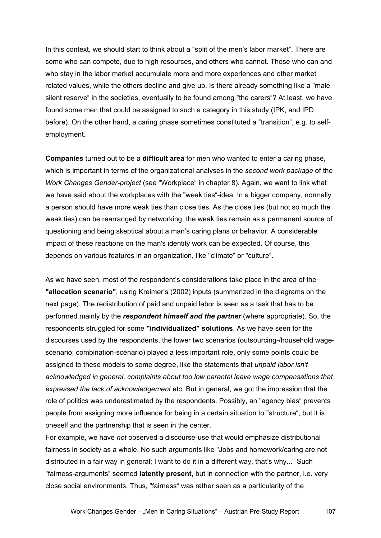In this context, we should start to think about a "split of the men's labor market". There are some who can compete, due to high resources, and others who cannot. Those who can and who stay in the labor market accumulate more and more experiences and other market related values, while the others decline and give up. Is there already something like a "male silent reserve" in the societies, eventually to be found among "the carers"? At least, we have found some men that could be assigned to such a category in this study (IPK, and IPD before). On the other hand, a caring phase sometimes constituted a "transition", e.g. to selfemployment.

**Companies** turned out to be a **difficult area** for men who wanted to enter a caring phase, which is important in terms of the organizational analyses in the *second work package* of the *Work Changes Gender-project* (see "Workplace" in chapter 8). Again, we want to link what we have said about the workplaces with the "weak ties"-idea. In a bigger company, normally a person should have more weak ties than close ties. As the close ties (but not so much the weak ties) can be rearranged by networking, the weak ties remain as a permanent source of questioning and being skeptical about a man's caring plans or behavior. A considerable impact of these reactions on the man's identity work can be expected. Of course, this depends on various features in an organization, like "climate" or "culture".

As we have seen, most of the respondent's considerations take place in the area of the **"allocation scenario"**, using Kreimer's (2002) inputs (summarized in the diagrams on the next page). The redistribution of paid and unpaid labor is seen as a task that has to be performed mainly by the *respondent himself and the partner* (where appropriate). So, the respondents struggled for some **"individualized" solutions**. As we have seen for the discourses used by the respondents, the lower two scenarios (outsourcing-/household wagescenario; combination-scenario) played a less important role, only some points could be assigned to these models to some degree, like the statements that *unpaid labor isn't acknowledged in general, complaints about too low parental leave wage compensations that expressed the lack of acknowledgement* etc. But in general, we got the impression that the role of politics was underestimated by the respondents. Possibly, an "agency bias" prevents people from assigning more influence for being in a certain situation to "structure", but it is oneself and the partnership that is seen in the center.

For example, we have *not* observed a discourse-use that would emphasize distributional fairness in society as a whole. No such arguments like "Jobs and homework/caring are not distributed in a fair way in general; I want to do it in a different way, that's why..." Such "fairness-arguments" seemed **latently present**, but in connection with the partner, i.e. very close social environments. Thus, "fairness" was rather seen as a particularity of the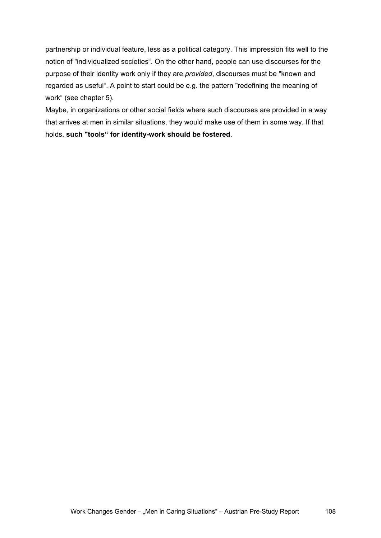partnership or individual feature, less as a political category. This impression fits well to the notion of "individualized societies". On the other hand, people can use discourses for the purpose of their identity work only if they are *provided*, discourses must be "known and regarded as useful". A point to start could be e.g. the pattern "redefining the meaning of work" (see chapter 5).

Maybe, in organizations or other social fields where such discourses are provided in a way that arrives at men in similar situations, they would make use of them in some way. If that holds, **such "tools" for identity-work should be fostered**.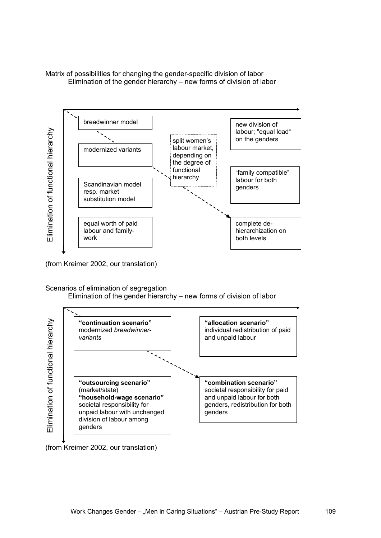Matrix of possibilities for changing the gender-specific division of labor Elimination of the gender hierarchy – new forms of division of labor



(from Kreimer 2002, our translation)

Scenarios of elimination of segregation

Elimination of the gender hierarchy – new forms of division of labor



(from Kreimer 2002, our translation)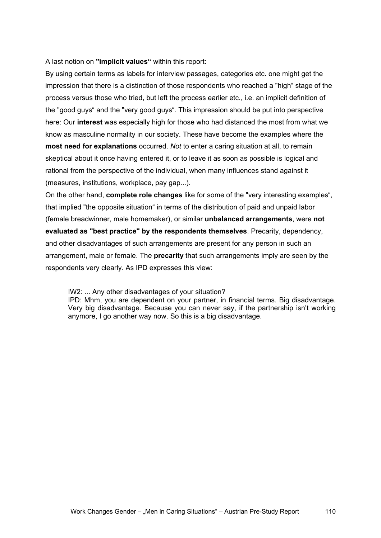A last notion on **"implicit values"** within this report:

By using certain terms as labels for interview passages, categories etc. one might get the impression that there is a distinction of those respondents who reached a "high" stage of the process versus those who tried, but left the process earlier etc., i.e. an implicit definition of the "good guys" and the "very good guys". This impression should be put into perspective here: Our **interest** was especially high for those who had distanced the most from what we know as masculine normality in our society. These have become the examples where the **most need for explanations** occurred. *Not* to enter a caring situation at all, to remain skeptical about it once having entered it, or to leave it as soon as possible is logical and rational from the perspective of the individual, when many influences stand against it (measures, institutions, workplace, pay gap...).

On the other hand, **complete role changes** like for some of the "very interesting examples", that implied "the opposite situation" in terms of the distribution of paid and unpaid labor (female breadwinner, male homemaker), or similar **unbalanced arrangements**, were **not evaluated as "best practice" by the respondents themselves**. Precarity, dependency, and other disadvantages of such arrangements are present for any person in such an arrangement, male or female. The **precarity** that such arrangements imply are seen by the respondents very clearly. As IPD expresses this view:

IW2: ... Any other disadvantages of your situation? IPD: Mhm, you are dependent on your partner, in financial terms. Big disadvantage. Very big disadvantage. Because you can never say, if the partnership isn't working anymore, I go another way now. So this is a big disadvantage.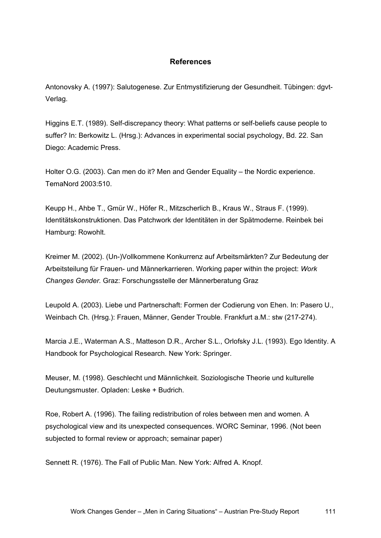## **References**

Antonovsky A. (1997): Salutogenese. Zur Entmystifizierung der Gesundheit. Tübingen: dgvt-Verlag.

Higgins E.T. (1989). Self-discrepancy theory: What patterns or self-beliefs cause people to suffer? In: Berkowitz L. (Hrsg.): Advances in experimental social psychology, Bd. 22. San Diego: Academic Press.

Holter O.G. (2003). Can men do it? Men and Gender Equality – the Nordic experience. TemaNord 2003:510.

Keupp H., Ahbe T., Gmür W., Höfer R., Mitzscherlich B., Kraus W., Straus F. (1999). Identitätskonstruktionen. Das Patchwork der Identitäten in der Spätmoderne. Reinbek bei Hamburg: Rowohlt.

Kreimer M. (2002). (Un-)Vollkommene Konkurrenz auf Arbeitsmärkten? Zur Bedeutung der Arbeitsteilung für Frauen- und Männerkarrieren. Working paper within the project: *Work Changes Gender.* Graz: Forschungsstelle der Männerberatung Graz

Leupold A. (2003). Liebe und Partnerschaft: Formen der Codierung von Ehen. In: Pasero U., Weinbach Ch. (Hrsg.): Frauen, Männer, Gender Trouble. Frankfurt a.M.: stw (217-274).

Marcia J.E., Waterman A.S., Matteson D.R., Archer S.L., Orlofsky J.L. (1993). Ego Identity. A Handbook for Psychological Research. New York: Springer.

Meuser, M. (1998). Geschlecht und Männlichkeit. Soziologische Theorie und kulturelle Deutungsmuster. Opladen: Leske + Budrich.

Roe, Robert A. (1996). The failing redistribution of roles between men and women. A psychological view and its unexpected consequences. WORC Seminar, 1996. (Not been subjected to formal review or approach; semainar paper)

Sennett R. (1976). The Fall of Public Man. New York: Alfred A. Knopf.